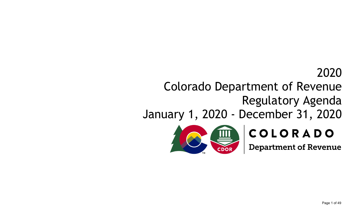# 2020

# Colorado Department of Revenue Regulatory Agenda

# January 1, 2020 - December 31, 2020



# COLORADO

**Department of Revenue**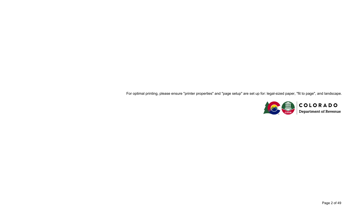For optimal printing, please ensure "printer properties" and "page setup" are set up for: legal-sized paper, "fit to page", and landscape.

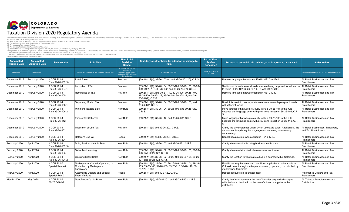## COLORADO Taxation Division 2020 Regulatory Agenda

The Colorado Department of Revenue (CDOR) submits the following 2020 Regulatory Agenda (Agenda) in fulfillment of the statutory requirements set forth in §2-7-202(6), 2-7-203, and 24-4-103.3(4), C.R.S. Pursuant to state la

| Anticipated<br><b>Hearing Date</b> | <b>Anticipated</b><br><b>Adoption Date</b> | <b>Rule Number</b>               | <b>Rule Title</b>                                                              | <b>New Rule/</b><br><b>Revision/</b><br>Repeal                                                                          | Statutory or other basis for adoption or change to<br>rule.                                                                      | <b>Part of Rule</b><br><b>Review</b><br>Schedule? | Purpose of potential rule revision, creation, repeal, or review?                                                                                                         | <b>Stakeholders</b>                                        |
|------------------------------------|--------------------------------------------|----------------------------------|--------------------------------------------------------------------------------|-------------------------------------------------------------------------------------------------------------------------|----------------------------------------------------------------------------------------------------------------------------------|---------------------------------------------------|--------------------------------------------------------------------------------------------------------------------------------------------------------------------------|------------------------------------------------------------|
| (Month Year)                       | (Month Year)                               |                                  | If there is no formal rule title, description of the rule.                     | In general, this column<br>denotes the<br>creation/revision/repeal of<br>sections of CCR rules, not<br>the entire rule. | If statutory, list C.R.S.                                                                                                        | \$24-4-103.3, C.R.S.<br>X if Yes                  |                                                                                                                                                                          | Categories of stakeholders, not individual stakeholders    |
| December 2019                      | February 2020                              | 1 CCR 201-4<br>Rule 39-26-102(9) | Retail Sales                                                                   | Revision                                                                                                                | §39-21-112(1), 39-26-102(9), and 39-26-102(10), C.R.S.                                                                           |                                                   | Remove language that was codified in HB2019-1240                                                                                                                         | All Retail Businesses and Tax<br>Practitioners             |
| December 2019                      | February 2020                              | 1 CCR 201-4<br>Rule 39-26-104-1  | Imposition of Tax                                                              | Revision                                                                                                                | §39-21-112(1), 39-26-104, 39-26-105, 39-26-106, 39-26-<br>109. 39-26-118. 39-26-122. and 39-26-704(2). C.R.S.                    |                                                   | Sections of this rule were already in or are being proposed for relocation<br>to Rules 39-26-102(9), 39-26-106-2, and 39-26-202.                                         | All Retail Businesses and Tax<br>Practitioners             |
| December 2019                      | February 2020                              | 1 CCR 201-4<br>Rule 39-26-105    | Remittance of Tax                                                              | Revision                                                                                                                | \$39-21-112(1), and 39-21-119, 39-26-105, 39-26-107,<br>39-26-109, 39-26-112, 39-26-118, 39-26-122, and 39-<br>26-704(2), C.R.S. |                                                   | Remove language that was codified in HB19-1240                                                                                                                           | All Retail Businesses and Tax<br>Practitioners             |
| December 2019                      | February 2020                              | 1 CCR 201-4<br>Rule 39-26-106-1  | Separately Stated Tax                                                          | Revision                                                                                                                | S39-21-112(1), 39-26-104, 39-26-105, 39-26-106, and<br>39-26-122, C.R.S.                                                         |                                                   | Break this rule into two separate rules because each paragraph deals<br>with different topics.                                                                           | All Retail Businesses and Tax<br>Practitioners             |
| December 2019                      | February 2020                              | 1 CCR 201-4<br>Rule 39-26-106-2  | Minimum Taxable Sale                                                           | New Rule                                                                                                                | §39-21-112(1), 39-26-104, 39-26-106, and 39-26-122,<br>C.R.S.                                                                    |                                                   | Move language that was previously in Rule 39-26-104 to this rule<br>because the language deals with provisions in section 39-26-106, C.R.                                | All Retail Businesses and Tax<br>Practitioners             |
| December 2019                      | February 2020                              | 1 CCR 201-4<br>Rule 39-26-112    | Excess Tax Collected                                                           | New Rule                                                                                                                | §39-21-112(1), 39-26-112, and 39-26-122, C.R.S.                                                                                  |                                                   | Move language that was previously in Rule 39-26-106 to this rule<br>because the language deals with provisions in section 39-26-112, C.R.                                | All Retail Businesses and Tax<br><b>Practitioners</b>      |
| December 2019                      | February 2020                              | 1 CCR 201-4<br>Rule 39-26-202    | Imposition of Use Tax                                                          | Revision                                                                                                                | \$39-21-112(1) and 39-26-202, C.R.S.                                                                                             |                                                   | Clarify the circumstances under which use tax is owed. Additionally, the<br>department is updating the language and removing unnecessary<br>commentary                   | All Retail Businesses, Taxpavers.<br>and Tax Practitioners |
| December 2019                      | February 2020                              | 1 CCR 201-4<br>Rule 39-26-204    | Retailer's Use tax                                                             | Repeal                                                                                                                  | \$39-21-112(1) and 39-26-204, C.R.S.                                                                                             |                                                   | Repeal because rule was codified in HB19-1240.                                                                                                                           | All Retail Businesses and Tax<br><b>Practitioners</b>      |
| February 2020                      | April 2020                                 | 1 CCR 201-4<br>Rule 39-26-102(3) | Doing Business in this State                                                   | New Rule                                                                                                                | §39-21-112(1), 39-26-102, and 39-26-122, C.R.S.                                                                                  |                                                   | Clarify when a retailer is doing business in this state                                                                                                                  | All Retail Businesses and Tax<br>Practitioners             |
| February 2020                      | April 2020                                 | 1 CCR 201-4<br>Rule 39-26-103    | Sales Tax Licensing                                                            | New Rule                                                                                                                | \$39-21-112(1), 39-26-102, 39-26-103, 39-26-105, 39-26-<br>106. and 39-26-122. C.R.S.                                            |                                                   | Clarify when a retailer shall obtain a sales tax license.                                                                                                                | All Retail Businesses and Tax<br>Practitioners             |
| February 2020                      | April 2020                                 | 1 CCR 201-4<br>Rule 39-26-104-2  | Sourcing Retail Sales                                                          | New Rule                                                                                                                | S39-21-112(1), 39-26-102, 39-26-104, 39-26-105, 39-26-<br>107, and 39-26-122, C.R.S.                                             |                                                   | Clarify the location to which a retail sale is sourced within Colorado.                                                                                                  | All Retail Businesses and Tax<br>Practitioners             |
| February 2020                      | April 2020                                 | 1 CCR 201-5<br>Special Rule 44   | Marketplaces Owned, Operated, or<br>Controlled by Marketplace<br>Facilitators. | New Rule                                                                                                                | S39-21-112(1), 29-26-102, 39-26-103, 39-26-104, 39-26-<br>105, 39-26-106, 39-26-109, 39-26-116, 39-26-118, 39-<br>26-122, C.R.S. |                                                   | Establishes requirements and conditions applicable to sales made in<br>Colorado in or through marketplaces owned, operated, or controlled by<br>marketplace facilitators | All Retail Businesses and Tax<br>Practitioners             |
| February 2020                      | April 2020                                 | 1 CCR 201-5<br>Special Rule 3.1  | Automobile Dealers and Special<br><b>Event Vehicles</b>                        | Repeal                                                                                                                  | \$39-21-112(1) and 42-3-122, C.R.S.                                                                                              |                                                   | Repeal because rule is unnecessary                                                                                                                                       | Automobile Dealers and Tax<br>Practitioners                |
| March 2020                         | May 2020                                   | 1 CCR 201-7<br>39-28.5-101-1     | Manufacturer's List Price                                                      | New Rule                                                                                                                | \$39-21-112(1), 39-28.5-101, and 39-28.5-102, C.R.S.                                                                             |                                                   | Clarify that "manufacturer's list price" includes any and all charges<br>reflected on an invoice from the manufacturer or supplier to the<br>distributor.                | All Tobacco Manufacturers and<br><b>Distributors</b>       |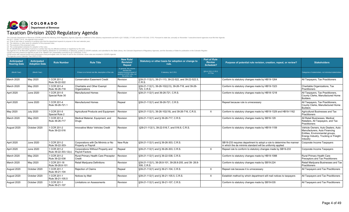

| Anticipated<br><b>Hearing Date</b> | <b>Anticipated</b><br><b>Adoption Date</b> | <b>Rule Number</b>                  | <b>Rule Title</b>                                          | <b>New Rule/</b><br><b>Revision/</b><br>Repeal                                                                          | Statutory or other basis for adoption or change to<br>rule.          | <b>Part of Rule</b><br><b>Review</b><br><b>Schedule?</b> | Purpose of potential rule revision, creation, repeal, or review?                                                                   | <b>Stakeholders</b>                                                                                                                                        |
|------------------------------------|--------------------------------------------|-------------------------------------|------------------------------------------------------------|-------------------------------------------------------------------------------------------------------------------------|----------------------------------------------------------------------|----------------------------------------------------------|------------------------------------------------------------------------------------------------------------------------------------|------------------------------------------------------------------------------------------------------------------------------------------------------------|
| (Month Year)                       | (Month Year)                               |                                     | If there is no formal rule title, description of the rule. | In general, this column<br>denotes the<br>creation/revision/repeal of<br>sections of CCR rules, not<br>the entire rule. | If statutory, list C.R.S.                                            | §24-4-103.3, C.R.S.<br>X if Yes                          |                                                                                                                                    | Categories of stakeholders, not individual stakeholders.                                                                                                   |
| March 2020                         | May 2020                                   | 1 CCR 201-2<br>Rule 39-22-522       | <b>Conservation Easement Credit</b>                        | Revision                                                                                                                | S39-21-112(1), 39-21-113, 39-22-522, and 39-22-522.5,<br>IC.R.S.     |                                                          | Conform to statutory changes made by HB19-1264                                                                                     | All Taxpayers, Tax Practitioners                                                                                                                           |
| March 2020                         | May 2020                                   | 1 CCR 201-4<br>Rule 39-26-718       | Charitable and Other Exempt<br>Organizations               | Revision                                                                                                                | S39-21-112(1), 39-26-102(2.5), 39-26-718, and 39-26-<br>725, C.R.S.  |                                                          | Conform to statutory changes made by HB19-1323                                                                                     | Charitable Organizations, Tax<br>Practitioners                                                                                                             |
| April 2020                         | <b>June 2020</b>                           | 1 CCR 201-5<br>Special Rule 30      | <b>Manufactured Homes</b>                                  | Revision                                                                                                                | §39-21-112(1) and 39-26-721, C.R.S.                                  |                                                          | Conform to statutory changes made by HB18-1218                                                                                     | All Taxpayers, Tax Practitioners,<br>County Clerks, Manufactured Home<br>Builders                                                                          |
| April 2020                         | <b>June 2020</b>                           | 1 CCR 201-4<br>Rule 39-26-721.1     | <b>Manufactured Homes</b>                                  | Repeal                                                                                                                  | §39-21-112(1) and 39-26-721, C.R.S.                                  |                                                          | Repeal because rule is unnecessary                                                                                                 | All Taxpayers, Tax Practitioners,<br>County Clerks, Manufactured Home<br>Builders                                                                          |
| May 2020                           | <b>July 2020</b>                           | 1 CCR 201-5<br>Special Rule 2       | Agricultural Products and Equipment                        | Revision                                                                                                                | \$39-21-112(1), 39-26-102(19), and 39-26-716, C.R.S.                 | $\times$                                                 | Conform to statutory changes made by HB19-1329 and HB19-1162                                                                       | Agricultural Businesses and Tax<br>Practitioners                                                                                                           |
| March 2020                         | May 2020                                   | 1 CCR 201-4<br>Rule 39-26-717       | Medical Material, Equipment, and<br><b>Drugs</b>           | Revision                                                                                                                | S39-21-112(1) and § 39-26-717, C.R.S.                                |                                                          | Conform to statutory changes made by SB18-129                                                                                      | All Retail Businesses. Medical<br>Retailers, All Taxpayers, and Tax<br>Practitioners                                                                       |
| August 2020                        | October 2020                               | 1 CCR 201-2<br>Rule 39-22-516       | Innovative Motor Vehicles Credit                           | Revision                                                                                                                | §39-21-112(1), 39-22-516.7, and 516.8, C.R.S.                        |                                                          | Conform to statutory changes made by HB19-1159                                                                                     | Vehicle Owners, Auto Dealers, Auto<br>Manufacturers. Auto Financing<br>Entities, Environmental groups,<br>Energy Industry, Trucking or Freight<br>Industry |
| April 2020                         | June 2020                                  | 1 CCR 201-2<br>Rule 39-22-303-      | Corporations with De Minimis or No<br>Property or Payroll  | New Rule                                                                                                                | \$39-21-112(1) and \$39-26-303, C.R.S.                               |                                                          | SB19-233 requires department to adopt a rule to determine the manner<br>in which the de minimis standard will be uniformly applied | Corporate Income Taxpayers                                                                                                                                 |
| April 2020                         | <b>June 2020</b>                           | 1 CCR 201-2<br>Rule 39-22-303.12(c) | Corporations Without Property and<br>Pavroll Factors       | Repeal                                                                                                                  | S39-21-112(1) and § 39-26-303, C.R.S.                                | $\times$                                                 | Repeal rule to conform to statutory changes made by SB19-233                                                                       | Corporate Income Taxpayers                                                                                                                                 |
| March 2020                         | May 2020                                   | 1 CCR 201-2<br>Rule 39-22-538       | Rural Primary Health Care Preceptor<br>Credit              | Revision                                                                                                                | §39-21-112(1) and § 39-22-538, C.R.S.                                |                                                          | Conform to statutory changes made by HB19-1088                                                                                     | Rural Primary Health Care<br>Preceptors and Tax Practitioners                                                                                              |
| March 2020                         | May 2020                                   | 1 CCR 201-18<br>Rule 39-28.8-101    | Retail Mariiuana Definitions                               | Revision                                                                                                                | §39-21-112(1), 39-28.8-101, 39-28.8-205, and 39-28.8-<br>308, C.R.S. |                                                          | Conform to statutory changes made by SB19-224                                                                                      | Retail Marijuana Businesses and Tax<br>Practitioners                                                                                                       |
| August 2020                        | October 2020                               | 1 CCR 201-1<br>Rule 39-21-104       | Rejection of Claims                                        | Repeal                                                                                                                  | \$39-21-112(1) and § 39-21-104, C.R.S.                               | $\times$                                                 | Repeal rule because it is unnecessary                                                                                              | All Taxpayers and Tax Practitioners                                                                                                                        |
| August 2020                        | October 2020                               | 1 CCR 201-1<br>Rule 39-21-105.5     | Notices by Mail                                            | Revision                                                                                                                | S39-21-112(1) and § 39-21-105.5, C.R.S.                              | X                                                        | Establish method by which department will mail notices to taxpayers                                                                | All Taxpayers and Tax Practitioners                                                                                                                        |
| August 2020                        | October 2020                               | 1 CCR 201-1<br>Rule 39-21-107       | Limitations on Assessments                                 | Revision                                                                                                                | S39-21-112(1) and § 39-21-107, C.R.S.                                |                                                          | Conform to statutory changes made by SB19-035                                                                                      | All Taxpayers and Tax Practitioners                                                                                                                        |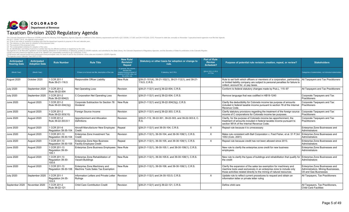## COLORADO Taxation Division 2020 Regulatory Agenda

The Colorado Department of Revenue (CDOR) submits the following 2020 Regulatory Agenda (Agenda) in fulfillment of the statutory requirements set forth in §2-7-202(6), 2-7-203, and 24-4-103.3(4), C.R.S. Pursuant to state la

| Anticipated<br><b>Hearing Date</b> | <b>Anticipated</b><br><b>Adoption Date</b> | <b>Rule Number</b>                         | <b>Rule Title</b>                                                  | <b>New Rule/</b><br><b>Revision/</b><br><b>Repeal</b>                                                                   | Statutory or other basis for adoption or change to<br>rule.            | <b>Part of Rule</b><br><b>Review</b><br><b>Schedule?</b> | Purpose of potential rule revision, creation, repeal, or review?                                                                                                                                                                       | <b>Stakeholders</b>                                                                            |
|------------------------------------|--------------------------------------------|--------------------------------------------|--------------------------------------------------------------------|-------------------------------------------------------------------------------------------------------------------------|------------------------------------------------------------------------|----------------------------------------------------------|----------------------------------------------------------------------------------------------------------------------------------------------------------------------------------------------------------------------------------------|------------------------------------------------------------------------------------------------|
| (Month Year)                       | (Month Year)                               |                                            | If there is no formal rule title, description of the rule.         | In general, this column<br>denotes the<br>creation/revision/repeal of<br>sections of CCR rules, not<br>the entire rule. | If statutory, list C.R.S.                                              | \$24-4-103.3, C.R.S.<br>X if Yes                         |                                                                                                                                                                                                                                        | Categories of stakeholders, not individual stakeholders                                        |
| August 2020                        | October 2020                               | 1 CCR 201-1<br>Rule 39-21-116.5            | Responsible Officer Liability                                      | New Rule                                                                                                                | §39-21-101(4), 39-21-102(1), 39-21-112(1), and 39-21-<br>116.5, C.R.S. |                                                          | Rule to set forth which officers or members of a corporation, partnership, All Taxpayers and Tax Practitioners<br>or limited liability company are subject to personal penalties for failure to<br>collect, account for, or pay taxes. |                                                                                                |
| <b>July 2020</b>                   | September 2020                             | 1 CCR 201-2<br>Rule 39-22-504              | Net Operating Loss                                                 | Revision                                                                                                                | §39-21-112(1) and § 39-22-504, C.R.S.                                  |                                                          | Conform to federal statutory changes made by Pub.L. 115-97                                                                                                                                                                             | All Taxpayers and Tax Practitioners                                                            |
| <b>July 2020</b>                   | September 2020                             | 1 CCR 201-2<br>Rule 39-22-504(2)           | C Corporation Net Operating Loss                                   | Revision                                                                                                                | §39-21-112(1) and § 39-22-504, C.R.S.                                  |                                                          | Remove language that was codified in HB19-1240                                                                                                                                                                                         | Corporate Taxpayers and Tax<br><b>Practitioners</b>                                            |
| <b>June 2020</b>                   | August 2020                                | 1 CCR 201-2<br>Rule 39-22-304(3)(i)        | Corporate Subtraction for Section 78<br>Dividend                   | New Rule                                                                                                                | §39-21-112(1) and § 39-22-304(3)(i), C.R.S.                            |                                                          | Clarify the deductibility for Colorado income tax purpose of amounts<br>included in federal taxable income pursuant to section 78 of the Internal<br>Revenue Code.                                                                     | Corporate Taxpayers and Tax<br><b>Practitioners</b>                                            |
| <b>June 2020</b>                   | August 2020                                | 1 CCR 201-2<br>Rule 39-22-303(10)          | Foreign Source Income                                              | Revision                                                                                                                | §39-21-112(1) and § 39-22-303, C.R.S.                                  |                                                          | Clarify statutory provisions regarding the treatment of the foreign source<br>income of C corporations for Colorado income tax purposes.                                                                                               | Corporate Taxpayers and Tax<br>Practitioners                                                   |
| <b>June 2020</b>                   | August 2020                                | 1 CCR 201-2<br>Rule 39-22-303.6-1          | Apportionment and Allocation<br>Definitions                        | Revision                                                                                                                | §39-21-112, 39-22-301, 39-22-303, and 39-22-303.6, C.<br>R.S.          |                                                          | Clarify, for the purpose of Colorado income tax apportionment, the<br>treatment of amounts included in federal taxable income pursuant to<br>section 951A of the Internal Revenue Code.                                                | Corporate Taxpayers and Tax<br><b>Practitioners</b>                                            |
| <b>June 2020</b>                   | August 2020                                | 1 CCR 201-6<br>Regulation 39-35-104        | Aircraft Manufacturer New Employee<br>Credit                       | Repeal                                                                                                                  | §39-21-112(1) and 39-35-104, C.R.S.                                    | $\times$                                                 | Repeal rule because it is unnecessary                                                                                                                                                                                                  | Enterprise Zone Businesses and<br>Administrators                                               |
| <b>June 2020</b>                   | August 2020                                | 1 CCR 201-13<br>Regulation 39-30-104       | Enterprise Zone Investment Tax<br>Credit                           | Revision                                                                                                                | §39-21-112(1), 39-30-104, and 39-30-108(1), C.R.S.                     | $\times$                                                 | Make rule consistent with Ball Corporation v. Fred Fisher, et al. 51 P.3rd<br>1053 (Colo. 2001)                                                                                                                                        | Enterprise Zone Businesses and<br>Administrators                                               |
| <b>June 2020</b>                   | August 2020                                | 1 CCR 201-13<br>Regulation 39-30-105       | <b>Enterprise Zone New Business</b><br>Facility Employee Credit    | Repeal                                                                                                                  | §39-21-112(1), 39-30-105, and 39-30-108(1), C.R.S.                     | $\times$                                                 | Repeal rule because credit has not been allowed since 2013.                                                                                                                                                                            | Enterprise Zone Businesses and<br>Administrators                                               |
| <b>June 2020</b>                   | August 2020                                | 1 CCR 201-13<br>Regulation 39-30-<br>105.1 | Enterprise Zone Business Employees   New Rule                      |                                                                                                                         | §39-21-112(1), 39-30-105.1, and 39-30-108(1), C.R.S.                   |                                                          | New rule to clarify the enterprise zone credit for new business<br>employees.                                                                                                                                                          | Enterprise Zone Businesses and<br>Administrators                                               |
| <b>June 2020</b>                   | August 2020                                | 1 CCR 201-13<br>Regulation 39-30-<br>105.6 | Enterprise Zone Rehabilitation of<br>Vacant Buildings              | New Rule                                                                                                                | §39-21-112(1), 39-30-105.6, and 39-30-108(1), C.R.S.                   |                                                          | New rule to clarify the types of buildings and rehabilitation that qualify for<br>the credit                                                                                                                                           | Enterprise Zone Businesses and<br>Administrators                                               |
| <b>June 2020</b>                   | August 2020                                | 1 CCR 201-13<br>Regulation 39-30-106       | Enterprise Zone Machinery and<br>Machine Tools Sales Tax Exemption | New Rule                                                                                                                | §39-21-112(1), 39-30-106, and 39-30-108(1), C.R.S.                     |                                                          | Clarify the expansion of the sales tax exemption for machinery and<br>machine tools used exclusively in an enterprise zone to include only<br>those activities related directly to the mining of natural resources                     | Enterprise Zone Businesses and<br>Administrators, Mining Businesses,<br>Oil and Gas Businesses |
| <b>July 2020</b>                   | September 2020                             | 1 CCR 201-1<br>Regulation 24-35-<br>103.5  | Information Letters and Private Letter<br>Rulinas                  | Revision                                                                                                                | §39-21-112(1) and 24-35-103.5, C.R.S.                                  | $\times$                                                 | Update rule to reflect current procedures to request and obtain an<br>information letter or private letter ruling                                                                                                                      | All Taxpayers, Tax Practitioners                                                               |
| September 2020                     | November 2020                              | 1 CCR 201-2<br>Rule 39-22-121              | Child Care Contribution Credit                                     | Revision                                                                                                                | §39-21-112(1) and § 39-22-121, C.R.S.                                  |                                                          | Define child care                                                                                                                                                                                                                      | All Taxpayers, Tax Practitioners,<br><b>Child Care Facilities</b>                              |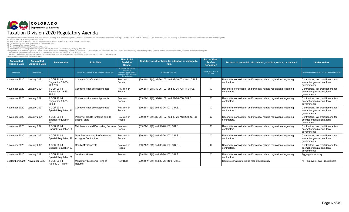## COLORADO Taxation Division 2020 Regulatory Agenda

The Colorado Department of Revenue (CDOR) submits the following 2020 Regulatory Agenda (Agenda) in fulfillment of the statutory requirements set forth in §2-7-202(6), 2-7-203, and 24-4-103.3(4), C.R.S. Pursuant to state la

| Anticipated<br><b>Hearing Date</b> | Anticipated<br><b>Adoption Date</b> | <b>Rule Number</b>                               | <b>Rule Title</b>                                          | <b>New Rule/</b><br><b>Revision/</b><br>Repeal                                                                          | Statutory or other basis for adoption or change to<br>rule. | <b>Part of Rule</b><br><b>Review</b><br><b>Schedule?</b> | Purpose of potential rule revision, creation, repeal, or review?                    | <b>Stakeholders</b>                                                                |
|------------------------------------|-------------------------------------|--------------------------------------------------|------------------------------------------------------------|-------------------------------------------------------------------------------------------------------------------------|-------------------------------------------------------------|----------------------------------------------------------|-------------------------------------------------------------------------------------|------------------------------------------------------------------------------------|
| (Month Year)                       | (Month Year)                        |                                                  | If there is no formal rule title, description of the rule. | In general, this column<br>denotes the<br>creation/revision/repeal of<br>sections of CCR rules, not<br>the entire rule. | If statutory, list C.R.S.                                   | §24-4-103.3, C.R.S.<br>X if Yes                          |                                                                                     | Categories of stakeholders, not individual stakeholders                            |
| November 2020                      | January 2021                        | 1 CCR 201-4<br>Regulation 39-26-<br>703.2(c)     | l Contractor's refund claim                                | Revision or<br>Repeal                                                                                                   | S39-21-112(1), 39-26-107, and 39-26-703(2)(c), C.R.S.       | $\times$                                                 | Reconcile, consolidate, and/or repeal related regulations regarding<br>contractors. | Contractors, tax practitioners, tax-<br>exempt organizations, local<br>governments |
| November 2020                      | January 2021                        | 1 CCR 201-4<br>Regulation 39-26-<br>708.1        | Contractors for exempt projects                            | Revision or<br>Repeal                                                                                                   | \$39-21-112(1), 39-26-107, and 39-26-708(1), C.R.S.         | $\times$                                                 | Reconcile, consolidate, and/or repeal related regulations regarding<br>contractors. | Contractors, tax practitioners, tax-<br>exempt organizations, local<br>governments |
| November 2020                      | January 2021                        | 1 CCR 201-4<br>Regulation 39-26-<br>708.3        | Contractors for exempt projects                            | Revision or<br>Repeal                                                                                                   | \$39-21-112(1), 39-26-107, and 39-26-708, C.R.S.            | X                                                        | Reconcile, consolidate, and/or repeal related regulations regarding<br>contractors. | Contractors, tax practitioners, tax-<br>exempt organizations, local<br>governments |
| November 2020                      | January 2021                        | 1 CCR 201-4<br>Special Regulation 10             | Contractors for exempt projects                            | Revision or<br>Repeal                                                                                                   | \$39-21-112(1) and 39-26-107, C.R.S.                        | X                                                        | Reconcile, consolidate, and/or repeal related regulations regarding<br>contractors. | Contractors, tax practitioners, tax-<br>exempt organizations, local<br>governments |
| November 2020                      | January 2021                        | 1 CCR 201-4<br><b>Special Requlation</b><br>10.1 | Priority of credits for taxes paid to<br>another state     | Revision or<br>Repeal                                                                                                   | \$39-21-112(1), 39-26-107, and 39-26-713(2)(f), C.R.S.      | $\times$                                                 | Reconcile, consolidate, and/or repeal related regulations regarding<br>contractors. | Contractors, tax practitioners, tax-<br>exempt organizations, local<br>governments |
| November 2020                      | January 2021                        | 1 CCR 201-4<br>Special Regulation 28             | Maintenance and Decorating Services                        | Revision or<br>Repeal                                                                                                   | \$39-21-112(1) and 39-26-107, C.R.S.                        | X                                                        | Reconcile, consolidate, and/or repeal related regulations regarding<br>contractors. | Contractors, tax practitioners, tax-<br>exempt organizations, local<br>governments |
| November 2020                      | January 2021                        | CCR 201-4<br>Special Regulation 29               | Manufacturers and Prefabricators<br>Acting as Contractors  | Revision or<br>Repeal                                                                                                   | \$39-21-112(1) and 39-26-107, C.R.S                         | X                                                        | Reconcile, consolidate, and/or repeal related regulations regarding<br>contractors. | Contractors, tax practitioners, tax-<br>exempt organizations, local<br>governments |
| November 2020                      | January 2021                        | CCR 201-4<br>Special Regulation 37               | Ready-Mix Concrete                                         | Revision or<br>Repeal                                                                                                   | \$39-21-112(1) and 39-26-107, C.R.S.                        | X                                                        | Reconcile, consolidate, and/or repeal related regulations regarding<br>contractors. | Contractors, tax practitioners, tax-<br>exempt organizations, local<br>governments |
| November 2020                      | January 2021                        | 1 CCR 201-4<br>Special Regulation 39             | Sand and Gravel                                            | Review                                                                                                                  | \$39-21-112(1) and 39-26-107, C.R.S.                        | X                                                        | Reconcile, consolidate, and/or repeal related regulations regarding<br>contractors. | Aggregate Industry                                                                 |
| September 2020                     | November 2020                       | 1 CCR 201-1<br>Rule 39-21-119.5                  | Mandatory Electronic Filing of<br>Returns                  | New Rule                                                                                                                | \$39-21-112(1) and 39-26-119.5, C.R.S.                      |                                                          | Require certain returns be filed electronically                                     | All Taxpayers, Tax Practitioners                                                   |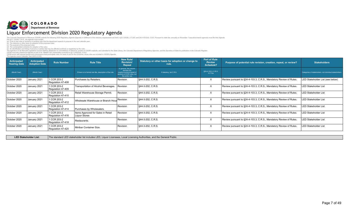## **COLORADO**<br>Department of Revenue Liquor Enforcement Division 2020 Regulatory Agenda

The Colorado Department of Revenue (CDOR) submits the following 2020 Regulatory Agenda (Agenda) in fulfillment of the statutory requirements set forth in §2-7-202(6), 2-7-203, and 24-4-103.3(4), C.R.S. Pursuant to state la

| Anticipated<br><b>Hearing Date</b> | Anticipated<br><b>Adoption Date</b> | <b>Rule Number</b>               | <b>Rule Title</b>                                          | <b>New Rule/</b><br><b>Revision/</b><br>Repeal                                                                          | Statutory or other basis for adoption or change to<br>rule. | <b>Part of Rule</b><br><b>Review</b><br><b>Schedule?</b> | Purpose of potential rule revision, creation, repeal, or review?   | <b>Stakeholders</b>                                      |
|------------------------------------|-------------------------------------|----------------------------------|------------------------------------------------------------|-------------------------------------------------------------------------------------------------------------------------|-------------------------------------------------------------|----------------------------------------------------------|--------------------------------------------------------------------|----------------------------------------------------------|
| (Month Year)                       | (Month Year)                        |                                  | If there is no formal rule title, description of the rule. | In general, this column<br>denotes the<br>creation/revision/repeal of<br>sections of CCR rules, not<br>the entire rule. | If statutory, list C.R.S.                                   | §24-4-103.3, C.R.S.<br>X if Yes                          |                                                                    | Categories of stakeholders, not individual stakeholders. |
| October 2020                       | January 2021                        | 1 CCR 203-2<br>Regulation 47-408 | Purchases by Retailers.                                    | Revision                                                                                                                | \$44-3-202, C.R.S.                                          | X                                                        | Review pursuant to §24-4-103.3, C.R.S., Mandatory Review of Rules. | LED Stakeholder List (see below)                         |
| October 2020                       | January 2021                        | 1 CCR 203-2<br>Regulation 47-409 | Transportation of Alcohol Beverages.                       | Revision                                                                                                                | §44-3-202, C.R.S.                                           | X                                                        | Review pursuant to §24-4-103.3, C.R.S., Mandatory Review of Rules. | <b>LED Stakeholder List</b>                              |
| October 2020                       | January 2021                        | 1 CCR 203-2<br>Regulation 47-410 | Retail Warehouse Storage Permit.                           | Revision                                                                                                                | \$44-3-202, C.R.S.                                          | X                                                        | Review pursuant to §24-4-103.3, C.R.S., Mandatory Review of Rules. | <b>LED Stakeholder List</b>                              |
| October 2020                       | January 2021                        | 1 CCR 203-2<br>Regulation 47-412 | Wholesale Warehouse or Branch Hous                         | Revision                                                                                                                | §44-3-202, C.R.S.                                           | X                                                        | Review pursuant to §24-4-103.3, C.R.S., Mandatory Review of Rules. | <b>LED Stakeholder List</b>                              |
| October 2020                       | January 2021                        | 1 CCR 203-2<br>Regulation 47-414 | Purchases by Wholesalers.                                  | Revision                                                                                                                | \$44-3-202, C.R.S.                                          | X                                                        | Review pursuant to §24-4-103.3, C.R.S., Mandatory Review of Rules. | <b>LED Stakeholder List</b>                              |
| October 2020                       | January 2021                        | 1 CCR 203-2<br>Regulation 47-416 | Items Approved for Sales in Retail<br>Liquor Stores        | Revision                                                                                                                | \$44-3-202, C.R.S.                                          | X                                                        | Review pursuant to §24-4-103.3, C.R.S., Mandatory Review of Rules. | <b>LED Stakeholder List</b>                              |
| October 2020                       | January 2021                        | 1 CCR 203-2<br>Regulation 47-418 | Restaurants.                                               | Revision                                                                                                                | §44-3-202, C.R.S.                                           | X                                                        | Review pursuant to §24-4-103.3, C.R.S., Mandatory Review of Rules. | <b>LED Stakeholder List</b>                              |
| October 2020                       | January 2021                        | 1 CCR 203-2<br>Regulation 47-420 | Minibar Container Size.                                    | Revision                                                                                                                | \$44-3-202, C.R.S.                                          | X                                                        | Review pursuant to §24-4-103.3, C.R.S., Mandatory Review of Rules. | <b>LED Stakeholder List</b>                              |

LED Stakeholder List: The standard LED stakeholder list includes LED, Liquor Licensees, Local Licensing Authorities, and the General Public.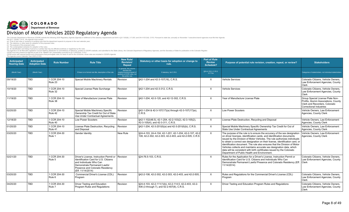## COLORADO Division of Motor Vehicles 2020 Regulatory Agenda

The Colorado Department of Revenue (CDOR) submits the following 2020 Regulatory Agenda (Agenda) in fulfillment of the statutory requirements set forth in §2-7-202(6), 2-7-203, and 24-4-103.3(4), C.R.S. Pursuant to state la

| Anticipated<br><b>Hearing Date</b> | Anticipated<br><b>Adoption Date</b> | <b>Rule Number</b>      | <b>Rule Title</b>                                                                                                                                                                                             | <b>New Rule/</b><br><b>Revision/</b><br><b>Repeal</b>                                                                   | Statutory or other basis for adoption or change to<br>rule.                                                       | <b>Part of Rule</b><br><b>Review</b><br><b>Schedule?</b> | Purpose of potential rule revision, creation, repeal, or review?                                                                                                                                                                                                                                                                                                                                                                                                                                                                                                                                | <b>Stakeholders</b>                                                                                                                  |
|------------------------------------|-------------------------------------|-------------------------|---------------------------------------------------------------------------------------------------------------------------------------------------------------------------------------------------------------|-------------------------------------------------------------------------------------------------------------------------|-------------------------------------------------------------------------------------------------------------------|----------------------------------------------------------|-------------------------------------------------------------------------------------------------------------------------------------------------------------------------------------------------------------------------------------------------------------------------------------------------------------------------------------------------------------------------------------------------------------------------------------------------------------------------------------------------------------------------------------------------------------------------------------------------|--------------------------------------------------------------------------------------------------------------------------------------|
| (Month Year)                       | (Month Year)                        |                         | If there is no formal rule title, description of the rule.                                                                                                                                                    | In general, this column<br>denotes the<br>creation/revision/repeal of<br>sections of CCR rules, not<br>the entire rule. | If statutory, list C.R.S.                                                                                         | §24-4-103.3, C.R.S.<br>X if Yes                          |                                                                                                                                                                                                                                                                                                                                                                                                                                                                                                                                                                                                 | Categories of stakeholders, not individual stakeholders                                                                              |
| 09/19/20                           | <b>TBD</b>                          | 1 CCR 204-10<br>Rule 23 | Special Mobile Machinery Rentals                                                                                                                                                                              | Revision                                                                                                                | §42-1-204 and 42-3-107(16), C.R.S.                                                                                | $\times$                                                 | Vehicle Services                                                                                                                                                                                                                                                                                                                                                                                                                                                                                                                                                                                | Colorado Citizens. Vehicle Owners.<br>Law Enforcement Agencies, County<br>Clerk                                                      |
| 10/19/20                           | <b>TBD</b>                          | 1 CCR 204-10<br>Rule 32 | Special License Plate Surcharge                                                                                                                                                                               | Revision                                                                                                                | \$42-1-204 and 42-3-312, C.R.S.                                                                                   | $\times$                                                 | Vehicle Services                                                                                                                                                                                                                                                                                                                                                                                                                                                                                                                                                                                | Colorado Citizens, Vehicle Owners.<br>Law Enforcement Agencies, County<br>Clerk                                                      |
| 11/19/20                           | <b>TBD</b>                          | 1 CCR 204-10<br>Rule 38 | Year of Manufacture License Plate                                                                                                                                                                             | Revision                                                                                                                | §42-1-204, 42-3-120, and 42-12-302, C.R.S.                                                                        | $\times$                                                 | Year of Manufacture License Plate                                                                                                                                                                                                                                                                                                                                                                                                                                                                                                                                                               | Group Special License Plate Non-<br>Profits, Alumni Associations, County<br>Clerk and Recorders, Colorado<br>Correctional Industries |
| 02/20/20                           | <b>TBD</b>                          | 1 CCR 204-10<br>Rule 42 | Special Mobile Machinery Specific<br>Ownership Tax Credit for Out of State<br>Use Under Contractual Agreements                                                                                                | Revision                                                                                                                | §42-1-204 & 42-3-107(17)(a) through 42-3-107(17)(e),<br>C.R.S.                                                    | $\times$                                                 | Low Power Scooters                                                                                                                                                                                                                                                                                                                                                                                                                                                                                                                                                                              | Vehicle Owners. Law Enforcement<br>Agencies, County Clerk                                                                            |
| 12/18/20                           | <b>TBD</b>                          | 1 CCR 204-10<br>Rule 40 | Low Power Scooters                                                                                                                                                                                            | Revision                                                                                                                | §42-1-102(48.5), 42-1-204, 42-2-103(2), 42-3-105(2),<br>42-3-105(4), and 42-3-311, C.R.S.                         | $\times$                                                 | License Plate Destruction, Recycling and Disposal                                                                                                                                                                                                                                                                                                                                                                                                                                                                                                                                               | Vehicle Owners, Law Enforcement<br>Agencies, County Clerk                                                                            |
| 01/20/20                           | <b>TBD</b>                          | 1 CCR 204-10<br>Rule 41 | License Plate Destruction, Recycling<br>and Disposal                                                                                                                                                          | Revision                                                                                                                | §42-1-204, 42-3-201(6)(a) and 42-3-201(6)(b), C.R.S.                                                              | $\times$                                                 | Special Mobile Machinery Specific Ownership Tax Credit for Out of<br>State Use Under Contractual Agreements                                                                                                                                                                                                                                                                                                                                                                                                                                                                                     | Vehicle Owners, Law Enforcement<br>Agencies, County Clerk                                                                            |
| 03/20/20                           | <b>TBD</b>                          | 1 CCR 204-30<br>Rule 1  | <b>Gender Identity</b>                                                                                                                                                                                        | New Rule                                                                                                                | §24-4-103, 24-4-104, 42-1-201, 42-1-204, 42-2-107, 42-2<br>108, 42-2-302, 42-2-303, 42-2-403, and 42-2-505, C.R.S | $\times$                                                 | The purpose of the rule is to ensure the accuracy of the sex designation<br>on driver licenses, identification cards, and identification documents<br>issued by the Division of Motor Vehicles. The rule authorizes individuals<br>to obtain a correct sex designation on their license, identification card, or<br>identification document. The rule also ensures that the Division of Motor<br>Vehicles collects and maintains accurate sex designation data, which<br>data will be consistent with birth certificates issued by the Colorado<br>Department of Public Health and Environment. | Vehicle Owners. Law Enforcement<br>Agencies, County Clerk                                                                            |
| 02/21/20                           | <b>TBD</b>                          | 1 CCR 204-30<br>Rule 5  | Driver's License. Instruction Permit or IRevision<br>Identification Card for U.S. Citizens<br>and Individuals Who Can<br>Demonstrate Permanent Lawful<br>Presence and Colorado Residency<br>(Eff. 11/14/2014) |                                                                                                                         | §24-76.5-103, C.R.S.                                                                                              | $\times$                                                 | Rules for the Application for a Driver's License, Instruction Permit or<br>Identification Card for U.S. Citizens and Individuals Who Can<br>Demonstrate Permanent Lawful Presence and Colorado Residency (Eff.<br>11/14/2014)                                                                                                                                                                                                                                                                                                                                                                   | Colorado Citizens, Vehicle Owners.<br>Law Enforcement Agencies, County<br>Clerk                                                      |
| 03/20/20                           | <b>TBD</b>                          | 1 CCR 204-30<br>Rule 6  | Commercial Driver's License (CDL)<br>Program                                                                                                                                                                  | Revision                                                                                                                | §42-2-108, 42-2-302, 42-2-303, 42-2-403, and 42-2-505.                                                            | $\times$                                                 | Rules and Requlations for the Commercial Driver's License (CDL)<br>Program                                                                                                                                                                                                                                                                                                                                                                                                                                                                                                                      | Colorado Citizens, Vehicle Owners.<br>Law Enforcement Agencies, County<br>Clerk                                                      |
| 04/20/20                           | <b>TBD</b>                          | 1 CCR 204-30<br>Rule 7  | <b>Driver Testing and Education</b><br>Program Rules and Regulations                                                                                                                                          | Revision                                                                                                                | §24-4-103, 42-2-111(1)(b), 42-2-114.5, 42-2-403, 42-2-<br>406 (3 through 7), and 42-2-407(8), C.R.S.              | $\times$                                                 | Driver Testing and Education Program Rules and Regulations                                                                                                                                                                                                                                                                                                                                                                                                                                                                                                                                      | Colorado Citizens, Vehicle Owners,<br>Law Enforcement Agencies, County<br><b>Clerk</b>                                               |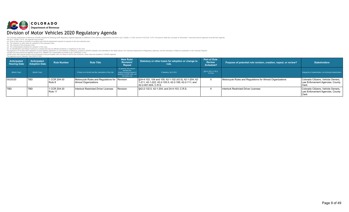## COLORADO Division of Motor Vehicles 2020 Regulatory Agenda

The Colorado Department of Revenue (CDOR) submits the following 2020 Regulatory Agenda (Agenda) in fulfillment of the statutory requirements set forth in §2-7-202(6), 2-7-203, and 24-4-103.3(4), C.R.S. Pursuant to state la

| Anticipated<br><b>Hearing Date</b> | <b>Anticipated</b><br><b>Adoption Date</b> | <b>Rule Number</b>      | <b>Rule Title</b>                                                     | New Rule/<br>Revision/<br>Repeal                                                                                        | Statutory or other basis for adoption or change to<br>rule.                                                                            | Part of Rule<br><b>Review</b><br>Schedule? | Purpose of potential rule revision, creation, repeal, or review? | <b>Stakeholders</b>                                                             |
|------------------------------------|--------------------------------------------|-------------------------|-----------------------------------------------------------------------|-------------------------------------------------------------------------------------------------------------------------|----------------------------------------------------------------------------------------------------------------------------------------|--------------------------------------------|------------------------------------------------------------------|---------------------------------------------------------------------------------|
| (Month Year)                       | (Month Year)                               |                         | If there is no formal rule title, description of the rule.            | In general, this column<br>denotes the<br>creation/revision/repeal of<br>sections of CCR rules, not<br>the entire rule. | If statutory, list C.R.S.                                                                                                              | §24-4-103.3, C.R.S.<br>X if Yes            |                                                                  | Categories of stakeholders, not individual stakeholders.                        |
| 05/20/20                           | <b>TBD</b>                                 | 1 CCR 204-30<br>Rule 8  | Motorcycle Rules and Regulations for Revision<br>Almost Organizations |                                                                                                                         | S24-4-103, 104 and 105; 42-1-102 (43.5); 42-1-204; 42-<br>1-211; 42-1-222; 42-2-105.5; 42-2-106; 42-2-111; and<br>42-2-601-604, C.R.S. |                                            | Motorcycle Rules and Regulations for Almost Organizations        | Colorado Citizens, Vehicle Owners,<br>Law Enforcement Agencies, County<br>Clerk |
| <b>TBD</b>                         | <b>TBD</b>                                 | 1 CCR 204-30<br>Rule 11 | Interlock Restricted Driver Licenses                                  | Revision                                                                                                                | S42-2-132.5, 42-1-204, and 24-4-103, C.R.S.                                                                                            |                                            | Interlock Restricted Driver Licenses                             | Colorado Citizens. Vehicle Owners.<br>Law Enforcement Agencies, County<br>Clerk |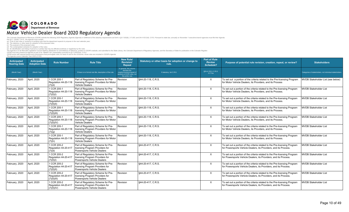

| Anticipated<br><b>Hearing Date</b> | <b>Anticipated</b><br><b>Adoption Date</b> | <b>Rule Number</b>                                 | <b>Rule Title</b>                                                                                     | <b>New Rule/</b><br><b>Revision/</b><br>Repeal                                                                          | Statutory or other basis for adoption or change to<br>rule. | <b>Part of Rule</b><br><b>Review</b><br>Schedule? | Purpose of potential rule revision, creation, repeal, or review?                                                                              | <b>Stakeholders</b>                                      |
|------------------------------------|--------------------------------------------|----------------------------------------------------|-------------------------------------------------------------------------------------------------------|-------------------------------------------------------------------------------------------------------------------------|-------------------------------------------------------------|---------------------------------------------------|-----------------------------------------------------------------------------------------------------------------------------------------------|----------------------------------------------------------|
| (Month Year)                       | (Month Year)                               |                                                    | If there is no formal rule title, description of the rule.                                            | In general, this column<br>denotes the<br>creation/revision/repeal of<br>sections of CCR rules, not<br>the entire rule. | If statutory, list C.R.S.                                   | §24-4-103.3, C.R.S.<br>X if Yes                   |                                                                                                                                               | Categories of stakeholders, not individual stakeholders. |
| February, 2020                     | April, 2020                                | 1 CCR 205-1<br>Regulation 44-20-118<br>(7)(d)      | Part of Regulatory Scheme for Pre-<br>licensing Program Providers for Motor<br><b>Vehicle Dealers</b> | Revision                                                                                                                | \$44-20-118, C.R.S.                                         | $\times$                                          | To set out a portion of the criteria related to the Pre-licensing Program<br>for Motor Vehicle Dealers, its Providers, and its Process        | MVDB Stakeholder List (see below)                        |
| February, 2020                     | April, 2020                                | 1 CCR 205-1<br>Regulation 44-20-118<br>(7)(f)(I)   | Part of Regulatory Scheme for Pre-<br>licensing Program Providers for Motor<br><b>Vehicle Dealers</b> | Revision                                                                                                                | \$44-20-118, C.R.S.                                         | $\times$                                          | To set out a portion of the criteria related to the Pre-licensing Program<br>for Motor Vehicle Dealers, its Providers, and its Process.       | <b>MVDB Stakeholder List</b>                             |
| February, 2020                     | April, 2020                                | 1 CCR 205-1<br>Regulation 44-20-118<br>(7)(f)(II)  | Part of Regulatory Scheme for Pre-<br>licensing Program Providers for Motor<br><b>Vehicle Dealers</b> | Revision                                                                                                                | §44-20-118, C.R.S.                                          | X                                                 | To set out a portion of the criteria related to the Pre-licensing Program<br>for Motor Vehicle Dealers, its Providers, and its Process.       | <b>MVDB Stakeholder List</b>                             |
| February, 2020                     | April, 2020                                | 1 CCR 205-1<br>Regulation 44-20-118<br>(7)(f)(III) | Part of Regulatory Scheme for Pre-<br>licensing Program Providers for Motor<br><b>Vehicle Dealers</b> | Revision                                                                                                                | §44-20-118, C.R.S.                                          | X                                                 | To set out a portion of the criteria related to the Pre-licensing Program<br>for Motor Vehicle Dealers, its Providers, and its Process.       | <b>MVDB Stakeholder List</b>                             |
| February, 2020                     | April. 2020                                | 1 CCR 205-1<br>Regulation 44-20-118<br>(7)(f)(IV)  | Part of Regulatory Scheme for Pre-<br>licensing Program Providers for Motor<br>Vehicle Dealers        | Revision                                                                                                                | §44-20-118, C.R.S.                                          | $\times$                                          | To set out a portion of the criteria related to the Pre-licensing Program<br>for Motor Vehicle Dealers, its Providers, and its Process.       | <b>MVDB Stakeholder List</b>                             |
| February, 2020                     | April, 2020                                | 1 CCR 205-1<br>Regulation 44-20-118<br>(7)(q)      | Part of Regulatory Scheme for Pre-<br>licensing Program Providers for Motor<br><b>Vehicle Dealers</b> | Revision                                                                                                                | §44-20-118, C.R.S.                                          | $\times$                                          | To set out a portion of the criteria related to the Pre-licensing Program<br>for Motor Vehicle Dealers, its Providers, and its Process.       | <b>MVDB Stakeholder List</b>                             |
| February, 2020                     | April, 2020                                | 1 CCR 205-1<br>Regulation 44-20-118<br>(7)(h)      | Part of Regulatory Scheme for Pre-<br>licensing Program Providers for Motor<br><b>Vehicle Dealers</b> | Revision                                                                                                                | 544-20-118. C.R.S.                                          | X                                                 | To set out a portion of the criteria related to the Pre-licensing Program<br>for Motor Vehicle Dealers, its Providers, and its Process.       | <b>MVDB Stakeholder List</b>                             |
| February, 2020                     | April, 2020                                | 1 CCR 205-2<br>Regulation 44-20-417<br>(7)(d)      | Part of Regulatory Scheme for Pre-<br>licensing Program Providers for<br>Powersports Vehicle Dealers  | Revision                                                                                                                | §44-20-417, C.R.S.                                          | $\times$                                          | To set out a portion of the criteria related to the Pre-licensing Program<br>for Powersports Vehicle Dealers, its Providers, and its Process. | <b>MVDB Stakeholder List</b>                             |
| February, 2020                     | April, 2020                                | 1 CCR 205-2<br>Regulation 44-20-417<br>(7)(f)(I)   | Part of Regulatory Scheme for Pre-<br>licensing Program Providers for<br>Powersports Vehicle Dealers  | Revision                                                                                                                | §44-20-417, C.R.S.                                          | $\times$                                          | To set out a portion of the criteria related to the Pre-licensing Program<br>for Powersports Vehicle Dealers, its Providers, and its Process. | <b>MVDB Stakeholder List</b>                             |
| February, 2020                     | April, 2020                                | 1 CCR 205-2<br>Regulation 44-20-417<br>(7)(f)(II)  | Part of Regulatory Scheme for Pre-<br>licensing Program Providers for<br>Powersports Vehicle Dealers  | Revision                                                                                                                | \$44-20-417, C.R.S.                                         | X                                                 | To set out a portion of the criteria related to the Pre-licensing Program<br>for Powersports Vehicle Dealers, its Providers, and its Process. | <b>MVDB Stakeholder List</b>                             |
| February, 2020                     | April, 2020                                | 1 CCR 205-2<br>Regulation 44-20-417<br>(7)(f)(III) | Part of Regulatory Scheme for Pre-<br>licensing Program Providers for<br>Powersports Vehicle Dealers  | Revision                                                                                                                | §44-20-417, C.R.S.                                          | X                                                 | To set out a portion of the criteria related to the Pre-licensing Program<br>for Powersports Vehicle Dealers, its Providers, and its Process. | <b>MVDB Stakeholder List</b>                             |
| February, 2020                     | April, 2020                                | 1 CCR 205-2<br>Regulation 44-20-417<br>(7)(f)(IV)  | Part of Regulatory Scheme for Pre-<br>licensing Program Providers for<br>Powersports Vehicle Dealers  | Revision                                                                                                                | \$44-20-417, C.R.S.                                         | $\times$                                          | To set out a portion of the criteria related to the Pre-licensing Program<br>for Powersports Vehicle Dealers, its Providers, and its Process. | <b>MVDB Stakeholder List</b>                             |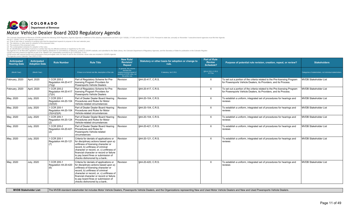

*(c) The purpose of the proposed rules; (d) The contemplated schedule for adoption of the rules;*

(e) An identification and listing of persons or parties that may be affected positively or negatively by the rules.<br>The Agenda is to be filed with Legislative Council Staff for distribution to committe(s) of reference, pos

| Anticipated<br><b>Hearing Date</b> | <b>Anticipated</b><br><b>Adoption Date</b> | <b>Rule Number</b>                                  | <b>Rule Title</b>                                                                                                                                                                                                                                                                                                          | <b>New Rule/</b><br><b>Revision/</b><br>Repeal                                                                          | Statutory or other basis for adoption or change to<br>rule. | <b>Part of Rule</b><br><b>Review</b><br><b>Schedule?</b> | Purpose of potential rule revision, creation, repeal, or review?                                                                              | <b>Stakeholders</b>                                      |
|------------------------------------|--------------------------------------------|-----------------------------------------------------|----------------------------------------------------------------------------------------------------------------------------------------------------------------------------------------------------------------------------------------------------------------------------------------------------------------------------|-------------------------------------------------------------------------------------------------------------------------|-------------------------------------------------------------|----------------------------------------------------------|-----------------------------------------------------------------------------------------------------------------------------------------------|----------------------------------------------------------|
| (Month Year)                       | (Month Year)                               |                                                     | If there is no formal rule title, description of the rule.                                                                                                                                                                                                                                                                 | In general, this column<br>denotes the<br>creation/revision/repeal of<br>sections of CCR rules, not<br>the entire rule. | If statutory, list C.R.S.                                   | \$24-4-103.3, C.R.S.<br>X if Yes                         |                                                                                                                                               | Categories of stakeholders, not individual stakeholders. |
| February, 2020                     | April, 2020                                | 1 CCR 205-2<br>Regulation 44-20-417<br>(7)(q)       | Part of Regulatory Scheme for Pre-<br>licensing Program Providers for<br>Powersports Vehicle Dealers                                                                                                                                                                                                                       | Revision                                                                                                                | §44-20-417, C.R.S.                                          | $\times$                                                 | To set out a portion of the criteria related to the Pre-licensing Program<br>for Powersports Vehicle Dealers, its Providers, and its Process. | <b>MVDB Stakeholder List</b>                             |
| February, 2020                     | April, 2020                                | 1 CCR 205-2<br>Regulation 44-20-417<br>(7)(h)       | Part of Regulatory Scheme for Pre-<br>licensing Program Providers for<br>Powersports Vehicle Dealers                                                                                                                                                                                                                       | Revision                                                                                                                | \$44-20-417, C.R.S.                                         | $\mathsf{X}$                                             | To set out a portion of the criteria related to the Pre-licensing Program<br>for Powersports Vehicle Dealers, its Providers, and its Process. | <b>MVDB Stakeholder List</b>                             |
| May, 2020                          | <b>July, 2020</b>                          | 1 CCR 205-1<br>Regulation 44-20-104<br>(3)(f)(II)   | Part of Dealer Dealer Board Hearing<br>Procedures and Rules for Motor<br>Vehicle-related circumstances                                                                                                                                                                                                                     | Revision                                                                                                                | S44-20-104. C.R.S.                                          | $\times$                                                 | To establish a uniform, integrated set of procedures for hearings and<br>reviews                                                              | <b>MVDB Stakeholder List</b>                             |
| May, 2020                          | <b>July, 2020</b>                          | 1 CCR 205-1<br>Regulation 44-20-104<br>(3)(m)(l)(A) | Part of Dealer Dealer Board Hearing<br>Procedures and Rules for Motor<br>Vehicle-related circumstances                                                                                                                                                                                                                     | Revision                                                                                                                | S44-20-104. C.R.S.                                          | X                                                        | To establish a uniform, integrated set of procedures for hearings and<br>reviews                                                              | <b>MVDB Stakeholder List</b>                             |
| May, 2020                          | <b>July, 2020</b>                          | 1 CCR 205-1<br>Regulation 44-20-124<br>(2)          | Part of Dealer Dealer Board Hearing<br>Procedures and Rules for Motor<br>Vehicle-related circumstances                                                                                                                                                                                                                     | Revision                                                                                                                | §44-20-104, C.R.S.                                          | $\times$                                                 | To establish a uniform, integrated set of procedures for hearings and<br>reviews                                                              | <b>MVDB Stakeholder List</b>                             |
| May, 2020                          | <b>July, 2020</b>                          | 1 CCR 205-2<br>Regulation 44-20-421<br>(2)          | Part of Dealer Dealer Board Hearing<br>Procedures and Rules for<br>Powersports Vehicle-related<br>circumstances                                                                                                                                                                                                            | Revision                                                                                                                | §44-20-421, C.R.S.                                          | $\mathsf{X}$                                             | To establish a uniform, integrated set of procedures for hearings and<br>reviews                                                              | <b>MVDB Stakeholder List</b>                             |
| May, 2020                          | <b>July, 2020</b>                          | 1 CCR 205-1<br>Regulation 44-20-121<br>(7)          | Criteria for denials of applications or<br>for disciplinary actions based upon a)<br>unfitness of licensing character or<br>record, b) unfitness of criminal<br>character or record, or, c) unfitness of<br>financial character or record or failure<br>to pay board fines or submission of<br>checks dishonored by a bank | Revision                                                                                                                | \$44-20-121, C.R.S.                                         | $\mathsf{X}$                                             | To establish a uniform, integrated set of procedures for hearings and<br>reviews                                                              | <b>MVDB Stakeholder List</b>                             |
| May, 2020                          | <b>July, 2020</b>                          | 1 CCR 205-1<br>Regulation 44-20-420<br>(6)          | Criteria for denials of applications or<br>for disciplinary actions based upon a)<br>unfitness of licensing character or<br>record, b) unfitness of criminal<br>character or record, or, c) unfitness of<br>financial character or record or failure<br>to pay board fines or submission of<br>checks dishonored by a bank | Revision                                                                                                                | \$44-20-420, C.R.S.                                         | $\mathsf{X}$                                             | To establish a uniform, integrated set of procedures for hearings and<br>reviews                                                              | <b>MVDB Stakeholder List</b>                             |

| <b>MVDB Stakeholder List:</b> | The MVDB standa |
|-------------------------------|-----------------|
|-------------------------------|-----------------|

lard stakeholder list includes Motor Vehicle Dealers, Powersports Vehicle Dealers, and the Organizations representing New and Used Motor Vehicle Dealers and New and Used Powersports Vehicle Dealers.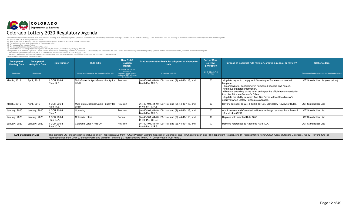

Per §2-7- 202(6), C.R.S., the Agenda must contain:<br>(a) A list of new rules or revisions to existing rules that the department expects to propose in the next calendar year;<br>(b) The statutory or other basis for adoption of

(c) The contemplated schedule for adoption of the rules;<br>(d) The contemplated schedule for adoption of the rules;<br>(h) An identification and ilsting of persons or parties that may be affected positively or negatively by the

| Anticipated<br><b>Hearing Date</b> | Anticipated<br><b>Adoption Date</b> | <b>Rule Number</b>       | <b>Rule Title</b>                                          | <b>New Rule/</b><br>Revision/<br>Repeal                                                                                 | Statutory or other basis for adoption or change to<br>rule.                              | Part of Rule<br><b>Review</b><br>Schedule? | Purpose of potential rule revision, creation, repeal, or review?                                                                                                                                                                                                                                                                                                                                                  | <b>Stakeholders</b>                                      |
|------------------------------------|-------------------------------------|--------------------------|------------------------------------------------------------|-------------------------------------------------------------------------------------------------------------------------|------------------------------------------------------------------------------------------|--------------------------------------------|-------------------------------------------------------------------------------------------------------------------------------------------------------------------------------------------------------------------------------------------------------------------------------------------------------------------------------------------------------------------------------------------------------------------|----------------------------------------------------------|
| (Month Year)                       | (Month Year)                        |                          | If there is no formal rule title, description of the rule. | In general, this column<br>denotes the<br>creation/revision/repeal of<br>sections of CCR rules, not<br>the entire rule. | If statutory, list C.R.S.                                                                | §24-4-103.3, C.R.S.<br>X if Yes            |                                                                                                                                                                                                                                                                                                                                                                                                                   | Categories of stakeholders, not individual stakeholders. |
| March, 2019                        | April , 2019                        | 1 CCR 206-1<br>Rule 14.E | Multi-State Jackpot Game - Lucky for Revision<br>Life®     |                                                                                                                         | $\frac{1}{2}$ \\$44-40-101, 44-40-109(1)(a) and (2), 44-40-113, and<br>44-40-114, C.R.S. | $\times$                                   | • Update layout to comply with Secretary of State recommended<br>template.<br>• Reorganize for consistency in numbered headers and names.<br>• Remove outdated information.<br>• Remove awarding prizes to an entity per the official recommendation<br>from the Attorney General's Office.<br>. Update the ability to award Top Tier Prizes without the director's<br>approval when Lottery Funds are available. | LOT Stakeholder List (see below)                         |
| March, 2019                        | April, 2019                         | 1 CCR 206-1<br>Rule 14.E | Multi-State Jackpot Game - Lucky for Revision<br>Life®     |                                                                                                                         | $\frac{1}{2}$ \\$44-40-101, 44-40-109(1)(a) and (2), 44-40-113, and<br>44-40-114. C.R.S. | $\times$                                   | Review pursuant to §24-4-103.3, C.R.S., Mandatory Review of Rules.                                                                                                                                                                                                                                                                                                                                                | <b>LOT Stakeholder List</b>                              |
| January, 2020                      | January, 2020                       | 1 CCR 206-1<br>Rule 2    | Licensing                                                  | Revision                                                                                                                | S44-40-101, 44-40-109(1)(a) and (2), 44-40-113, and<br>44-40-114. C.R.S.                 | $\times$                                   | Add Licensee and Commission Bonus verbiage removed from Rules 5,<br>10 and 14 in CY19.                                                                                                                                                                                                                                                                                                                            | <b>LOT Stakeholder List</b>                              |
| January, 2020                      | January, 2020                       | 1 CCR 206-1<br>Rule 10.A | Colorado Lotto+                                            | Repeal                                                                                                                  | $\frac{1}{2}$ \\$44-40-101, 44-40-109(1)(a) and (2), 44-40-113, and<br>44-40-114, C.R.S. | $\times$                                   | Replace with adopted Rule 10.G                                                                                                                                                                                                                                                                                                                                                                                    | <b>LOT Stakeholder List</b>                              |
| January, 2020                      | January, 2020                       | 1 CCR 206-1<br>Rule 10.G | Colorado Lotto + Add-On                                    | Revision                                                                                                                | $\frac{1}{2}$ \\$44-40-101, 44-40-109(1)(a) and (2), 44-40-113, and<br>44-40-114, C.R.S. | $\times$                                   | Remove references to Repealed Rule 10.A                                                                                                                                                                                                                                                                                                                                                                           | <b>LOT Stakeholder List</b>                              |

LOT Stakeholder List: The standard LOT stakeholder list includes one (1) representative from PGCC (Problem Gaming Coalition of Colorado), one (1) Chain Retailer, one (1) Independent Retailer, one (1) representative from GO representatives from CPW (Colorado Parks and Wildlife), and one (1) representative from CTF (Conservation Trust Fund).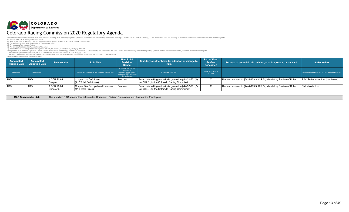## COLORADO Colorado Racing Commission 2020 Regulatory Agenda

The Colorado Department of Revenue (CDOR) submits the following 2020 Regulatory Agenda (Agenda) in fulfillment of the statutory requirements set forth in §2-7-202(6), 2-7-203, and 24-4-103.3(4), C.R.S. Pursuant to state la

Per \$2-7-2026). C.R.S., the Agenda must contain:<br>(a) A list of new rules or revisions to existing rules that the department expects to propose in the next calendar year;<br>(b) The contemplated schedule for adoption of the pr

| Anticipated<br><b>Hearing Date</b> | Anticipated<br><b>Adoption Date</b> | <b>Rule Number</b>       | <b>Rule Title</b>                                          | New Rule/<br>Revision/<br>Repeal                                                                                        | Statutory or other basis for adoption or change to<br>rule.                                               | Part of Rule<br><b>Review</b><br>Schedule? | Purpose of potential rule revision, creation, repeal, or review?   | <b>Stakeholders</b>                                      |
|------------------------------------|-------------------------------------|--------------------------|------------------------------------------------------------|-------------------------------------------------------------------------------------------------------------------------|-----------------------------------------------------------------------------------------------------------|--------------------------------------------|--------------------------------------------------------------------|----------------------------------------------------------|
| (Month Year)                       | (Month Year)                        |                          | If there is no formal rule title, description of the rule. | In general, this column<br>denotes the<br>creation/revision/repeal of<br>sections of CCR rules, not<br>the entire rule. | If statutory, list C.R.S.                                                                                 | §24-4-103.3, C.R.S.<br>X if Yes            |                                                                    | Categories of stakeholders, not individual stakeholders. |
| <b>TBD</b>                         | l TBD                               | 1 CCR 208-1<br>Chapter 1 | Chapter 1 -- Definitions<br>(217 Total Definitions)        | Revision                                                                                                                | Broad rulemaking authority is granted in §44-32-501(2)<br>(a), C.R.S., to the Colorado Racing Commission. |                                            | Review pursuant to §24-4-103.3, C.R.S., Mandatory Review of Rules. | RAC Stakeholder List (see below)                         |
| <b>TBD</b>                         | l TBD                               | 1 CCR 208-1<br>Chapter 3 | Chapter 3 -- Occupational Licenses<br>(111 Total Rules)    | Revision                                                                                                                | Broad rulemaking authority is granted in §44-32-501(2)<br>(a), C.R.S., to the Colorado Racing Commission. |                                            | Review pursuant to §24-4-103.3, C.R.S., Mandatory Review of Rules. | Stakeholder List                                         |

**RAC Stakeholder List:** The standard RAC stakeholder list includes Horsemen, Division Employees, and Association Employees.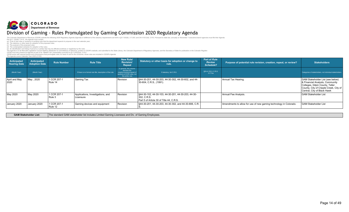# COLORADO Division of Gaming - Rules Promulgated by Gaming Commission 2020 Regulatory Agenda

The Colorado Department of Revenue (CDOR) submits the following 2020 Regulatory Agenda (Agenda) in fulfillment of the statutory requirements set forth in §2-7-202(6), 2-7-203, and 24-4-103.3(4), C.R.S. Pursuant to state la

Per \$2-7-2026). C.R.S., the Agenda must contain:<br>(a) A list of new rules or revisions to existing rules that the department expects to propose in the next calendar year;<br>(b) The contemplated schedule for adoption of the pr

| Anticipated<br><b>Hearing Date</b> | Anticipated<br><b>Adoption Date</b> | <b>Rule Number</b>     | <b>Rule Title</b>                                          | New Rule/<br>Revision/<br>Repeal                                                                                        | Statutory or other basis for adoption or change to<br>rule.                                                     | Part of Rule<br><b>Review</b><br>Schedule? | Purpose of potential rule revision, creation, repeal, or review?  | <b>Stakeholders</b>                                                                                                                                                                    |
|------------------------------------|-------------------------------------|------------------------|------------------------------------------------------------|-------------------------------------------------------------------------------------------------------------------------|-----------------------------------------------------------------------------------------------------------------|--------------------------------------------|-------------------------------------------------------------------|----------------------------------------------------------------------------------------------------------------------------------------------------------------------------------------|
| (Month Year)                       | (Month Year)                        |                        | If there is no formal rule title, description of the rule. | In general, this column<br>denotes the<br>creation/revision/repeal of<br>sections of CCR rules, not<br>the entire rule. | If statutory, list C.R.S.                                                                                       | §24-4-103.3, C.R.S.<br>X if Yes            |                                                                   | Categories of stakeholders, not individual stakeholders.                                                                                                                               |
| April and May<br>2020              | May, 2020                           | 1 CCR 207-1<br>Rule 14 | Gaming Tax                                                 | Revision                                                                                                                | S44-30-201, 44-30-203, 44-30-302, 44-30-602, and 44-<br>30-604, C.R.S., (1991).                                 |                                            | Annual Tax Hearing.                                               | <b>GAM Stakeholder List (see below)</b><br>& Financial Analysts, Community<br>Colleges, Gilpin County, Teller<br>County, City of Cripple Creek, City of<br>Central, City of Black Hawk |
| May 2020                           | May 2020                            | 1 CCR 207-1<br>Rule 3  | Applications, Investigations, and<br>Licensure             | Revision                                                                                                                | S44-30-102, 44-30-103, 44-30-201, 44-30-203, 44-30-<br> 302, C.R.S.<br>Part 5 of Article 30 of Title 44, C.R.S. |                                            | Annual Fee Analysis.                                              | <b>GAM Stakeholder List</b>                                                                                                                                                            |
| January 2020                       | January 2020                        | 1 CCR 207-1<br>Rule 12 | Gaming devices and equipment                               | Revision                                                                                                                | S44-30-201, 44-30-203, 44-30-302, and 44-30-806, C.R.                                                           |                                            | Amendments to allow for use of new gaming technology in Colorado. | <b>GAM Stakeholder List</b>                                                                                                                                                            |

| the contract of the contract of the contract of the contract of the contract of the contract of the contract of |                                                                                                   |
|-----------------------------------------------------------------------------------------------------------------|---------------------------------------------------------------------------------------------------|
| <b>GAM Stakeholder List:</b>                                                                                    | The standard GAM stakeholder list includes Limited Gaming Licensees and Div. of Gaming Employees. |
|                                                                                                                 |                                                                                                   |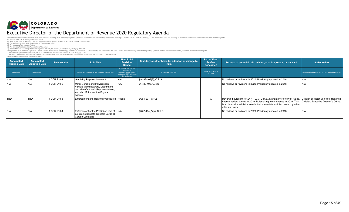

| Anticipated<br><b>Hearing Date</b> | Anticipated<br><b>Adoption Date</b> | <b>Rule Number</b> | <b>Rule Title</b>                                                                                                                                       | New Rule/<br><b>Revision/</b><br>Repeal                                                                                 | Statutory or other basis for adoption or change to<br>rule. | Part of Rule<br><b>Review</b><br><b>Schedule?</b> | Purpose of potential rule revision, creation, repeal, or review?                                                                                                                                                                                                                       | <b>Stakeholders</b>                                      |
|------------------------------------|-------------------------------------|--------------------|---------------------------------------------------------------------------------------------------------------------------------------------------------|-------------------------------------------------------------------------------------------------------------------------|-------------------------------------------------------------|---------------------------------------------------|----------------------------------------------------------------------------------------------------------------------------------------------------------------------------------------------------------------------------------------------------------------------------------------|----------------------------------------------------------|
| (Month Year)                       | (Month Year)                        |                    | If there is no formal rule title, description of the rule.                                                                                              | In general, this column<br>denotes the<br>creation/revision/repeal of<br>sections of CCR rules, not<br>the entire rule. | If statutory, list C.R.S.                                   | §24-4-103.3, C.R.S.<br>X if Yes                   |                                                                                                                                                                                                                                                                                        | Categories of stakeholders, not individual stakeholders. |
| IN/A                               | N/A                                 | 1 CCR 210-1        | <b>Gambling Payment Intercept</b>                                                                                                                       | IN/A                                                                                                                    | \$44-33-108(3), C.R.S.                                      |                                                   | No reviews or revisions in 2020. Previously updated in 2018.                                                                                                                                                                                                                           | N/A                                                      |
| N/A                                | N/A                                 | 1 CCR 210-2        | Motor Vehicle and Powersports<br>Vehicle Manufacturers. Distributors.<br>and Manufacturer's Representatives,<br>and also Motor Vehicle Buyers<br>Agents | N/A                                                                                                                     | \$44-20-105, C.R.S.                                         |                                                   | No reviews or revisions in 2020. Previously updated in 2018.                                                                                                                                                                                                                           | N/A                                                      |
| <b>TBD</b>                         | TBD                                 | 1 CCR 210-3        | Enforcement and Hearing Procedures   Repeal                                                                                                             |                                                                                                                         | §42-1-204, C.R.S.                                           | $\times$                                          | Reviewed pursuant to §24-4-103.3, C.R.S., Mandatory Review of Rules. Division of Motor Vehicles, Hearings<br>Internal review started in 2019. Rulemaking to commence in 2020. This<br>is an internal administrative rule that is obsolete as it is covered by other<br>rules and laws. | Division, Executive Director's Office.                   |
| N/A                                | N/A                                 | 1 CCR 210-4        | Enforcement of the Prohibited Use of IN/A<br>l Electronic Benefits Transfer Cards at<br>Certain Locations                                               |                                                                                                                         | §26-2-104(2)(h), C.R.S.                                     |                                                   | No reviews or revisions in 2020. Previously updated in 2018.                                                                                                                                                                                                                           | N/A                                                      |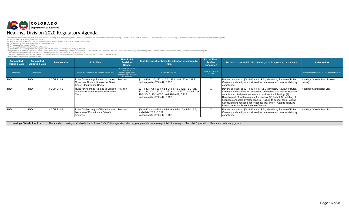

Per §2-7- 202(6), C.R.S., the Agenda must contain:<br>(a) A list of new rules or revisions to existing rules that the department expects to propose in the next calendar year;<br>(b) The statutory or other basis for adoption of

(c) The contemplated schedule for adoption of the rules;<br>(d) The contemplated schedule for adoption of the rules;<br>(h) An identification and ilsting of persons or parties that may be affected positively or negatively by the

| Anticipated<br><b>Hearing Date</b> | Anticipated<br><b>Adoption Date</b> | <b>Rule Number</b> | <b>Rule Title</b>                                                                                                             | <b>New Rule/</b><br><b>Revision/</b><br>Repeal                                                                          | Statutory or other basis for adoption or change to<br>rule.                                                                                                                                            | Part of Rule<br><b>Review</b><br>Schedule? | Purpose of potential rule revision, creation, repeal, or review?                                                                                                                                                                                                                                                                                                                                                                                                                   | <b>Stakeholders</b>                                      |
|------------------------------------|-------------------------------------|--------------------|-------------------------------------------------------------------------------------------------------------------------------|-------------------------------------------------------------------------------------------------------------------------|--------------------------------------------------------------------------------------------------------------------------------------------------------------------------------------------------------|--------------------------------------------|------------------------------------------------------------------------------------------------------------------------------------------------------------------------------------------------------------------------------------------------------------------------------------------------------------------------------------------------------------------------------------------------------------------------------------------------------------------------------------|----------------------------------------------------------|
| (Month Year)                       | (Month Year)                        |                    | If there is no formal rule title, description of the rule.                                                                    | In general, this column<br>denotes the<br>creation/revision/repeal of<br>sections of CCR rules, not<br>the entire rule. | If statutory, list C.R.S.                                                                                                                                                                              | §24-4-103.3, C.R.S.<br>X if Yes            |                                                                                                                                                                                                                                                                                                                                                                                                                                                                                    | Categories of stakeholders, not individual stakeholders. |
| <b>TBD</b>                         | <b>TBD</b>                          | 1 CCR 211-1        | Rules for Hearings Related to Matters Revision<br>Other than Driver's Licenses or State<br><b>Issued Identification Cards</b> |                                                                                                                         | §42-2-125, 126, 127, 127.7, 127.6, and 127.9, C.R.S.<br>Various parts of Title 42, C.R.S.                                                                                                              | $\times$                                   | Review pursuant to §24-4-103.3, C.R.S., Mandatory Review of Rules.<br>Clean up and clarify rules, streamline processes, and ensure statutory<br>compliance.                                                                                                                                                                                                                                                                                                                        | Hearings Stakeholder List (see<br>below)                 |
| <b>TBD</b>                         | <b>TBD</b>                          | 1 CCR 211-2        | Rules for Hearings Related to Driver's Revision<br>Licenses or State Issued Identification<br>Cards                           |                                                                                                                         | §24-4-103, 42-1-204, 42-1-218.5, 42-2-122, 42-2-125,<br>  42-2-126. 42-2-127. 42-2-127.6. 42-2-127.7. 42-2-127.9.<br>42-2-304.5, 42-2-405.5, and 42-2-409, C.R.S.<br>Various parts of Title 42, C.R.S. | $\times$                                   | Review pursuant to §24-4-103.3, C.R.S., Mandatory Review of Rules.<br>Clean up and clarify rules, streamline processes, and ensure statutory<br>compliance. Add parts to the rule to address the following: (1)<br>Requirement of written request for hearing; (2) Default Scheduling of<br>hearings conducted by telephone; (3) Failure to appear for a Hearing<br>Scheduled and requests for Rescheduling; and (4) Actions Involving<br>Denial Under the Driver LIcense Compact. | Hearings Stakeholder List                                |
| <b>TBD</b>                         | <b>TBD</b>                          | 1 CCR 211-3        | Rules for the Length of Restraint and<br><b>Issuance of Probationary Driver's</b><br>Licenses                                 | Revision                                                                                                                | §24-4-103, 42-1-204, 42-2-126, 42-2-127, 42-2-127.6,<br>and 42-2-127.9, C.R.S.<br>Various parts of Title 42, C.R.S.                                                                                    | $\times$                                   | Review pursuant to §24-4-103.3, C.R.S., Mandatory Review of Rules.<br>Clean up and clarify rules, streamline processes, and ensure statutory<br>compliance.                                                                                                                                                                                                                                                                                                                        | Hearings Stakeholder List                                |

Hearings Stakeholder List: The standard Hearings stakeholder list includes DMV, Police agencies, attorney groups (defense attorneys /district attorneys), "the public", probation officers, and advocacy groups.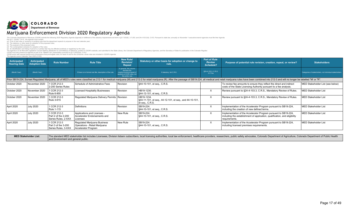

(c) The contemplated schedule for adoption of the rules;<br>(d) The contemplated schedule for adoption of the rules;<br>(h) An identification and ilsting of persons or parties that may be affected positively or negatively by the

| Anticipated<br><b>Hearing Date</b> | <b>Anticipated</b><br><b>Adoption Date</b> | <b>Rule Number</b>                                        | <b>Rule Title</b>                                                                    | <b>New Rule/</b><br><b>Revision/</b><br>Repeal                                                                          | Statutory or other basis for adoption or change to<br>rule.                              | Part of Rule<br><b>Review</b><br>Schedule? | Purpose of potential rule revision, creation, repeal, or review?                                                                                                                                                               | <b>Stakeholders</b>                                      |
|------------------------------------|--------------------------------------------|-----------------------------------------------------------|--------------------------------------------------------------------------------------|-------------------------------------------------------------------------------------------------------------------------|------------------------------------------------------------------------------------------|--------------------------------------------|--------------------------------------------------------------------------------------------------------------------------------------------------------------------------------------------------------------------------------|----------------------------------------------------------|
| (Month Year)                       | (Month Year)                               |                                                           | If there is no formal rule title, description of the rule.                           | In general, this column<br>denotes the<br>creation/revision/repeal of<br>sections of CCR rules, not<br>the entire rule. | If statutory, list C.R.S.                                                                | §24-4-103.3, C.R.S.<br>X if Yes            |                                                                                                                                                                                                                                | Categories of stakeholders, not individual stakeholders. |
|                                    |                                            |                                                           |                                                                                      |                                                                                                                         |                                                                                          |                                            | Prior SB19-224, Sunset Regulated Marijuana, all of MED's rules were classified as 212-1 for medical marijuana (M) and 212-2 for retail marijuana (R). After the passage of SB19-224, all medical and retail marijuana rules ha |                                                          |
| October 2020                       | November 2020                              | 1 CCR 212-3<br>2-200 Series Rules                         | Schedule of Administrative Fees                                                      | Revision                                                                                                                | \$44-10-101, et seq., C.R.S.                                                             |                                            | To review fee amounts to ensure they reflect the direct and indirect<br>costs of the State Licensing Authority pursuant to a fee analysis.                                                                                     | MED Stakeholder List (see below)                         |
| October 2020                       | November 2020                              | 1 CCR 212-3<br>Rule 6-900                                 | <b>Licensed Hospitality Businesses</b>                                               | Revision                                                                                                                | HB19-1230.<br>§44-12-101, et seq., C.R.S.                                                | X                                          | Review pursuant to §24-4-103.3, C.R.S., Mandatory Review of Rules.                                                                                                                                                             | <b>MED Stakeholder List</b>                              |
| October 2020                       | November 2020                              | 1 CCR 212-3<br>Rule 3-615                                 | Regulated Marijuana Delivery Permits   Revision                                      |                                                                                                                         | HB19-1234.<br>S44-11-101, et seq., 44-12-101, et seq., and 44-10-101,<br>et seq., C.R.S. | X                                          | Review pursuant to §24-4-103.3, C.R.S., Mandatory Review of Rules.                                                                                                                                                             | <b>MED Stakeholder List</b>                              |
| April 2020                         | <b>July 2020</b>                           | 1 CCR 212-3<br>Rule 1-115                                 | <b>Definitions</b>                                                                   | Revision                                                                                                                | SB19-224.<br>\$44-10-101, et seq., C.R.S.                                                | X                                          | Implementation of the Accelerator Program pursuant to SB19-224,<br>including the creation of new defined terms.                                                                                                                | <b>MED Stakeholder List</b>                              |
| April 2020                         | <b>July 2020</b>                           | 1 CCR 212-3<br>Part 2 of the 2-200<br>Series Rules, 2-XXX | Applications and Licenses -<br>Accelerator Endorsements and<br>Licenses              | New Rule                                                                                                                | SB19-224.<br>\$44-10-101, et seq., C.R.S.                                                | $\times$                                   | Implementation of the Accelerator Program pursuant to SB19-224,<br>including the establishment of application, qualification, and eligibility<br>requirements.                                                                 | <b>MED Stakeholder List</b>                              |
| April 2020                         | <b>July 2020</b>                           | 1 CCR 212-3<br>Part 3 of the 3-200<br>Series Rules, 3-XXX | Regulated Marijuana Business<br>Operations - Retail Marijuana<br>Accelerator Program | New Rule                                                                                                                | SB19-224.<br>\$44-10-101, et seq., C.R.S.                                                | $\times$                                   | Implementation of the Accelerator Program pursuant to SB19-224,<br>including licensed premises requirements.                                                                                                                   | <b>MED Stakeholder List</b>                              |

MED Stakeholder List: The standard MED stakeholder list includes Licensees, Division listserv subscribers, local licensing authorities, local law enforcement, healthcare providers, researchers, public safety advocates, Col and Environment and general public.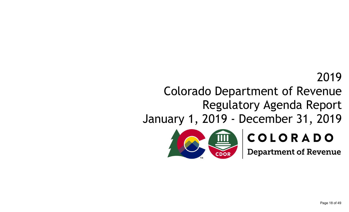# 2019

# Colorado Department of Revenue Regulatory Agenda Report

January 1, 2019 - December 31, 2019



# COLORADO

**Department of Revenue**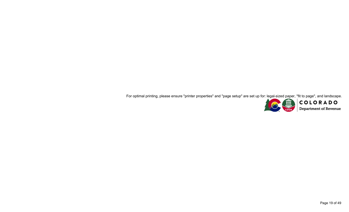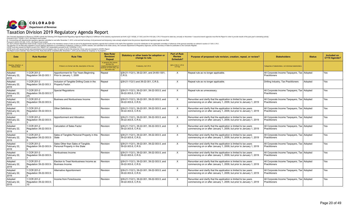

| Date                                        | <b>Rule Number</b>                             | <b>Rule Title</b>                                                     | <b>New Rule/</b><br><b>Revision</b><br>Repeal                                                                          | Statutory or other basis for adoption or<br>change to rule.       | <b>Part of Rule</b><br><b>Review</b><br><b>Schedule?</b> | Purpose of proposed rule revision, creation, repeal, or review?                                                                           | <b>Stakeholders</b>                                                 | <b>Status</b> | Included on<br>CY19 Agenda? |
|---------------------------------------------|------------------------------------------------|-----------------------------------------------------------------------|------------------------------------------------------------------------------------------------------------------------|-------------------------------------------------------------------|----------------------------------------------------------|-------------------------------------------------------------------------------------------------------------------------------------------|---------------------------------------------------------------------|---------------|-----------------------------|
| Hearing, Adoption, or<br><b>Review Date</b> |                                                | If there is no formal rule title, description of the rule.            | In general, this column<br>denotes the<br>reation/revision/repeal of<br>sections of CCR rules, not<br>the entire rule. | If statutory, list C.R.S.                                         | §24-4-103.3, C.R.S.<br>X if Yes                          |                                                                                                                                           | Categories of stakeholders, not individual stakeholders.            |               |                             |
| Adopted<br>February 22,<br>2019             | 1 CCR 201-2<br>Regulation 39-22-303.1          | Apportionment for Tax Years Beginning<br>Prior to January 1, 2009     | Repeal                                                                                                                 | §39-21-112(1), 39-22-301, and 24-60-1301,<br>C.R.S.               | X                                                        | Repeal rule as no longer applicable.                                                                                                      | All Corporate Income Taxpayers, Tax Adopted<br>Practitioners        |               | Yes                         |
| Adopted<br>February 22,<br>2019             | CCR 201-2<br>Regulation 39-22-303.3            | Inclusion of Tangible Drilling Costs in the<br>Property Factor.       | Repeal                                                                                                                 | §39-21-112(1) and 39-22-301, C.R.S.                               | X                                                        | Repeal rule as no longer applicable.                                                                                                      | Drilling Industry, Tax Practitioners                                | Adopted       | Yes                         |
| Adopted<br>February 22,<br>2019             | 1 CCR 201-2<br>Regulation 39-22-303.5.7<br>(A) | <b>Special Requlations</b>                                            | Repeal                                                                                                                 | §39-21-112(1), 39-22-301, 39-22-303.5, and<br>39-22-303.6. C.R.S. | X                                                        | Repeal rule as unnecessary                                                                                                                | All Corporate Income Taxpayers, Tax Adopted<br>Practitioners        |               | Yes                         |
| Adopted<br>February 22,<br>2019             | 1 CCR 201-2<br>Regulation 39-22-303.5-         | Business and Nonbusiness Income                                       | Revision                                                                                                               | §39-21-112(1), 39-22-301, 39-22-303.5, and<br>39-22-303.6, C.R.S. | $\times$                                                 | Renumber and clarify that the application is limited to tax years<br>commencing on or after January 1, 2009, but prior to January 1, 2019 | All Corporate Income Taxpayers, Tax   Adopted<br>Practitioners      |               | Yes                         |
| Adopted<br>February 22,<br>2019             | 1 CCR 201-2<br>Regulation 39-22-303.5-         | Other Definitions                                                     | Revision                                                                                                               | §39-21-112(1), 39-22-301, 39-22-303.5, and<br>39-22-303.6, C.R.S. | X                                                        | Renumber and clarify that the application is limited to tax years<br>commencing on or after January 1, 2009, but prior to January 1, 2019 | All Corporate Income Taxpayers, Tax Adopted<br>Practitioners        |               | Yes                         |
| Adopted<br>February 22,<br>2019             | 1 CCR 201-2<br>Regulation 39-22-303.5-         | Apportionment and Allocation                                          | Revision                                                                                                               | §39-21-112(1), 39-22-301, 39-22-303.5, and<br>39-22-303.6, C.R.S. | X                                                        | Renumber and clarify that the application is limited to tax years<br>commencing on or after January 1, 2009, but prior to January 1, 2019 | All Corporate Income Taxpayers, Tax Adopted<br>Practitioners        |               | Yes                         |
| Adopted<br>February 22,<br>2019             | 1 CCR 201-2<br>Regulation 39-22-303.5-         | <b>Calculation of Sales Factor</b>                                    | Revision                                                                                                               | §39-21-112(1), 39-22-301, 39-22-303.5, and<br>39-22-303.6. C.R.S. | X                                                        | Renumber and clarify that the application is limited to tax years<br>commencing on or after January 1, 2009, but prior to January 1, 2019 | All Corporate Income Taxpayers, Tax   Adopted<br>Practitioners      |               | Yes                         |
| Adopted<br>February 22,<br>2019             | 1 CCR 201-2<br>Regulation 39-22-303.5-         | Sales of Tangible Personal Property in this<br>State                  | Revision                                                                                                               | §39-21-112(1), 39-22-301, 39-22-303.5, and<br>39-22-303.6, C.R.S. | $\times$                                                 | Renumber and clarify that the application is limited to tax years<br>commencing on or after January 1, 2009, but prior to January 1, 2019 | All Corporate Income Taxpayers, Tax   Adopted<br>Practitioners      |               | Yes                         |
| Adopted<br>February 22,<br>2019             | 1 CCR 201-2<br>Regulation 39-22-303.5-         | Sales Other than Sales of Tangible<br>Personal Property in this State | Revision                                                                                                               | §39-21-112(1), 39-22-301, 39-22-303.5, and<br>39-22-303.6, C.R.S. | $\times$                                                 | Renumber and clarify that the application is limited to tax years<br>commencing on or after January 1, 2009, but prior to January 1, 2019 | All Corporate Income Taxpayers, Tax Adopted<br><b>Practitioners</b> |               | Yes                         |
| Adopted<br>February 22,<br>2019             | 1 CCR 201-2<br>Regulation 39-22-303.5-         | Nonbusiness Income                                                    | Revision                                                                                                               | §39-21-112(1), 39-22-301, 39-22-303.5, and<br>39-22-303.6, C.R.S. | X                                                        | Renumber and clarify that the application is limited to tax years<br>commencing on or after January 1, 2009, but prior to January 1, 2019 | All Corporate Income Taxpayers, Tax Adopted<br>Practitioners        |               | Yes                         |
| Adopted<br>February 22,<br>2019             | 1 CCR 201-2<br>Regulation 39-22-303.5-         | Election to Treat Nonbusiness Income as<br><b>Business Income</b>     | Revision                                                                                                               | §39-21-112(1), 39-22-301, 39-22-303.5, and<br>39-22-303.6. C.R.S. | X                                                        | Renumber and clarify that the application is limited to tax years<br>commencing on or after January 1, 2009, but prior to January 1, 2019 | All Corporate Income Taxpayers, Tax Adopted<br>Practitioners        |               | Yes                         |
| Adopted<br>February 22,<br>2019             | 1 CCR 201-2<br>Regulation 39-22-303.5-         | Alternative Apportionment                                             | Revision                                                                                                               | §39-21-112(1), 39-22-301, 39-22-303.5, and<br>39-22-303.6. C.R.S. | X                                                        | Renumber and clarify that the application is limited to tax years<br>commencing on or after January 1, 2009, but prior to January 1, 2019 | All Corporate Income Taxpayers, Tax   Adopted<br>Practitioners      |               | Yes                         |
| Adopted<br>February 22,<br>2019             | CCR 201-2<br>Regulation 39-22-303.5-<br>10     | Income from Foreclosures                                              | Revision                                                                                                               | §39-21-112(1), 39-22-301, 39-22-303.5, and<br>39-22-303.6, C.R.S. | X                                                        | Renumber and clarify that the application is limited to tax years<br>commencing on or after January 1, 2009, but prior to January 1, 2019 | All Corporate Income Taxpayers, Tax   Adopted<br>Practitioners      |               | Yes                         |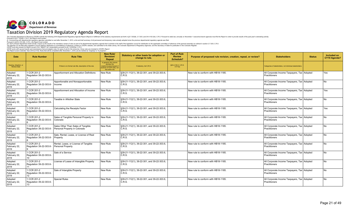

| Date                                        | <b>Rule Number</b>                           | <b>Rule Title</b>                                                   | <b>New Rule</b><br><b>Revision</b> /<br>Repeal                                                                       | Statutory or other basis for adoption or<br>change to rule. | <b>Part of Rule</b><br><b>Review</b><br><b>Schedule?</b> | Purpose of proposed rule revision, creation, repeal, or review? | <b>Stakeholders</b>                                            | <b>Status</b> | Included on<br>CY19 Agenda? |
|---------------------------------------------|----------------------------------------------|---------------------------------------------------------------------|----------------------------------------------------------------------------------------------------------------------|-------------------------------------------------------------|----------------------------------------------------------|-----------------------------------------------------------------|----------------------------------------------------------------|---------------|-----------------------------|
| Hearing, Adoption, or<br><b>Review Date</b> |                                              | If there is no formal rule title, description of the rule.          | In general, this column<br>denotes the<br>eation/revision/repeal o<br>sections of CCR rules, not<br>the entire rule. | If statutory, list C.R.S.                                   | §24-4-103.3, C.R.S.<br>X if Yes                          |                                                                 | Categories of stakeholders, not individual stakeholders        |               |                             |
| Adopted<br>February 22,<br>2019             | 1 CCR 201-2<br>Regulation 39-22-303.6-       | Apportionment and Allocation Definitions                            | New Rule                                                                                                             | §39-21-112(1), 39-22-301, and 39-22-303.6,<br>C.R.S.        |                                                          | New rule to conform with HB18-1185.                             | All Corporate Income Taxpayers, Tax   Adopted<br>Practitioners |               | Yes                         |
| Adopted<br>February 22,<br>2019             | 1 CCR 201-2<br>Regulation 39-22-303.6-       | Apportionable and Nonapportionable<br>Income                        | New Rule                                                                                                             | §39-21-112(1), 39-22-301, and 39-22-303.6,<br>C.R.S.        |                                                          | New rule to conform with HB18-1185.                             | All Corporate Income Taxpayers, Tax   Adopted<br>Practitioners |               | N <sub>o</sub>              |
| Adopted<br>February 22,<br>2019             | 1 CCR 201-2<br>Regulation 39-22-303.6-       | Apportionment and Allocation of Income                              | New Rule                                                                                                             | §39-21-112(1), 39-22-301, and 39-22-303.6,<br>C.R.S.        |                                                          | New rule to conform with HB18-1185.                             | All Corporate Income Taxpayers, Tax Adopted<br>Practitioners   |               | Yes                         |
| Adopted<br>February 22,<br>2019             | 1 CCR 201-2<br>Regulation 39-22-303.6-       | <b>Taxable in ANother State</b>                                     | New Rule                                                                                                             | §39-21-112(1), 39-22-301, and 39-22-303.6,<br>C.R.S.        |                                                          | New rule to conform with HB18-1185.                             | All Corporate Income Taxpayers, Tax   Adopted<br>Practitioners |               | No                          |
| Adopted<br>February 22,<br>2019             | 1 CCR 201-2<br>Regulation 39-22-303.6-       | Calculating the Receipts Factor                                     | New Rule                                                                                                             | §39-21-112(1), 39-22-301, and 39-22-303.6,<br>C.R.S.        |                                                          | New rule to conform with HB18-1185.                             | All Corporate Income Taxpayers, Tax Adopted<br>Practitioners   |               | Yes                         |
| Adopted<br>February 22,<br>2019             | 1 CCR 201-2<br>Regulation 39-22-303.6-       | Sales of Tangible Personal Property in<br>Colorado                  | New Rule                                                                                                             | §39-21-112(1), 39-22-301, and 39-22-303.6,<br>C.R.S.        |                                                          | New rule to conform with HB18-1185.                             | All Corporate Income Taxpayers, Tax Adopted<br>Practitioners   |               | No                          |
| Adopted<br>February 22,<br>2019             | 1 CCR 201-2<br>Regulation 39-22-303.6-       | Sales Other Than Sales of Tangible<br>Personal Property in Colorado | New Rule                                                                                                             | §39-21-112(1), 39-22-301, and 39-22-303.6,<br>C.R.S.        |                                                          | New rule to conform with HB18-1185.                             | All Corporate Income Taxpayers, Tax Adopted<br>Practitioners   |               | No                          |
| Adopted<br>February 22,<br>2019             | 1 CCR 201-2<br>Regulation 39-22-303.6-       | Sale, Rental, Lease, or License of Real<br>Property                 | New Rule                                                                                                             | §39-21-112(1), 39-22-301, and 39-22-303.6,<br>C.R.S.        |                                                          | New rule to conform with HB18-1185.                             | All Corporate Income Taxpayers, Tax Adopted<br>Practitioners   |               | No                          |
| Adopted<br>February 22,<br>2019             | 1 CCR 201-2<br>Regulation 39-22-303.6-       | Rental, Lease, or License of Tangible<br><b>Personal Property</b>   | New Rule                                                                                                             | §39-21-112(1), 39-22-301, and 39-22-303.6,<br>C.R.S.        |                                                          | New rule to conform with HB18-1185.                             | All Corporate Income Taxpayers, Tax Adopted<br>Practitioners   |               | No                          |
| Adopted<br>February 22,<br>2019             | 1 CCR 201-2<br>Regulation 39-22-303.6-<br>10 | Sale of a Service                                                   | New Rule                                                                                                             | §39-21-112(1), 39-22-301, and 39-22-303.6,<br>C.R.S.        |                                                          | New rule to conform with HB18-1185.                             | All Corporate Income Taxpayers, Tax   Adopted<br>Practitioners |               | No                          |
| Adopted<br>February 22,<br>2019             | 1 CCR 201-2<br>Regulation 39-22-303.6-<br>11 | License of Lease of Intangible Property                             | New Rule                                                                                                             | §39-21-112(1), 39-22-301, and 39-22-303.6,<br>C.R.S.        |                                                          | New rule to conform with HB18-1185.                             | All Corporate Income Taxpayers, Tax Adopted<br>Practitioners   |               | N <sub>o</sub>              |
| Adopted<br>February 22,<br>2019             | 1 CCR 201-2<br>Regulation 39-22-303.6-<br>12 | Sale of Intangible Property                                         | New Rule                                                                                                             | §39-21-112(1), 39-22-301, and 39-22-303.6,<br>C.R.S.        |                                                          | New rule to conform with HB18-1185.                             | All Corporate Income Taxpayers, Tax   Adopted<br>Practitioners |               | N <sub>o</sub>              |
| Adopted<br>February 22,<br>2019             | 1 CCR 201-2<br>Regulation 39-22-303.6-<br>13 | <b>Special Rules</b>                                                | New Rule                                                                                                             | §39-21-112(1), 39-22-301, and 39-22-303.6,<br>C.R.S.        |                                                          | New rule to conform with HB18-1185.                             | All Corporate Income Taxpayers, Tax Adopted<br>Practitioners   |               | No                          |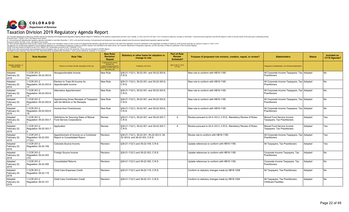

| <b>Date</b>                                 | <b>Rule Number</b>                             | <b>Rule Title</b>                                                            | <b>New Rule</b><br><b>Revision</b><br>Repeal                                                                           | Statutory or other basis for adoption or<br>change to rule.                   | <b>Part of Rule</b><br><b>Review</b><br>Schedule? | Purpose of proposed rule revision, creation, repeal, or review?   | <b>Stakeholders</b>                                                   | <b>Status</b> | Included on<br>CY19 Agenda? |
|---------------------------------------------|------------------------------------------------|------------------------------------------------------------------------------|------------------------------------------------------------------------------------------------------------------------|-------------------------------------------------------------------------------|---------------------------------------------------|-------------------------------------------------------------------|-----------------------------------------------------------------------|---------------|-----------------------------|
| Hearing, Adoption, or<br><b>Review Date</b> |                                                | If there is no formal rule title, description of the rule.                   | In general, this column<br>denotes the<br>creation/revision/repeal of<br>sections of CCR rules, not<br>the entire rule | If statutory, list C.R.S.                                                     | §24-4-103.3, C.R.S.<br>X if Yes                   |                                                                   | Categories of stakeholders, not individual stakeholders.              |               |                             |
| Adopted<br>February 22,<br>2019             | 1 CCR 201-2<br>Regulation 39-22-303.6-<br>14   | Nonapportionable Income                                                      | New Rule                                                                                                               | §39-21-112(1), 39-22-301, and 39-22-303.6,<br>C.R.S.                          |                                                   | New rule to conform with HB18-1185.                               | All Corporate Income Taxpayers, Tax Adopted<br>Practitioners          |               | No.                         |
| Adopted<br>February 22,<br>2019             | 1 CCR 201-2<br>Regulation 39-22-303.6-<br>15   | Election to Treat All Income As<br>Apportionable Income                      | New Rule                                                                                                               | §39-21-112(1), 39-22-301, and 39-22-303.6,<br>C.R.S.                          |                                                   | New rule to conform with HB18-1185.                               | All Corporate Income Taxpayers, Tax Adopted<br>Practitioners          |               | No.                         |
| Adopted<br>February 22,<br>2019             | 1 CCR 201-2<br>Regulation 39-22-303.6-<br>16   | <b>Alternative Apportionment</b>                                             | New Rule                                                                                                               | §39-21-112(1), 39-22-301, and 39-22-303.6,<br>C.R.S.                          |                                                   | New rule to conform with HB18-1185.                               | All Corporate Income Taxpayers, Tax Adopted<br><b>Practitioners</b>   |               | N <sub>o</sub>              |
| Adopted<br>February 22,<br>2019             | 1 CCR 201-2<br>Regulation 39-22-303.6-         | Apportioning Gross Receipts of Taxpayers<br>with De Minimis or No Receipts   | New Rule                                                                                                               | §39-21-112(1), 39-22-301, and 39-22-303.6,<br>C.R.S.                          |                                                   | New rule to conform with HB18-1185.                               | All Corporate Income Taxpayers, Tax Adopted<br>Practitioners          |               | N <sub>o</sub>              |
| Adopted<br>February 22,<br>2019             | 1 CCR 201-2<br>Regulation 39-22-303.6-<br>18   | <b>Income from Foreclosures</b>                                              | New Rule                                                                                                               | §39-21-112(1), 39-22-301, and 39-22-303.6,<br>C.R.S.                          |                                                   | New rule to conform with HB18-1185.                               | All Corporate Income Taxpayers, Tax Adopted<br><b>Practitioners</b>   |               | N <sub>o</sub>              |
| Adopted<br>February 22,<br>2019             | 1 CCR 201-2<br>Regulation 39-22-303.7-         | Definitions for Sourcing Sales of Mutual<br><b>Fund Service Corporations</b> | Review                                                                                                                 | §39-21-112(1), 39-22-301, and 39-22-303.7.<br>C.R.S.                          | X                                                 | Review pursuant to 24-4-103.3, C.R.S., Mandatory Review of Rules. | Mutual Fund Service Income<br>Taxpayers, Tax Practitioners            | Adopted       | Yes                         |
| Adopted<br>February 22,<br>2019             | 1 CCR 201-2<br>Regulation 39-22-303.7-         | Application                                                                  | Review                                                                                                                 | §39-21-112(1), 39-22-301, and 39-22-303.7,<br>C.R.S.                          | $\times$                                          | Review pursuant to 24-4-103.3, C.R.S., Mandatory Review of Rules. | Mutual Fund Service Income<br>Taxpayers, Tax Practitioners            | Adopted       | Yes                         |
| Adopted<br>February 22,<br>2019             | 1 CCR 201-2<br>Regulation 39-22-303<br>(11)(c) | Apportionment of Income on a Combined<br>Report or Consolidated Return       | Revision                                                                                                               | §39-21-112(1), 39-22-301, 39-22-303.5, 39-<br>22-303.6, and 39-22-303, C.R.S. |                                                   | Revise rule to conform with HB18-1185.                            | All Corporate Income Taxpayers, Tax   Adopted<br><b>Practitioners</b> |               | Yes                         |
| Adopted<br>February 22,<br>2019             | 1 CCR 201-2<br>Regulation 39-22-109            | Colorado-Source Income                                                       | Revision                                                                                                               | §39-21-112(1) and 39-22-109, C.R.S.                                           |                                                   | Update references to conform with HB18-1185                       | All Taxpayers, Tax Practitioners                                      | Adopted       | Yes                         |
| Adopted<br>February 22,<br>2019             | 1 CCR 201-2<br>Regulation 39-22-303<br>(10)    | Foreign Source Income                                                        | Revision                                                                                                               | §39-21-112(1) and 39-22-303, C.R.S.                                           |                                                   | Update references to conform with HB18-1185.                      | Corporate Income Taxpayers, Tax<br>Practitioners                      | Adopted       | No.                         |
| Adopted<br>February 22,<br>2019             | 1 CCR 201-2<br>Regulation 39-22-305            | <b>Consolidated Returns</b>                                                  | Revision                                                                                                               | §39-21-112(1) and 39-22-305, C.R.S.                                           |                                                   | Update references to conform with HB18-1185.                      | Corporate Income Taxpayers, Tax<br><b>Practitioners</b>               | Adopted       | N <sub>0</sub>              |
| Adopted<br>February 22,<br>2019             | 1 CCR 201-2<br>Regulation 39-22-119            | Child Care Expenses Credit                                                   | Revision                                                                                                               | §39-21-112(1) and 39-22-119, C.R.S.                                           |                                                   | Conform to statutory changes made by HB18-1208                    | All Taxpayers, Tax Practitioners                                      | Adopted       | N <sub>0</sub>              |
| Adopted<br>February 22,<br>2019             | I CCR 201-2<br>Regulation 39-22-121            | Child Care Contribution Credit                                               | Revision                                                                                                               | §39-21-112(1) and 39-22-121, C.R.S.                                           |                                                   | Conform to statutory changes made by HB18-1004                    | All Taxpayers, Tax Practitioners,<br><b>Childcare Facilities</b>      | Adopted       | <b>No</b>                   |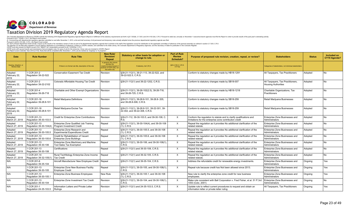

| <b>Date</b>                                 | <b>Rule Number</b>                      | <b>Rule Title</b>                                                        | <b>New Rule/</b><br><b>Revision/</b><br>Repeal                                                                         | Statutory or other basis for adoption or<br>change to rule.                 | <b>Part of Rule</b><br><b>Review</b><br><b>Schedule?</b> | Purpose of proposed rule revision, creation, repeal, or review?                                                                | <b>Stakeholders</b>                                             | <b>Status</b> | Included on<br>CY19 Agenda? |
|---------------------------------------------|-----------------------------------------|--------------------------------------------------------------------------|------------------------------------------------------------------------------------------------------------------------|-----------------------------------------------------------------------------|----------------------------------------------------------|--------------------------------------------------------------------------------------------------------------------------------|-----------------------------------------------------------------|---------------|-----------------------------|
| Hearing, Adoption, or<br><b>Review Date</b> |                                         | If there is no formal rule title, description of the rule.               | In general, this column<br>denotes the<br>creation/revision/repeal o<br>sections of CCR rules, not<br>the entire rule. | If statutory, list C.R.S.                                                   | §24-4-103.3, C.R.S.<br>X if Yes                          |                                                                                                                                | Categories of stakeholders, not individual stakeholders         |               |                             |
| Adopted<br>February 22,<br>2019             | 1 CCR 201-2<br>Regulation 39-22-522     | Conservation Easement Tax Credit                                         | Revision                                                                                                               | §39-21-112(1), 39-21-113, 39-22-522, and<br>39-22-522.5, C.R.S.             |                                                          | Conform to statutory changes made by HB18-1291                                                                                 | All Taxpayers, Tax Practitioners                                | Adopted       | No                          |
| Adopted<br>February 22,<br>2019             | 1 CCR 201-2<br>Regulation 39-22-2102    | Colorado Affordable Housing Tax Credit                                   | Revision                                                                                                               | §39-21-112(1) and 39-22-1202, C.R.S.                                        |                                                          | Conform to statutory changes made by SB18-007                                                                                  | All Taxpayers, Tax Practitioners,<br><b>Housing Authorities</b> | Adopted       | No.                         |
| Adopted<br>February 22,<br>2019             | 1 CCR 201-4<br>Regulation 39-26-718     | Charitable and Other Exempt Organizations   Revision                     |                                                                                                                        | §39-21-112(1), 39-26-102(2.5), 39-26-718,<br>and 39-26-725, C.R.S.          |                                                          | Conform to statutory changes made by HB18-1218                                                                                 | Charitable Organizations, Tax<br>Practitioners                  | Adopted       | No                          |
| Adopted<br>February 22,<br>2019             | 1 CCR 201-18<br>Regulation 39-28.8-101  | Retail Mariiuana Definitions                                             | Revision                                                                                                               | §39-21-112(1), 39-28.8-101, 39-28.8-205,<br>and 39-28.8-308, C.R.S.         |                                                          | Conform to statutory changes made by SB18-259                                                                                  | Retail Marijuana Businesses                                     | Adopted       | l No                        |
| Adopted<br>February 22,<br>2019             | CCR 201-18<br>Regulation 39-28.8-101    | Retail Marijuana Excise Tax                                              | Revision                                                                                                               | §39-21-112(1), 39-28.8-101, 39-22-301, 39-<br>22-302, and 39-22-308, C.R.S. |                                                          | Conform to statutory changes made by SB18-259                                                                                  | Retail Marijuana Businesses                                     | Adopted       | No.                         |
| Adopted<br>March 27, 2019                   | 1 CCR 201-13<br>Regulation 39-30-103.5  | Credit for Enterprise Zone Contributions                                 | Revision                                                                                                               | §39-21-112, 39-30-103.5, and 39-30-108, C.<br>R.S.                          | $\times$                                                 | Conform the regulation to statute and to clarify qualifications and<br>limitations for the enterprise zone contribution credit | Enterprise Zone Businesses and<br>Administrators                | Adopted       | No                          |
| Adopted<br>March 27, 2019                   | 1 CCR 201-13<br>Regulation 39-30-104(4) | Enterprise Zone Qualified Job Training<br>Program Investment Credit      | Repeal                                                                                                                 | §39-21-112(1), 39-30-104(4), and 39-30-108<br>$(1)$ , C.R.S.                | X                                                        | Repeal the regulation as it provides No additional clarification of the<br>related statute.                                    | Enterprise Zone Businesses and<br>Administrators                | Adopted       | No                          |
| Adopted<br>March 27, 2019                   | 1 CCR 201-13<br>Regulation 39-30-105.5  | Enterprise Zone Research and<br><b>Experimental Expenditures Credit</b>  | Repeal                                                                                                                 | §39-21-112(1), 39-30-105.5, and 39-30-108<br>(1), C.R.S.                    | X                                                        | Repeal the regulation as it provides No additional clarification of the<br>related statute                                     | Enterprise Zone Businesses and<br>Administrators                | Adopted       | No                          |
| Adopted<br>March 27, 2019                   | 1 CCR 201-13<br>Regulation 39-30-105.6  | Credit for Rehabilitation of Vacant<br><b>Enterprise Zone Buildings</b>  | Repeal                                                                                                                 | §39-21-112(1), 39-30-105.6, and 39-30-108<br>$(1)$ , C.R.S.                 | X                                                        | Repeal the regulation as it provides No additional clarification of the<br>related statute.                                    | Enterprise Zone Businesses and<br>Administrators                | Adopted       | No                          |
| Adopted<br>March 27, 2019                   | 1 CCR 201-13<br>Regulation 39-30-106    | Enterprise Zone Machinery and Machine<br><b>Tool Sales Tax Exemption</b> | Repeal                                                                                                                 | §39-21-112(1), 39-30-106, and 39-30-108(1),<br>C.R.S.                       | X                                                        | Repeal the regulation as it provides No additional clarification of the<br>related statute.                                    | Enterprise Zone Businesses and<br>Administrators                | Adopted       | No                          |
| Adopted<br>March 27, 2019                   | 1 CCR 201-13<br>Regulation 39-30-108    | Certifications                                                           | Repeal                                                                                                                 | §39-21-112(1) and 39-30-108, C.R.S.                                         | X                                                        | Repeal the regulation as it provides No additional clarification of the<br>related statute.                                    | Enterprise Zone Businesses and<br>Administrators                | Adopted       | No                          |
| Adopted<br>March 27, 2019                   | 1 CCR 201-14<br>Regulation 39-32-105(1) | Rural TechNology Enterprise Zone Income<br><b>Tax Credit</b>             | Repeal                                                                                                                 | §39-21-112(1) and 39-32-105, C.R.S.                                         | $\times$                                                 | Repeal the regulation as it provides No additional clarification of the<br>related statute.                                    | Enterprise Zone Businesses and<br>Administrators                | Adopted       | No                          |
| N/A                                         | 1 CCR 201-6<br>Regulation 39-35-104     | Aircraft Manufacturer New Employee Credit   Repeal                       |                                                                                                                        | §39-21-112(1) and 39-35-104, C.R.S.                                         | X                                                        | Address the refundable credit for renewable energy investments.                                                                | Enterprise Zone Businesses and<br>Administrators                | Ongoing       | Yes                         |
| N/A                                         | 1 CCR 201-13<br>Regulation 39-30-105    | Enterprise Zone New Business Facility<br><b>Employee Credit</b>          | Repeal                                                                                                                 | §39-21-112(1), 39-30-105, and 39-30-108(1),<br>C.R.S.                       | X                                                        | Repeal rule because credit has Not been allowed since 2013.                                                                    | Enterprise Zone Businesses and<br>Administrators                | Ongoing       | Yes                         |
| N/A                                         | 1 CCR 201-13<br>Regulation 39-30-105.1  | <b>Enterprise Zone Business Employees</b>                                | New Rule                                                                                                               | §39-21-112(1), 39-30-105.1, and 39-30-108<br>(1), C.R.S.                    |                                                          | New rule to clarify the enterprise zone credit for new business<br>employees.                                                  | Enterprise Zone Businesses and<br>Administrators                | Ongoing       | Yes                         |
| N/A                                         | 1 CCR 201-13<br>Regulation 39-30-104    | Enterprise Zone Investment Tax Credit                                    | Revision                                                                                                               | §39-21-112(1), 39-30-104, and 39-30-108(1),<br>C.R.S.                       | $\times$                                                 | Make rule consistent with Ball Corporation v. Fred Fisher, et al. 51 P.3rd<br>1053 (Colo. 2001)                                | Enterprise Zone Businesses and<br>Administrators                | Ongoing       | No                          |
| N/A                                         | 1 CCR 201-1<br>Regulation 24-35-103.5   | Information Letters and Private Letter<br>Rulings                        | Revision                                                                                                               | §39-21-112(1) and 24-35-103.5, C.R.S.                                       | $\times$                                                 | Update rule to reflect current procedures to request and obtain an<br>information letter or private letter ruling              | All Taxpayers, Tax Practitioners                                | Ongoing       | Yes                         |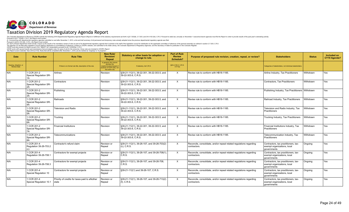

| <b>Date</b>                                 | <b>Rule Number</b>                                 | <b>Rule Title</b>                                          | <b>New Rule/</b><br><b>Revision/</b><br>Repeal                                                                         | Statutory or other basis for adoption or<br>change to rule.       | <b>Part of Rule</b><br><b>Review</b><br><b>Schedule?</b> | Purpose of proposed rule revision, creation, repeal, or review?                     | <b>Stakeholders</b>                                                                | <b>Status</b> | Included on<br>CY19 Agenda? |
|---------------------------------------------|----------------------------------------------------|------------------------------------------------------------|------------------------------------------------------------------------------------------------------------------------|-------------------------------------------------------------------|----------------------------------------------------------|-------------------------------------------------------------------------------------|------------------------------------------------------------------------------------|---------------|-----------------------------|
| Hearing, Adoption, or<br><b>Review Date</b> |                                                    | If there is no formal rule title, description of the rule. | In general, this column<br>denotes the<br>creation/revision/repeal o<br>sections of CCR rules, not<br>the entire rule. | If statutory, list C.R.S.                                         | §24-4-103.3, C.R.S.<br>X if Yes                          |                                                                                     | Categories of stakeholders, not individual stakeholders                            |               |                             |
| N/A                                         | 1 CCR 201-2<br><b>Special Regulation SR-</b>       | Airlines                                                   | Revision                                                                                                               | §39-21-112(1), 39-22-301, 39-22-303.5, and<br>39-22-303.6, C.R.S. | $\times$                                                 | Revise rule to conform with HB18-1185.                                              | Airline Industry, Tax Practitioners                                                | Withdrawn     | Yes                         |
| N/A                                         | CCR 201-2<br><b>Special Regulation SR-</b>         | Contractors                                                | Revision                                                                                                               | §39-21-112(1), 39-22-301, 39-22-303.5, and<br>39-22-303.6. C.R.S. | $\times$                                                 | Revise rule to conform with HB18-1185.                                              | Contractors, Tax Practitioners                                                     | Withdrawn     | Yes                         |
| N/A                                         | 1 CCR 201-2<br>Special Regulation SR-              | Publishing                                                 | Revision                                                                                                               | §39-21-112(1), 39-22-301, 39-22-303.5, and<br>39-22-303.6, C.R.S. | X                                                        | Revise rule to conform with HB18-1185.                                              | Publishing Industry, Tax Practitioners Withdrawn                                   |               | Yes                         |
| N/A                                         | 1 CCR 201-2<br>Special Regulation SR-              | Railroads                                                  | Revision                                                                                                               | §39-21-112(1), 39-22-301, 39-22-303.5, and<br>39-22-303.6, C.R.S. | X                                                        | Revise rule to conform with HB18-1185.                                              | Railroad Industry, Tax Practitioners                                               | Withdrawn     | Yes                         |
| N/A                                         | 1 CCR 201-2<br>Special Regulation SR-              | <b>Television and Radio</b>                                | Revision                                                                                                               | §39-21-112(1), 39-22-301, 39-22-303.5, and<br>39-22-303.6, C.R.S. | X                                                        | Revise rule to conform with HB18-1185.                                              | Television and Radio Industry, Tax<br>Practitioners                                | Withdrawn     | Yes                         |
| N/A                                         | 1 CCR 201-2<br><b>Special Regulation SR-</b>       | Trucking                                                   | Revision                                                                                                               | §39-21-112(1), 39-22-301, 39-22-303.5, and<br>39-22-303.6. C.R.S. | X                                                        | Revise rule to conform with HB18-1185.                                              | Trucking Industry, Tax Practitioners                                               | Withdrawn     | Yes                         |
| N/A                                         | 1 CCR 201-2<br><b>Special Regulation SR-</b><br>7Α | Financial Institutions                                     | Revision                                                                                                               | §39-21-112(1), 39-22-301, 39-22-303.5, and<br>39-22-303.6. C.R.S. | $\times$                                                 | Revise rule to conform with HB18-1185.                                              | Financial Institutions Industry, Tax<br>Practitioners                              | Withdrawn     | Yes                         |
| N/A                                         | 1 CCR 201-2<br>Special Regulation SR-              | Telecommunications                                         | Revision                                                                                                               | §39-21-112(1), 39-22-301, 39-22-303.5, and<br>39-22-303.6, C.R.S. | X                                                        | Revise rule to conform with HB18-1185.                                              | Telecommunication Industry, Tax<br>Practitioners                                   | Withdrawn     | Yes                         |
| N/A                                         | 1 CCR 201-4<br>Regulation 39-26-703.2<br>(c)       | Contractor's refund claim                                  | Revision or<br>Repeal                                                                                                  | §39-21-112(1), 39-26-107, and 39-26-703(2)<br>$(c)$ , C.R.S.      | $\times$                                                 | Reconcile, consolidate, and/or repeal related regulations regarding<br>contractors. | Contractors, tax practitioners, tax-<br>exempt organizations, local<br>governments | Ongoing       | Yes                         |
| N/A                                         | 1 CCR 201-4<br>Regulation 39-26-708.1              | Contractors for exempt projects                            | Revision or<br>Repeal                                                                                                  | §39-21-112(1), 39-26-107, and 39-26-708(1).<br>C.R.S.             | $\times$                                                 | Reconcile, consolidate, and/or repeal related regulations regarding<br>contractors. | Contractors, tax practitioners, tax-<br>exempt organizations, local<br>governments | Ongoing       | Yes                         |
| N/A                                         | 1 CCR 201-4<br>Regulation 39-26-708.3              | Contractors for exempt projects                            | Revision or<br>Repeal                                                                                                  | §39-21-112(1), 39-26-107, and 39-26-708,<br>C.R.S.                | $\times$                                                 | Reconcile, consolidate, and/or repeal related regulations regarding<br>contractors. | Contractors, tax practitioners, tax-<br>exempt organizations, local<br>governments | Ongoing       | Yes                         |
| N/A                                         | 1 CCR 201-4<br>Special Regulation 10               | Contractors for exempt projects                            | Revision or<br>Repeal                                                                                                  | §39-21-112(1) and 39-26-107, C.R.S.                               | X                                                        | Reconcile, consolidate, and/or repeal related regulations regarding<br>contractors. | Contractors, tax practitioners, tax-<br>exempt organizations, local<br>governments | Ongoing       | Yes                         |
| N/A                                         | CCR 201-4<br>Special Requlation 10.1               | Priority of credits for taxes paid to aNother<br>state     | Revision or<br>Repeal                                                                                                  | §39-21-112(1), 39-26-107, and 39-26-713(2)<br>$(f)$ , C.R.S.      | X                                                        | Reconcile, consolidate, and/or repeal related regulations regarding<br>contractors. | Contractors, tax practitioners, tax-<br>exempt organizations, local<br>governments | Ongoing       | Yes                         |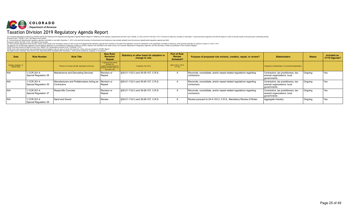

| <b>Date</b>                          | <b>Rule Number</b>                   | <b>Rule Title</b>                                                     | <b>New Rule/</b><br><b>Revision/</b><br>Repeal                                                                          | Statutory or other basis for adoption or<br>change to rule. | Part of Rule<br><b>Review</b><br>Schedule? | Purpose of proposed rule revision, creation, repeal, or review?                     | <b>Stakeholders</b>                                                                | <b>Status</b> | Included on<br>CY19 Agenda? |
|--------------------------------------|--------------------------------------|-----------------------------------------------------------------------|-------------------------------------------------------------------------------------------------------------------------|-------------------------------------------------------------|--------------------------------------------|-------------------------------------------------------------------------------------|------------------------------------------------------------------------------------|---------------|-----------------------------|
| Hearing, Adoption, or<br>Review Date |                                      | If there is no formal rule title, description of the rule.            | In general, this column<br>denotes the<br>creation/revision/repeal of<br>sections of CCR rules, not<br>the entire rule. | If statutory, list C.R.S.                                   | §24-4-103.3, C.R.S.<br>X if Yes            |                                                                                     | Categories of stakeholders, not individual stakeholders.                           |               |                             |
| N/A                                  | 1 CCR 201-4<br>Special Regulation 28 | Maintenance and Decorating Services                                   | Revision or<br>Repeal                                                                                                   | §39-21-112(1) and 39-26-107, C.R.S.                         |                                            | Reconcile, consolidate, and/or repeal related regulations regarding<br>contractors. | Contractors, tax practitioners, tax-<br>exempt organizations, local<br>governments | Ongoing       | Yes                         |
| IN/A                                 | 1 CCR 201-4<br>Special Regulation 29 | Manufacturers and Prefabricators Acting as Revision or<br>Contractors | Repeal                                                                                                                  | S39-21-112(1) and 39-26-107, C.R.S.                         | X                                          | Reconcile, consolidate, and/or repeal related regulations regarding<br>contractors. | Contractors, tax practitioners, tax-<br>exempt organizations, local<br>governments | Ongoing       | Yes                         |
| N/A                                  | 1 CCR 201-4<br>Special Regulation 37 | Ready-Mix Concrete                                                    | Revision or<br>Repeal                                                                                                   | \$39-21-112(1) and 39-26-107, C.R.S.                        |                                            | Reconcile, consolidate, and/or repeal related regulations regarding<br>contractors. | Contractors, tax practitioners, tax-<br>exempt organizations, local<br>governments | Ongoing       | Yes                         |
| IN/A                                 | 1 CCR 201-4<br>Special Regulation 39 | Sand and Gravel                                                       | Review                                                                                                                  | \$39-21-112(1) and 39-26-107, C.R.S.                        | $\lambda$                                  | Review pursuant to 24-4-103.3, C.R.S., Mandatory Review of Rules.                   | Aggregate Industry                                                                 | Ongoing       | Yes                         |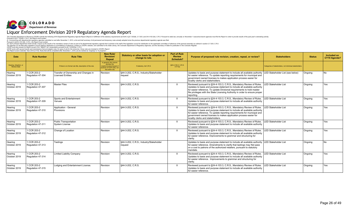

| Date                                        | <b>Rule Number</b>               | <b>Rule Title</b>                                                | <b>New Rule/</b><br><b>Revision/</b><br>Repeal                                                                          | Statutory or other basis for adoption or<br>change to rule. | <b>Part of Rule</b><br><b>Review</b><br>Schedule? | Purpose of proposed rule revision, creation, repeal, or review?                                                                                                                                                                                                                                                                         | <b>Stakeholders</b>                                      | <b>Status</b>  | <b>Included on</b><br>CY19 Agenda? |
|---------------------------------------------|----------------------------------|------------------------------------------------------------------|-------------------------------------------------------------------------------------------------------------------------|-------------------------------------------------------------|---------------------------------------------------|-----------------------------------------------------------------------------------------------------------------------------------------------------------------------------------------------------------------------------------------------------------------------------------------------------------------------------------------|----------------------------------------------------------|----------------|------------------------------------|
| Hearing, Adoption, or<br><b>Review Date</b> |                                  | If there is no formal rule title, description of the rule.       | In general, this column<br>denotes the<br>creation/revision/repeal of<br>sections of CCR rules, not<br>the entire rule. | If statutory, list C.R.S.                                   | §24-4-103.3, C.R.S.<br>X if Yes                   |                                                                                                                                                                                                                                                                                                                                         | Categories of stakeholders, not individual stakeholders. |                |                                    |
| Hearing<br>October 2019                     | 1 CCR 203-2<br>Regulation 47-304 | Transfer of Ownership and Changes in<br><b>Licensed Entities</b> | Revision                                                                                                                | §44-3-202, C.R.S.; Industry/Stakeholder<br>request          |                                                   | Updates to basis and purpose statement to include all available authority<br>for easier reference. To update reporting requirements for municipal and<br>government owned licenses to makes application process easier for<br>locality clerks and stakeholders.                                                                         | LED Stakeholder List (see below)                         | Ongoing        | No.                                |
| Hearing<br>October 2019                     | 1 CCR 203-2<br>Regulation 47-307 | <b>Master Files</b>                                              | Revision                                                                                                                | §44-3-202, C.R.S.                                           | X                                                 | Reviewed pursuant to §24-4-103.3, C.R.S., Mandatory Review of Rules.<br>Updates to basis and purpose statement to include all available authority<br>for easier reference. To update Divisional requirements to hold master<br>file privileges with the State Licensing Authority in order to ensure proper<br>reporting.               | <b>LED Stakeholder List</b>                              | Ongoing        | Yes                                |
| Hearing<br>October 2019                     | 1 CCR 203-2<br>Regulation 47-309 | Sports and Entertainment<br>Venues                               | Revision                                                                                                                | §44-3-202, C.R.S.                                           | $\times$                                          | Reviewed pursuant to §24-4-103.3, C.R.S., Mandatory Review of Rules.<br>Updates to basis and purpose statement to include all available authority<br>for easier reference.                                                                                                                                                              | <b>LED Stakeholder List</b>                              | l Onaoina      | Yes                                |
| Hearing<br>October 2019                     | 1 CCR 203-2<br>Regulation 47-310 | Application - General<br>Provisions                              | Revision                                                                                                                | §44-3-202, C.R.S.                                           | X                                                 | Reviewed pursuant to §24-4-103.3, C.R.S., Mandatory Review of Rules.<br>Updates to basis and purpose statement to include all available authority<br>for easier reference. To update reporting requirements for municipal and<br>government owned licenses to makes application process easier for<br>locality clerks and stakeholders. | LED Stakeholder List                                     | Ongoing        | Yes                                |
| Hearing<br>October 2019                     | 1 CCR 203-2<br>Regulation 47-311 | <b>Public Transportation</b><br><b>System License</b>            | Revision                                                                                                                | S44-3-202. C.R.S.                                           | X                                                 | Reviewed pursuant to §24-4-103.3, C.R.S., Mandatory Review of Rules.<br>Updates to basis and purpose statement to include all available authority<br>for easier reference.                                                                                                                                                              | <b>LED Stakeholder List</b>                              | <b>Ongoing</b> | Yes                                |
| Hearing<br>October 2019                     | 1 CCR 203-2<br>Regulation 47-312 | Change of Location                                               | Revision                                                                                                                | \$44-3-202, C.R.S.                                          | X                                                 | Reviewed pursuant to §24-4-103.3, C.R.S., Mandatory Review of Rules.<br>Updates to basis and purpose statement to include all available authority<br>for easier reference. Improvements to grammar and structuring for<br>clarity.                                                                                                      | <b>LED Stakeholder List</b>                              | Ongoing        | Yes                                |
| Hearing<br>October 2019                     | 1 CCR 203-2<br>Regulation 47-313 | Tastings                                                         | Revision                                                                                                                | §44-3-202, C.R.S.; Industry/Stakeholder<br>request          |                                                   | Updates to basis and purpose statement to include all available authority<br>for easier reference. Amendments to clarify that tastings may Not pass<br>on a cost to patrons of the authorized retailers, pursuant to statutory<br>mandate.                                                                                              | <b>LED Stakeholder List</b>                              | Ongoing        | N <sub>o</sub>                     |
| Hearing<br>October 2019                     | 1 CCR 203-2<br>Regulation 47-314 | <b>Limited Liability Company</b>                                 | Revision                                                                                                                | §44-3-202, C.R.S.                                           | $\times$                                          | Reviewed pursuant to §24-4-103.3, C.R.S., Mandatory Review of Rules.<br>Updates to basis and purpose statement to include all available authority<br>for easier reference. Improvements to grammar and structuring for<br>clarity.                                                                                                      | <b>LED Stakeholder List</b>                              | Ongoing        | Yes                                |
| Hearing<br>October 2019                     | 1 CCR 203-2<br>Regulation 47-315 | Lodging and Entertainment License                                | Revision                                                                                                                | §44-3-202, C.R.S.                                           | X                                                 | Reviewed pursuant to §24-4-103.3, C.R.S., Mandatory Review of Rules.<br>Updates to basis and purpose statement to include all available authority<br>for easier reference.                                                                                                                                                              | <b>LED Stakeholder List</b>                              | Ongoing        | Yes                                |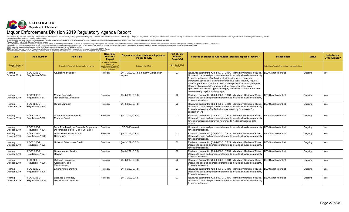

| Date                                        | <b>Rule Number</b>               | <b>Rule Title</b>                                                             | <b>New Rule/</b><br><b>Revision/</b><br>Repeal                                                                          | Statutory or other basis for adoption or<br>change to rule. | <b>Part of Rule</b><br><b>Review</b><br>Schedule? | Purpose of proposed rule revision, creation, repeal, or review?                                                                                                                                                                                                                                                                                                                                                                                                                                                                                                     | <b>Stakeholders</b>                                      | <b>Status</b> | <b>Included on</b><br>CY19 Agenda? |
|---------------------------------------------|----------------------------------|-------------------------------------------------------------------------------|-------------------------------------------------------------------------------------------------------------------------|-------------------------------------------------------------|---------------------------------------------------|---------------------------------------------------------------------------------------------------------------------------------------------------------------------------------------------------------------------------------------------------------------------------------------------------------------------------------------------------------------------------------------------------------------------------------------------------------------------------------------------------------------------------------------------------------------------|----------------------------------------------------------|---------------|------------------------------------|
| Hearing, Adoption, or<br><b>Review Date</b> |                                  | If there is no formal rule title, description of the rule.                    | In general, this column<br>denotes the<br>creation/revision/repeal of<br>sections of CCR rules, not<br>the entire rule. | If statutory, list C.R.S.                                   | §24-4-103.3, C.R.S.<br>X if Yes                   |                                                                                                                                                                                                                                                                                                                                                                                                                                                                                                                                                                     | Categories of stakeholders, not individual stakeholders. |               |                                    |
| Hearing<br>October 2019                     | 1 CCR 203-2<br>Regulation 47-316 | <b>Advertising Practices</b>                                                  | Revision                                                                                                                | §44-3-202, C.R.S.; Industry/Stakeholder<br>reauest          | X                                                 | Reviewed pursuant to §24-4-103.3, C.R.S., Mandatory Review of Rules.<br>Updates to basis and purpose statement to include all available authority<br>for easier reference. Clarification of eligible items for consumer<br>advertising specialties. Eliminated exhaustive list at industry request.<br>Clarified parameters for items used in sweepstakes at industry request.<br>Revised allowable dollar amount limit for consumer advertising<br>specialties that fall into apparel category at industry request. Removed<br>unnecessarily duplicitous language. | <b>ED Stakeholder List</b>                               | Ongoing       | Yes                                |
| Hearing<br>October 2019                     | 1 CCR 203-2<br>Regulation 47-317 | Market Research -<br>Non-Licensed Locations                                   | Revision                                                                                                                | §44-3-202, C.R.S.                                           | X                                                 | Reviewed pursuant to §24-4-103.3, C.R.S., Mandatory Review of Rules.<br>Updates to basis and purpose statement to include all available authority<br>for easier reference.                                                                                                                                                                                                                                                                                                                                                                                          | <b>LED Stakeholder List</b>                              | Ongoing       | Yes                                |
| Hearing<br>October 2019                     | 1 CCR 203-2<br>Regulation 47-318 | Owner-Manager                                                                 | Revision                                                                                                                | §44-3-202, C.R.S.                                           | X                                                 | Reviewed pursuant to §24-4-103.3, C.R.S., Mandatory Review of Rules.<br>Updates to basis and purpose statement to include all available authority<br>for easier reference. Clarified what was meant by "possession" in<br>subsection (A).                                                                                                                                                                                                                                                                                                                           | <b>LED Stakeholder List</b>                              | Ongoing       | Yes                                |
| Hearing<br>October 2019                     | 1 CCR 203-2<br>Regulation 47-319 | <b>Liquor-Licensed Drugstore</b><br>Manager Permit                            | Revision                                                                                                                | S44-3-202. C.R.S.                                           | $\times$                                          | Reviewed pursuant to §24-4-103.3, C.R.S., Mandatory Review of Rules.<br>Updates to basis and purpose statement to include all available authority<br>for easier reference. Removed reference to No longer needed date<br>caveat.                                                                                                                                                                                                                                                                                                                                    | <b>LED Stakeholder List</b>                              | Ongoing       | Yes                                |
| Hearing<br>October 2019                     | 1 CCR 203-2<br>Regulation 47-321 | Bona Fide Loyalty or Rewards Programs<br>Discontinued Sales - Close-Out Sales | Revision                                                                                                                | <b>LED Staff request</b>                                    |                                                   | Updates to basis and purpose statement to include all available authority<br>for easier reference.                                                                                                                                                                                                                                                                                                                                                                                                                                                                  | <b>LED Stakeholder List</b>                              | Ongoing       | No                                 |
| Hearing<br>October 2019                     | 1 CCR 203-2<br>Regulation 47-322 | Unfair Trade Practices and<br>Competition                                     | Revision                                                                                                                | §44-3-202, C.R.S.                                           | X                                                 | Reviewed pursuant to §24-4-103.3, C.R.S., Mandatory Review of Rules.<br>Updates to basis and purpose statement to include all available authority<br>for easier reference.                                                                                                                                                                                                                                                                                                                                                                                          | <b>LED Stakeholder List</b>                              | Ongoing       | Yes                                |
| Hearing<br>October 2019                     | 1 CCR 203-2<br>Regulation 47-323 | Unlawful Extension of Credit                                                  | Revision                                                                                                                | §44-3-202, C.R.S.                                           | X                                                 | Reviewed pursuant to §24-4-103.3, C.R.S., Mandatory Review of Rules.<br>Updates to basis and purpose statement to include all available authority<br>for easier reference.                                                                                                                                                                                                                                                                                                                                                                                          | <b>LED Stakeholder List</b>                              | Ongoing       | Yes                                |
| Hearing<br>October 2019                     | 1 CCR 203-2<br>Regulation 47-324 | <b>Concurrent Application</b><br>Review                                       | Revision                                                                                                                | §44-3-202, C.R.S.                                           | X                                                 | Reviewed pursuant to §24-4-103.3, C.R.S., Mandatory Review of Rules.<br>Updates to basis and purpose statement to include all available authority<br>for easier reference.                                                                                                                                                                                                                                                                                                                                                                                          | <b>LED Stakeholder List</b>                              | Ongoing       | Yes                                |
| Hearing<br>October 2019                     | 1 CCR 203-2<br>Regulation 47-326 | Distance Restriction -<br>Applicability and<br>Measurement                    | Revision                                                                                                                | §44-3-202, C.R.S.                                           | X                                                 | Reviewed pursuant to §24-4-103.3, C.R.S., Mandatory Review of Rules.<br>Updates to basis and purpose statement to include all available authority<br>for easier reference.                                                                                                                                                                                                                                                                                                                                                                                          | <b>LED Stakeholder List</b>                              | Ongoing       | Yes                                |
| Hearing<br>October 2019                     | 1 CCR 203-2<br>Regulation 47-328 | <b>Entertainment Districts</b>                                                | Revision                                                                                                                | §44-3-202, C.R.S.                                           | X                                                 | Reviewed pursuant to §24-4-103.3, C.R.S., Mandatory Review of Rules.<br>Updates to basis and purpose statement to include all available authority<br>for easier reference.                                                                                                                                                                                                                                                                                                                                                                                          | <b>ED Stakeholder List</b>                               | Ongoing       | Yes                                |
| Hearing<br>October 2019                     | 1 CCR 203-2<br>Regulation 47-400 | Licensed Breweries.<br>Distilleries and Wineries                              | Revision                                                                                                                | §44-3-202, C.R.S.                                           | X                                                 | Reviewed pursuant to §24-4-103.3, C.R.S., Mandatory Review of Rules.<br>Updates to basis and purpose statement to include all available authority<br>for easier reference.                                                                                                                                                                                                                                                                                                                                                                                          | <b>ED Stakeholder List</b>                               | Ongoing       | Yes                                |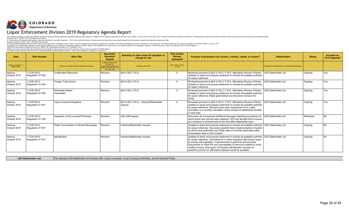

The Colorado Department of Revenue (CDCP) submits the following 2019 Departmental Regulatory Agenda Report (Report) in fulfillment of the statutory requirements set forth in §2-7-202(6), 2-7-203, and 2-4-103.3(4), C.R.S. P

| <b>Date</b>                          | <b>Rule Number</b>               | <b>Rule Title</b>                                          | <b>New Rule</b><br><b>Revision</b><br>Repeal                                                                            | Statutory or other basis for adoption or<br>change to rule. | <b>Part of Rule</b><br><b>Review</b><br><b>Schedule?</b> | Purpose of proposed rule revision, creation, repeal, or review?                                                                                                                                                                                                                                                                                                                                                                                                       | <b>Stakeholders</b>                                      | <b>Status</b> | Included on<br>CY19 Agenda? |
|--------------------------------------|----------------------------------|------------------------------------------------------------|-------------------------------------------------------------------------------------------------------------------------|-------------------------------------------------------------|----------------------------------------------------------|-----------------------------------------------------------------------------------------------------------------------------------------------------------------------------------------------------------------------------------------------------------------------------------------------------------------------------------------------------------------------------------------------------------------------------------------------------------------------|----------------------------------------------------------|---------------|-----------------------------|
| Hearing, Adoption, or<br>Review Date |                                  | If there is no formal rule title, description of the rule. | In general, this column<br>denotes the<br>creation/revision/repeal of<br>sections of CCR rules, not<br>the entire rule. | If statutory, list C.R.S.                                   | §24-4-103.3, C.R.S.<br>X if Yes                          |                                                                                                                                                                                                                                                                                                                                                                                                                                                                       | Categories of stakeholders, not individual stakeholders. |               |                             |
| Hearing<br>October 2019              | 1 CCR 203-2<br>Regulation 47-402 | Confiscated Shipments                                      | Revision                                                                                                                | §44-3-202. C.R.S.                                           | X                                                        | Reviewed pursuant to §24-4-103.3, C.R.S., Mandatory Review of Rules.<br>Updates to basis and purpose statement to include all available authority<br>for easier reference.                                                                                                                                                                                                                                                                                            | <b>LED Stakeholder List</b>                              | Ongoing       | l Yes                       |
| Hearing<br>October 2019              | 1 CCR 203-2<br>Regulation 47-404 | Foreian Trade Zones                                        | Revision                                                                                                                | §44-3-202. C.R.S.                                           | X                                                        | Reviewed pursuant to §24-4-103.3, C.R.S., Mandatory Review of Rules.<br>Updates to basis and purpose statement to include all available authority<br>for easier reference.                                                                                                                                                                                                                                                                                            | <b>LED Stakeholder List</b>                              | Ongoing       | Yes                         |
| Hearing<br>October 2019              | 1 CCR 203-2<br>Regulation 47-406 | Wholesale Dealer -<br>Importation                          | Revision                                                                                                                | §44-3-202. C.R.S.                                           | $\times$                                                 | Reviewed pursuant to §24-4-103.3, C.R.S., Mandatory Review of Rules.<br>Updates to basis and purpose statement to include all available authority<br>for easier reference. Made grammatical and structural revisions for<br>clarity.                                                                                                                                                                                                                                  | <b>LED Stakeholder List</b>                              | Ongoing       | Yes                         |
| Hearing<br>October 2019              | 1 CCR 203-2<br>Regulation 47-407 | Liquor-Licensed Drugstore                                  | Revision                                                                                                                | §44-3-202, C.R.S.; Industry/Stakeholder<br>request          | X                                                        | Reviewed pursuant to §24-4-103.3, C.R.S., Mandatory Review of Rules.<br>Updates to basis and purpose statement to include all available authority<br>for easier reference. Revised hours open requirement from a daily<br>calculation to a monthly calculation at the request of stakeholder located<br>in rural area.                                                                                                                                                | <b>LED Stakeholder List</b>                              | Ongoing       | Yes                         |
| Hearing<br>October 2019              | 1 CCR 203-2<br>Regulation 47-700 | Inspection of the Licensed Premises                        | Revision                                                                                                                | LED staff request                                           |                                                          | Discussion as to proposed additional language regarding procedures by<br>which books and records were obtained. LED has decided Not to pursue<br>any revisions or amendments at this time after stakeholder input.                                                                                                                                                                                                                                                    | <b>LED Stakeholder List</b>                              | Withdrawn     |                             |
| Hearing<br>October 2019              | 1 CCR 203-2<br>Regulation 47-901 | Public Consumption of Alcohol Beverages                    | Revision                                                                                                                | Industry/Stakeholder request                                |                                                          | Updates to basis and purpose statement to include all available authority LED Stakeholder List<br>for easier reference. Discussed possible future implementation of system<br>by which local authorities can Notify state of currently applicable public<br>consumption laws in their location.                                                                                                                                                                       |                                                          | Ongoing       | <b>No</b>                   |
| Hearing<br>October 2019              | 1 CCR 203-2<br>Regulation 47-912 | Identification                                             | Revision                                                                                                                | Industry/Stakeholder request                                |                                                          | Updates to basis and purpose statement to include all available authority LED Stakeholder List<br>for easier reference. Amendments to reflect repealed valid license types<br>to comply with legislation. Improvements to grammar and structure.<br>Discussions on tribal IDs and unavailability of resource material to verify<br>validity of same. Discussion of biometric identification devices as<br>systems by which an affirmative defense would be available. |                                                          | l Onaoina     | N <sub>0</sub>              |

LED Stakeholder List: The standard LED stakeholder list includes LED, Liquor Licensees, Local Licensing Authorities, and the General Public.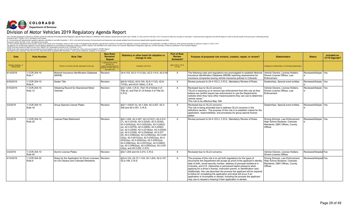

#### Division of Motor Vehicles 2019 Regulatory Agenda Report

| Date                                 | <b>Rule Number</b>                | <b>Rule Title</b>                                                                                | <b>New Rule/</b><br><b>Revision/</b><br>Repeal                                                                          | Statutory or other basis for adoption or<br>change to rule.                                                                                                                                                                                                                                                                                                                                                                                                                                                                                                                                        | <b>Part of Rule</b><br><b>Review</b><br>Schedule? | Purpose of proposed rule revision, creation, repeal, or review?                                                                                                                                                                                                                                                                                                                                                                                                                                                                                                                                                                                                                       | <b>Stakeholders</b>                                                                                                    | <b>Status</b>         | Included on<br>CY19 Agenda? |
|--------------------------------------|-----------------------------------|--------------------------------------------------------------------------------------------------|-------------------------------------------------------------------------------------------------------------------------|----------------------------------------------------------------------------------------------------------------------------------------------------------------------------------------------------------------------------------------------------------------------------------------------------------------------------------------------------------------------------------------------------------------------------------------------------------------------------------------------------------------------------------------------------------------------------------------------------|---------------------------------------------------|---------------------------------------------------------------------------------------------------------------------------------------------------------------------------------------------------------------------------------------------------------------------------------------------------------------------------------------------------------------------------------------------------------------------------------------------------------------------------------------------------------------------------------------------------------------------------------------------------------------------------------------------------------------------------------------|------------------------------------------------------------------------------------------------------------------------|-----------------------|-----------------------------|
| Hearing, Adoption, or<br>Review Date |                                   | If there is no formal rule title, description of the rule.                                       | In general, this column<br>denotes the<br>creation/revision/repeal of<br>sections of CCR rules, not<br>the entire rule. | If statutory, list C.R.S.                                                                                                                                                                                                                                                                                                                                                                                                                                                                                                                                                                          | §24-4-103.3, C.R.S.<br>X if Yes                   |                                                                                                                                                                                                                                                                                                                                                                                                                                                                                                                                                                                                                                                                                       | Categories of stakeholders, not individual stakeholders.                                                               |                       |                             |
| 6/14/2019                            | 1 CCR 204-10<br>Rule 7            | Motorist Insurance Identification Database<br>(MIIDB)                                            | Revision                                                                                                                | 24-4-103, 42-2-111(1)(b), 42-2-114.5, 42-2-40                                                                                                                                                                                                                                                                                                                                                                                                                                                                                                                                                      | $\times$                                          | The following rules and regulations are promulgated to establish Motorist<br>Insurance Identification Database (MIIDB) reporting requirements for<br>insurance companies issuing vehicle insurance policies in Colorado.                                                                                                                                                                                                                                                                                                                                                                                                                                                              | Vehicle Owners, License Holders.<br>Drivers License Offices, Law<br>Enforcement                                        | Reviewed/Adopte Yes   |                             |
| 6/30/2019                            | 1 CCR 204-10<br>Rule 8            | Dealer Title                                                                                     | Revision                                                                                                                | §42-6-102(2), 42-6-104, 42-6-111(2), 42-6-<br>137(6), and 42-6-138(4), C.R.S.                                                                                                                                                                                                                                                                                                                                                                                                                                                                                                                      | $\times$                                          | Review pursuant to 24-4-103.3, C.R.S., Mandatory Review of Rules.                                                                                                                                                                                                                                                                                                                                                                                                                                                                                                                                                                                                                     | Dealerships, Special event entities                                                                                    | Reviewed/Adopte   Yes |                             |
| 5/15/2019                            | 1 CCR 204-10<br>Rule 12           | Obtaining Record for Abandoned Motor<br>Vehicles                                                 | Revision                                                                                                                | \$42-1-204, C.R.S., Part 18 of Article 4 of<br>Title 42, and Part 21 of Article 4 of Title 42.<br>C.R.S.                                                                                                                                                                                                                                                                                                                                                                                                                                                                                           | $\times$                                          | Reviewed due to OLLS concerns<br>"OLLS is requiring us to remove law enforcement from this rule as they<br>believe we canNot require law enforcement to use the Departments<br>website when they have other means/systems they can use to determine<br>vehicle owner."<br>This rule to be effective May 16th                                                                                                                                                                                                                                                                                                                                                                          | Vehicle Owners, License Holders,<br>Drivers License Offices, Law<br>Enforcement                                        | Reviewed/Adopte   Yes |                             |
| 3/2/2019                             | 1 CCR 204-10<br>Rule 16           | <b>Group Special License Plates</b>                                                              | Revision                                                                                                                | \$42-1-102(41.5), 42-1-204, 42-3-207, 42-3-<br>208 and 42-3-301, C.R.S.                                                                                                                                                                                                                                                                                                                                                                                                                                                                                                                            | $\times$                                          | Reviewed due to OLLS concerns<br>The rule is being amended due to address OLLS concerns in the<br>definitions section. The purpose of this rule is to establish criteria for the<br>application, responsibilities, and processes for group special license<br>plates.                                                                                                                                                                                                                                                                                                                                                                                                                 | Dealerships. Special event entities                                                                                    | Reviewed/Adopte   Yes |                             |
| 3/2/2019                             | 1 CCR 204-10<br>Rule 20           | License Plate Retirement                                                                         | Revision                                                                                                                | §42-1-204, 42-3-207, 42-3-212(7), 42-3-214<br>$(7), 42-3-221(6), 42-3-222(6), 42-3-223(6),$<br>42-3-224(2)(a), 42-3-225(2)(b), 42-3-226(2)<br>(a), 42-3-227(6), 42-3-228(6), 42-3-229(2)<br>$(a), 42-3-230(6), 42-3-231(6)(a), 42-3-232(6)$<br>(a), 42-3-233(6), 42-3-234(6)(a), 42-3-237<br>$(6)$ , 42-3-238 $(2)$ (a), 42-3-239 $(2)$ (a), 42-3-240<br>$(2)(a)$ , 42-3-241(2)(a), 42-3-242(2)(a), 42-3-<br>$243(2)(a)$ , 42-3-244(2)(a), 42-3-245(2)(a),<br>42-3-246(2)(a), 42-3-247(2)(a), 42-3-248(2)<br>(a), $42-3-249(2)(a)$ , $42-3-250(2)(a)$ , $42-3-251$<br>(2)(a), and 42-3-252, C.R.S. | $\times$                                          | Review pursuant to 24-4-103.3, C.R.S., Mandatory Review of Rules.                                                                                                                                                                                                                                                                                                                                                                                                                                                                                                                                                                                                                     | Driving Schools, Law Enforcement<br>High School Students, Colorado<br>Residents, DMV Offices, County<br>Offices        | Reviewed/Adopte   Yes |                             |
| 3/2/2019                             | 1 CCR 204-10<br>Rule 45           | Alumni License Plates                                                                            | Revision                                                                                                                | §42-1-204 and 42-3-214, C.R.S.                                                                                                                                                                                                                                                                                                                                                                                                                                                                                                                                                                     | X                                                 | Reviewed due to OLLS concerns.                                                                                                                                                                                                                                                                                                                                                                                                                                                                                                                                                                                                                                                        | Vehicle Owners, License Holders,<br>Drivers License Offices                                                            | Reviewed/Adopted Yes  |                             |
| 4/14/2019                            | 1 CCR 204-30<br>Rule <sub>6</sub> | Rules for the Application for Driver Licenses Revision<br>for US Citizens and Colorado Residents |                                                                                                                         | §24-4-103, 24-72.1-103, 42-1-204, 42-2-107,<br>42-2-108, C.R.S.                                                                                                                                                                                                                                                                                                                                                                                                                                                                                                                                    | $\times$                                          | The purpose of this rule is to set forth regulations for the types of<br>documents the Department will accept as proof of the applicant's identity,<br>date of birth, social security number, address of principal residence in<br>Colorado, and U.S. citizenship or permanent lawful presence when<br>applying for a driver's license, instruction permit, or identification card.<br>Additionally, this rule describes the process the applicant will be required<br>to follow for completing the application and what will occur if an<br>application is incomplete or denied, including the process the applicant<br>may use to request a hearing if their application is denied. | Driving Schools, Law Enforcement<br>High School Students, Colorado<br>Residents, DMV Offices, County<br><b>Offices</b> | Reviewed/Adopted Yes  |                             |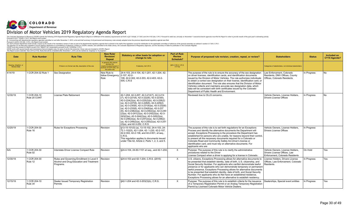

#### Division of Motor Vehicles 2019 Regulatory Agenda Report

| <b>Date</b>                          | <b>Rule Number</b>           | <b>Rule Title</b>                                                                                             | <b>New Rule/</b><br><b>Revision/</b><br>Repeal                                                                       | Statutory or other basis for adoption or<br>change to rule.                                                                                                                                                                                                                                                                                                                                                                                                                                                                                                                                                                        | <b>Part of Rule</b><br><b>Review</b><br>Schedule? | Purpose of proposed rule revision, creation, repeal, or review?                                                                                                                                                                                                                                                                                                                                                                                                                                                                                                                                                  | <b>Stakeholders</b>                                                                                 | <b>Status</b> | Included on<br>CY19 Agenda? |
|--------------------------------------|------------------------------|---------------------------------------------------------------------------------------------------------------|----------------------------------------------------------------------------------------------------------------------|------------------------------------------------------------------------------------------------------------------------------------------------------------------------------------------------------------------------------------------------------------------------------------------------------------------------------------------------------------------------------------------------------------------------------------------------------------------------------------------------------------------------------------------------------------------------------------------------------------------------------------|---------------------------------------------------|------------------------------------------------------------------------------------------------------------------------------------------------------------------------------------------------------------------------------------------------------------------------------------------------------------------------------------------------------------------------------------------------------------------------------------------------------------------------------------------------------------------------------------------------------------------------------------------------------------------|-----------------------------------------------------------------------------------------------------|---------------|-----------------------------|
| Hearing, Adoption, or<br>Review Date |                              | If there is no formal rule title, description of the rule.                                                    | In general, this column<br>denotes the<br>eation/revision/repeal o<br>sections of CCR rules, not<br>the entire rule. | If statutory, list C.R.S.                                                                                                                                                                                                                                                                                                                                                                                                                                                                                                                                                                                                          | §24-4-103.3, C.R.S.<br>X if Yes                   |                                                                                                                                                                                                                                                                                                                                                                                                                                                                                                                                                                                                                  | Categories of stakeholders, not individual stakeholders                                             |               |                             |
| 4/14/19                              | 1 CCR 204-32 Rule 1          | Sex Designation                                                                                               | New Rule to<br>follow Emergency 2-107, 42-2-<br>Rule                                                                 | 24-4-103. 24-4-104. 42-1-201. 42-1-204. 42-<br>108. 42-2-302. 42-2-303. 42-2-403. 42-2-<br>505, C.R.S.                                                                                                                                                                                                                                                                                                                                                                                                                                                                                                                             |                                                   | The purpose of the rule is to ensure the accuracy of the sex designation<br>on driver licenses, identification cards, and identification documents<br>issued by the Division of Motor Vehicles. The rule authorizes individuals<br>to obtain a correct sex designation on their license, identification card, or<br>identification document. The rule also ensures that the Division of Motor<br>Vehicles collects and maintains accurate sex designation data, which<br>data will be consistent with birth certificates issued by the Colorado<br>Department of Public Health and Environment.                  | Law Enforcement, Colorado<br>Residents, DMV Offices, County<br>Offices. Colorado Residents          | In Progress   | <b>No</b>                   |
| 12/30/19                             | 1 CCR 204-10<br>Rule 20 CONT | License Plate Retirement                                                                                      | Revision                                                                                                             | 42-1-204, 42-3-207, 42-3-212(7), 42-3-214<br>$(7), 42-3-221(6), 42-3-222(6), 42-3-223(6),$<br>42-3-224(2)(a), 42-3-225(2)(b), 42-3-226(2)<br>(a), $42-3-227(6)$ , $42-3-228(6)$ , $42-3-229(2)$<br>(a), $42-3-230(6)$ , $42-3-231(6)(a)$ , $42-3-232(6)$<br>(a), $42-3-233(6)$ , $42-3-234(6)(a)$ , $42-3-237$<br>$(6)$ , 42-3-238 $(2)$ (a), 42-3-239 $(2)$ (a), 42-3-240<br>$(2)(a)$ , 42-3-241 $(2)(a)$ , 42-3-242 $(2)(a)$ , 42-3-<br>$243(2)(a)$ , 42-3-244(2)(a), 42-3-245(2)(a),<br>42-3-246(2)(a), 42-3-247(2)(a), 42-3-248(2)<br>(a), $42-3-249(2)(a)$ , $42-3-250(2)(a)$ , $42-3-251$<br>$(2)(a)$ , and 42-3-252, C.R.S. |                                                   | Reviewed due to OLLS concerns.                                                                                                                                                                                                                                                                                                                                                                                                                                                                                                                                                                                   | Vehicle Owners, License Holders.<br><b>Drivers License Offices</b>                                  | In Progress   | <b>No</b>                   |
| 12/25/19                             | 1 CCR 204-30<br>Rule 16      | Rules for Exceptions Processing                                                                               | Revision                                                                                                             | S13-15-101(5) (a), 13-15-102, 24-4-103, 24-<br>72.1-102(5), 42-1-204, 42-1-230, 42-2-107,<br>42-2-302, 42-2-136, and 42-2-501, et seq.,<br>C.R.S.<br>This regulation applies to documents issued<br>under Title 42, Article 2, Parts 1, 2, 3, and 5.                                                                                                                                                                                                                                                                                                                                                                               |                                                   | The purpose of this rule is to set forth regulations for an Exceptions<br>Process and identify the alternative documents the Department will<br>accept. Exceptions Processing is the procedure the Department has<br>established for persons who are unable, for reasons beyond their control,<br>to present all the necessary documents required for a Colorado or<br>Colorado Road and Community Safety Act driver's license or<br>identification card, and must rely on alternative documents. For<br>applicants who are                                                                                      | Vehicle Owners, License Holders.<br><b>Drivers License Offices</b>                                  | In Progress   |                             |
| IN/A                                 | 1 CCR 204-30<br>Rule 02      | Interstate Driver License Compact Rule                                                                        | Revision                                                                                                             | §24-4-104, 24-60-1101 et seq., and 42-1-204.                                                                                                                                                                                                                                                                                                                                                                                                                                                                                                                                                                                       | $\times$                                          | Purpose: The purpose of this rule is to clarify the administrative<br>procedures related to the Driver<br>License Compact when a driver is applying for a license in Colorado.                                                                                                                                                                                                                                                                                                                                                                                                                                   | Vehicle Owners, License Holders.<br>Drivers License Offices. Law<br>Enforcement. Colorado Residents | On Hold       | Yes                         |
| 12/30/19                             | 1 CCR 204-30<br>Rule 12      | Rules and Governing Enrollment in Level II   Revision<br>Alcohol and Drug Education and Treatment<br>Programs |                                                                                                                      | \$24-4-103 and 42-1-204, C.R.S. (2015)                                                                                                                                                                                                                                                                                                                                                                                                                                                                                                                                                                                             | $\times$                                          | U.S. citizens, Exceptions Processing allows for alternative documents to<br>be presented that establish identity, date of birth, U.S. citizenship, and<br>Social Security Number. For applicants who canNot demonstrate lawful<br>presence or for applicants who can demonstrate temporary or permanent<br>lawful presence, Exceptions Processing allows for alternative documents<br>to be presented that establish identity, date of birth, and Social Security<br>Number. For applicants who do Not have an established residence,<br>Exceptions Processing allows for an alternative to establish residency. | License Holders, Drivers License<br>Offices. Law Enforcement. Colorado<br>Residents                 | In Progress   | Yes                         |
| 12/15/19                             | 1 CCR 204-10<br>Rule 34      | Dealer Issued Temporary Registration<br>Permits                                                               | Revision                                                                                                             | §42-1-204 and 42-3-203(3)(b), C.R.S.                                                                                                                                                                                                                                                                                                                                                                                                                                                                                                                                                                                               | $\times$                                          | Purpose: The purpose of this rule is to establish criteria for the issuance<br>of a Temporary Registration Permit or an Analog Temporary Registration<br>Permit by Licensed Colorado Motor Vehicle Dealers.                                                                                                                                                                                                                                                                                                                                                                                                      | Dealerships, Special event entities                                                                 | In Progress   | Yes                         |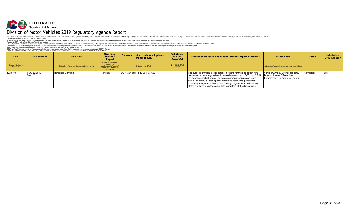

#### Division of Motor Vehicles 2019 Regulatory Agenda Report

| <b>Date</b>                          | <b>Rule Number</b>      | <b>Rule Title</b>                                          | <b>New Rule/</b><br>Revision/<br>Repeal                                                                                 | Statutory or other basis for adoption or<br>change to rule. | Part of Rule<br><b>Review</b><br>Schedule? | Purpose of proposed rule revision, creation, repeal, or review?                                                                                                                                                                                                                                                                                                                                                                                                                        | <b>Stakeholders</b>                                                 | <b>Status</b> | Included on<br>CY19 Agenda? |
|--------------------------------------|-------------------------|------------------------------------------------------------|-------------------------------------------------------------------------------------------------------------------------|-------------------------------------------------------------|--------------------------------------------|----------------------------------------------------------------------------------------------------------------------------------------------------------------------------------------------------------------------------------------------------------------------------------------------------------------------------------------------------------------------------------------------------------------------------------------------------------------------------------------|---------------------------------------------------------------------|---------------|-----------------------------|
| Hearing, Adoption, or<br>Review Date |                         | If there is no formal rule title, description of the rule. | In general, this column<br>denotes the<br>creation/revision/repeal of<br>sections of CCR rules, not<br>the entire rule. | If statutory, list C.R.S.                                   | §24-4-103.3, C.R.S.<br>X if Yes            |                                                                                                                                                                                                                                                                                                                                                                                                                                                                                        | Categories of stakeholders, not individual stakeholders.            |               |                             |
| 12/15/19                             | 1 CCR 204-10<br>Rule 17 | Horseless Carriage                                         | Revision                                                                                                                | §42-1-204 and 42-12-301, C.R.S.                             |                                            | The purpose of this rule is to establish criteria for the application for a<br>horseless carriage registration. In accordance with 42-12-301(3), C.R.S., Drivers License Offices, Law<br>the department shall register horseless carriage vehicles and issue<br>horseless carriage license plates every five years for a period Not<br>exceeding five years; all horseless carriage registrations and license<br>plates shall expire on the same date regardless of the date of issue. | Vehicle Owners, License Holders,<br>Enforcement, Colorado Residents | In Progress   | Yes                         |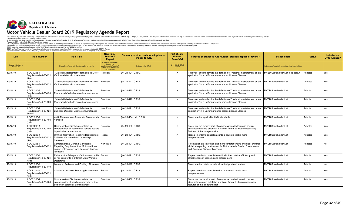

#### Motor Vehicle Dealer Board 2019 Regulatory Agenda Report

| <b>Date</b>                                 | <b>Rule Number</b>                               | <b>Rule Title</b>                                                                                                                                | <b>New Rule/</b><br><b>Revision/</b><br>Repeal                                                                        | Statutory or other basis for adoption or<br>change to rule. | <b>Part of Rule</b><br><b>Review</b><br><b>Schedule?</b> | Purpose of proposed rule revision, creation, repeal, or review?                                                                                                                 | <b>Stakeholders</b>                                      | <b>Status</b> | <b>Included on</b><br>CY19 Agenda? |
|---------------------------------------------|--------------------------------------------------|--------------------------------------------------------------------------------------------------------------------------------------------------|-----------------------------------------------------------------------------------------------------------------------|-------------------------------------------------------------|----------------------------------------------------------|---------------------------------------------------------------------------------------------------------------------------------------------------------------------------------|----------------------------------------------------------|---------------|------------------------------------|
| Hearing, Adoption, or<br><b>Review Date</b> |                                                  | If there is no formal rule title, description of the rule.                                                                                       | In general, this column<br>denotes the<br>reation/revision/repeal of<br>ections of CCR rules, not<br>the entire rule. | If statutory, list C.R.S.                                   | §24-4-103.3, C.R.S.<br>X if Yes                          |                                                                                                                                                                                 | Categories of stakeholders, not individual stakeholders. |               |                                    |
| 10/15/19                                    | 1 CCR 205-1<br>Regulation #44-20-121<br>(3)(a)   | "Material Misstatement" definition in Motor<br>Vehicle-related circumstances                                                                     | <b>Revision</b>                                                                                                       | §44-20-121, C.R.S.                                          | X                                                        | To revise and modernize the definition of "material misstatement on an<br>application" in a uniform manner across License Classes                                               | MVBD Stakeholder List (see below)                        | Adopted       | Yes                                |
| 10/15/19                                    | 1 CCR 205-1<br>Regulation #44-20-121<br>(6)(a)   | "Material Misstatement" definition in Motor<br>Vehicle-related circumstances                                                                     | Revision                                                                                                              | §44-20-121, C.R.S.                                          | X                                                        | To revise and modernize the definition of "material misstatement on an<br>application" in a uniform manner across License Classes                                               | <b>MVDB Stakeholder List</b>                             | Adopted       | Yes                                |
| 10/15/19                                    | 1 CCR 205-2<br>Regulation #44-20-420<br>(3)(a)   | "Material Misstatement" definition in<br>Powersports Vehicle-related circumstances                                                               | Revision                                                                                                              | §44-20-420, C.R.S.                                          | $\times$                                                 | To revise and modernize the definition of "material misstatement on an<br>application" in a uniform manner across License Classes                                               | <b>MVDB Stakeholder List</b>                             | Adopted       | Yes                                |
| 10/15/19                                    | 1 CCR 205-2<br>Regulation #44-20-420<br>(5)(a)   | "Material Misstatement" definition in<br>Powersports Vehicle-related circumstances                                                               | Revision                                                                                                              | §44-20-420, C.R.S.                                          | $\times$                                                 | To revise and modernize the definition of "material misstatement on an<br>application" in a uniform manner across License Classes                                               | <b>MVDB Stakeholder List</b>                             | Adopted       | Yes                                |
| 10/15/19                                    | 1 CCR 205-2<br>Regulation #44-20-121<br>(6.5)(a) | "Material Misstatement" definition in<br><b>Business Disposer License circumstances</b>                                                          | New Rule                                                                                                              | §44-20-121, C.R.S.                                          |                                                          | To revise and modernize the definition of "material misstatement on an<br>application" in a uniform manner across License Classes                                               | <b>MVDB Stakeholder List</b>                             | Adopted       | N <sub>o</sub>                     |
| 10/15/19                                    | 1 CCR 205-2<br>Regulation #44-20-404<br>(1)(1)   | ANSI Requirements for certain Powersports   Revision<br>Vehicles                                                                                 |                                                                                                                       | §44-20-404(1)(I), C.R.S.                                    | $\times$                                                 | To update the applicable ANSI standards                                                                                                                                         | <b>MVDB Stakeholder List</b>                             | Adopted       | Yes                                |
| 10/15/19                                    | 1 CCR 205-1<br>Regulation #44-20-108<br>(1)(b)   | Compensation Disclosures related to<br>compensation of used motor vehicle dealers<br>in particular circumstances                                 | Revision                                                                                                              | \$44-20-108, C.R.S.                                         | $\times$                                                 | To set out the requirement of compensation disclosure in certain<br>circumstances and establish a uniform format to display necessary<br>features of that compensation          | <b>MVDB Stakeholder List</b>                             | Adopted       | Yes                                |
| 10/15/19                                    | CCR 205-1<br>Regulation #44-20-121<br>(3)(c)     | Criminal Conviction Reporting Requirement   Repeal<br>for Motor Vehicle-related dealership<br>icensees                                           |                                                                                                                       | §44-20-121, C.R.S.                                          | X                                                        | Repeal in order to consolidate into a new rule that is more<br>comprehensive.                                                                                                   | MVDB Stakeholder List                                    | Adopted       | Yes                                |
| 10/15/19                                    | 1 CCR 205-1<br>Regulation # 44-20-121            | <b>Comprehensive Criminal Conviction</b><br>Reporting Requirement for Motor-vehicle -<br>dealer, salesperson, and business disposer<br>licensees | New Rule                                                                                                              | \$44-20-121, C.R.S.                                         |                                                          | To establish an improved and more comprehensive and clear criminal<br>violation reporting requirement for Motor Vehicle Dealer, Salesperson,<br>and Business Disposer licensees | <b>MVDB Stakeholder List</b>                             | Adopted       | <b>No</b>                          |
| 10/15/19                                    | 1 CCR 205-1<br>Regulation #44-20-121<br>(6)(f)   | Reissue of a Salesperson's license upon his   Repeal<br>or her transfer to a different Motor Vehicle<br>Dealership                               |                                                                                                                       | §44-20-121, C.R.S.                                          | $\times$                                                 | Repeal in order to consolidate with aNother rule for efficiency and<br>effectiveness of licensing and enforcement                                                               | MVDB Stakeholder List                                    | Adopted       | Yes                                |
| 10/15/19                                    | 1 CCR 205-1<br>Regulation #44-20-110             | Issuance, Re-issue, and Posting of Licenses Revision                                                                                             |                                                                                                                       | §44-20-110, C.R.S.                                          |                                                          | To update the rule to include all topically-related matters                                                                                                                     | <b>MVDB Stakeholder List</b>                             | Adopted       | No.                                |
| 10/15/19                                    | 1 CCR 205-1<br>Regulation #44-20-121<br>(6)(h)   | Criminal Conviction Reporting Requirement   Repeal                                                                                               |                                                                                                                       | §44-20-121, C.R.S.                                          | $\times$                                                 | Repeal in order to consolidate into a new rule that is more<br>comprehensive.                                                                                                   | MVDB Stakeholder List                                    | Adopted       | Yes                                |
| 10/15/19                                    | 1 CCR 205-2<br>Regulation #44-20-408<br>(1)(b)   | Compensation Disclosures related to<br>compensation of used powersports vehicle<br>dealers in particular circumstances                           | Revision                                                                                                              | §44-20-408, C.R.S.                                          | $\times$                                                 | To set out the requirement of compensation disclosure in certain<br>circumstances and establish a uniform format to display necessary<br>features of that compensation          | MVDB Stakeholder List                                    | Adopted       | Yes                                |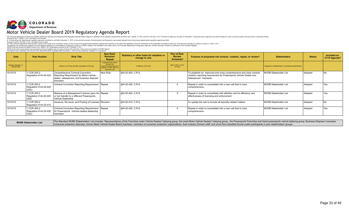

#### Motor Vehicle Dealer Board 2019 Regulatory Agenda Report

The Colorado Department of Revenue (CDCP) submits the following 2019 Departmental Regulatory Agenda Report (Report) in fulfillment of the statutory requirements set forth in §2-7-202(6), 2-7-203, and 2-4-103.3(4), C.R.S. P

| <b>Date</b>                          | <b>Rule Number</b>                             | <b>Rule Title</b>                                                                                                                         | <b>New Rule/</b><br><b>Revision/</b><br>Repeal                                                                          | Statutory or other basis for adoption or<br>change to rule. | Part of Rule<br><b>Review</b><br><b>Schedule?</b> | Purpose of proposed rule revision, creation, repeal, or review?                                                                                                   | <b>Stakeholders</b>                                      | <b>Status</b> | Included on<br>CY19 Agenda? |
|--------------------------------------|------------------------------------------------|-------------------------------------------------------------------------------------------------------------------------------------------|-------------------------------------------------------------------------------------------------------------------------|-------------------------------------------------------------|---------------------------------------------------|-------------------------------------------------------------------------------------------------------------------------------------------------------------------|----------------------------------------------------------|---------------|-----------------------------|
| Hearing, Adoption, or<br>Review Date |                                                | If there is no formal rule title, description of the rule.                                                                                | In general, this column<br>denotes the<br>creation/revision/repeal of<br>sections of CCR rules, not<br>the entire rule. | If statutory, list C.R.S.                                   | §24-4-103.3, C.R.S.<br>X if Yes                   |                                                                                                                                                                   | Categories of stakeholders, not individual stakeholders. |               |                             |
| 10/15/19                             | CCR 205-2<br>Regulation #44-20-420             | Comprehensive Criminal Conviction<br>Reporting Requirement for Motor-vehicle -<br>dealer, salesperson, and business disposer<br>licensees | New Rule                                                                                                                | §44-20-420, C.R.S.                                          |                                                   | To establish an improved and more comprehensive and clear criminal<br>violation reporting requirement for Powersports Vehicle Dealer and<br>Salesperson licensees | MVDB Stakeholder List                                    | Adopted       |                             |
| 10/15/19                             | 1 CCR 205-2<br>Regulation #44-20-420<br>(5)(h) | Criminal Conviction Reporting Requirement Repeal                                                                                          |                                                                                                                         | \$44-20-420, C.R.S.                                         | $\times$                                          | Repeal in order to consolidate into a new rule that is more<br>comprehensive.                                                                                     | MVDB Stakeholder List                                    | Adopted       | <b>Yes</b>                  |
| 10/15/19                             | 1 CCR 205-2<br>Regulation #44-20-420<br>(5)(f) | Reissue of a Salesperson's license upon his Repeal<br>or her transfer to a different Powersports<br>Vehicle Dealership                    |                                                                                                                         | §44-20-420, C.R.S.                                          | $\lambda$                                         | Repeal in order to consolidate with a Nother rule for efficiency and<br>effectiveness of licensing and enforcement                                                | MVDB Stakeholder List                                    | Adopted       | Yes                         |
| 10/15/19                             | CCR 205-2<br>Regulation #44-20-410             | Issuance, Re-issue, and Posting of Licenses Revision                                                                                      |                                                                                                                         | \$44-20-410, C.R.S.                                         |                                                   | To update the rule to include all topically-related matters                                                                                                       | MVDB Stakeholder List                                    | Adopted       | No                          |
| 10/15/19                             | 1 CCR 205-2<br>Regulation #44-20-420<br>(3)(c) | Criminal Conviction Reporting Requirement   Repeal<br>for Powersports Vehicle-related dealership<br>licensees                             |                                                                                                                         | §44-20-420, C.R.S.                                          | $\lambda$                                         | Repeal in order to consolidate into a new rule that is more<br>comprehensive.                                                                                     | MVDB Stakeholder List                                    | Adopted       | Yes                         |

The Standard MVBD Stakeholders' List includes Representatives of the Franchise motor Vehicle Dealers' lobbying group, the Used Motor Vehicle Dealers' lobbying group, the Powersports Franchise and Used powersports vehicle l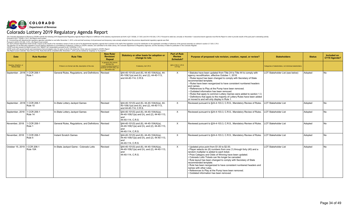

| Date                                        | <b>Rule Number</b>     | <b>Rule Title</b>                                          | <b>New Rule/</b><br><b>Revision/</b><br>Repeal                                                                          | Statutory or other basis for adoption or<br>change to rule.                                                         | <b>Part of Rule</b><br><b>Review</b><br>Schedule? | Purpose of proposed rule revision, creation, repeal, or review?                                                                                                                                                                                                                                                                                                                                                                                                                                                                                                                                                  | <b>Stakeholders</b>                                      | <b>Status</b> | Included on<br>CY19 Agenda? |
|---------------------------------------------|------------------------|------------------------------------------------------------|-------------------------------------------------------------------------------------------------------------------------|---------------------------------------------------------------------------------------------------------------------|---------------------------------------------------|------------------------------------------------------------------------------------------------------------------------------------------------------------------------------------------------------------------------------------------------------------------------------------------------------------------------------------------------------------------------------------------------------------------------------------------------------------------------------------------------------------------------------------------------------------------------------------------------------------------|----------------------------------------------------------|---------------|-----------------------------|
| Hearing, Adoption, or<br><b>Review Date</b> |                        | If there is no formal rule title, description of the rule. | In general, this column<br>denotes the<br>creation/revision/repeal of<br>sections of CCR rules, not<br>the entire rule. | If statutory, list C.R.S.                                                                                           | §24-4-103.3, C.R.S.<br>X if Yes                   |                                                                                                                                                                                                                                                                                                                                                                                                                                                                                                                                                                                                                  | Categories of stakeholders, not individual stakeholders. |               |                             |
| September, 2018   1 CCR 206-1               | Rule 1                 | General Rules, Regulations, and Definitions   Revised      |                                                                                                                         | §44-40-101(5) and (6), 44-40-104(4)(a), 44-<br>40-109(1)(a) and (h), and (2), 44-40-113,<br>and 44-40-114, C.R.S.   | $\times$                                          | Statutes have been updated from Title 24 to Title 44 to comply with<br>agency recodification, effective October 1, 2018.<br>. Rules layout has been changed to comply with Secretary of State<br>recommended template.<br>• Rules have been reorganized to have consistent numbered headers<br>and names.<br>• References to Play at the Pump have been removed.<br>Outdated information has been removed.<br>• Rules that apply to common Lottery Games were added to section 1.3.<br>. Definitions that apply to the majority of Lottery Rules have been added<br>or moved to and will only display in Rule 1. | LOT Stakeholder List (see below)                         | Adopted       | N <sub>o</sub>              |
| September, 2018   1 CCR 206-1               | Rule 10                | In-State Lottery Jackpot Games                             | Revised                                                                                                                 | §44-40-101(5) and (6), 44-40-104(4)(a), 44-<br>40-109(1)(a) and (h), and (2), 44-40-113,<br>and 44-40-114, C.R.S.   | $\times$                                          | Reviewed pursuant to §24-4-103.3, C.R.S., Mandatory Review of Rules.                                                                                                                                                                                                                                                                                                                                                                                                                                                                                                                                             | LOT Stakeholder List                                     | Adopted       | <b>No</b>                   |
| September, 2018                             | 1 CCR 206-1<br>Rule 14 | In-State Lottery Jackpot Games                             | Revised                                                                                                                 | §44-40-101(5) and (6), 44-40-104(4)(a),<br>44-40-109(1)(a) and (h), and (2), 44-40-113,<br>and<br>44-40-114, C.R.S. | $\times$                                          | Reviewed pursuant to §24-4-103.3, C.R.S., Mandatory Review of Rules.                                                                                                                                                                                                                                                                                                                                                                                                                                                                                                                                             | <b>LOT Stakeholder List</b>                              | Adopted       | <b>No</b>                   |
| November, 2018                              | 1 CCR 206-1<br>Rule 1  | General Rules, Regulations, and Definitions Revised        |                                                                                                                         | §44-40-101(5) and (6), 44-40-104(4)(a),<br>44-40-109(1)(a) and (h), and (2), 44-40-113,<br>and<br>44-40-114, C.R.S. | $\times$                                          | Reviewed pursuant to §24-4-103.3, C.R.S., Mandatory Review of Rules.                                                                                                                                                                                                                                                                                                                                                                                                                                                                                                                                             | <b>LOT Stakeholder List</b>                              | Adopted       | N <sub>0</sub>              |
| November, 2018                              | 1 CCR 206-1<br>Rule 5  | Instant Scratch Games                                      | Revised                                                                                                                 | §44-40-101(5) and (6), 44-40-104(4)(a),<br>44-40-109(1)(a) and (h), and (2), 44-40-113,<br>and<br>44-40-114, C.R.S. | X                                                 | Reviewed pursuant to §24-4-103.3, C.R.S., Mandatory Review of Rules.                                                                                                                                                                                                                                                                                                                                                                                                                                                                                                                                             | LOT Stakeholder List                                     | Adopted       | N <sub>0</sub>              |
| October 15, 2019   I CCR 206-1              | Rule 10A               | In-State Jackpot Game - Colorado Lotto                     | Revised                                                                                                                 | §44-40-101(5) and (6), 44-40-104(4)(a),<br>44-40-109(1)(a) and (h), and (2), 44-40-113,<br>and<br>44-40-114, C.R.S. | $\times$                                          | • Updated price point from \$1.00 to \$2.00.<br>• Player selects six (6) numbers from one (1) through forty (40) and a<br>random multiplier is added to each ticket.<br>· Prize Category and Odds of Winning have been updated.<br>· Colorado Lotto Tickets can No longer be canceled.<br>. Rule layout has been changed to comply with Secretary of State<br>recommended template.<br>. Rule has been reorganized to have consistent numbered headers and<br>names with other rules.<br>• References to Play at the Pump have been removed.<br>• Outdated information has been removed.                         | LOT Stakeholder List                                     | Adopted       | <b>No</b>                   |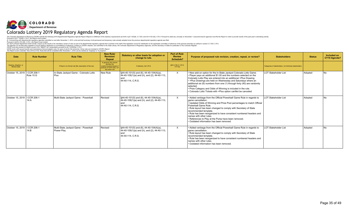

| <b>Date</b>                          | <b>Rule Number</b>        | <b>Rule Title</b>                                          | <b>New Rule/</b><br><b>Revision/</b><br>Repeal                                                                          | Statutory or other basis for adoption or<br>change to rule.                                                                                    | <b>Part of Rule</b><br><b>Review</b><br>Schedule? | Purpose of proposed rule revision, creation, repeal, or review?                                                                                                                                                                                                                                                                                                                                                                                                                                          | <b>Stakeholders</b>                                      | <b>Status</b> | Included on<br>CY19 Agenda? |
|--------------------------------------|---------------------------|------------------------------------------------------------|-------------------------------------------------------------------------------------------------------------------------|------------------------------------------------------------------------------------------------------------------------------------------------|---------------------------------------------------|----------------------------------------------------------------------------------------------------------------------------------------------------------------------------------------------------------------------------------------------------------------------------------------------------------------------------------------------------------------------------------------------------------------------------------------------------------------------------------------------------------|----------------------------------------------------------|---------------|-----------------------------|
| Hearing, Adoption, or<br>Review Date |                           | If there is no formal rule title, description of the rule. | In general, this column<br>denotes the<br>creation/revision/repeal of<br>sections of CCR rules, not<br>the entire rule. | If statutory, list C.R.S.                                                                                                                      | §24-4-103.3, C.R.S.<br>X if Yes                   |                                                                                                                                                                                                                                                                                                                                                                                                                                                                                                          | Categories of stakeholders, not individual stakeholders. |               |                             |
| October 15, 2019                     | II CCR 206-1<br>Rule 10.G | In-State Jackpot Game - Colorado Lotto<br><b>Plus</b>      | New Rule                                                                                                                | $\frac{1}{2}$ §44-40-101(5) and (6), 44-40-104(4)(a),<br>44-40-109(1)(a) and (h), and (2), 44-40-113,<br>and<br>44-40-114, C.R.S.              | $\times$                                          | . New add-on option for the In-State Jackpot Colorado Lotto Game.<br>. Player pays an additional \$1.00 and the numbers selected on the<br>Colorado Lotto Play are entered into an additional +Plus Drawing.<br>. +Plus Drawings are held on Wednesday and Saturdays where an<br>additional six (6) numbers from one (1) through forty (40) are randomly<br>selected.<br>. Prize Category and Odds of Winning is included in the rule.<br>• Colorado Lotto Tickets with +Plus option canNot be canceled. | LOT Stakeholder List                                     | Adopted       |                             |
| October 15, 2019                     | I CCR 206-1<br>14.A.      | Multi-State Jackpot Game - Powerball                       | Revised                                                                                                                 | $\frac{1}{2}$ §44-40-101(5) and (6), 44-40-104(4)(a),<br>44-40-109(1)(a) and (h), and (2), 44-40-113,<br>and<br>44-40-114, C.R.S.              | X                                                 | • Added verbiage from the Official Powerball Game Rule in regards to<br>game cancellation.<br>• Updated Odds of Winning and Prize Pool percentages to match Official<br>Powerball Game Rule.<br>. Rule layout has been changed to comply with Secretary of State<br>recommended template.<br>. Rule has been reorganized to have consistent numbered headers and<br>names with other rules.<br>• References to Play at the Pump have been removed.<br>· Outdated information has been removed.           | <b>LOT Stakeholder List</b>                              | Adopted       |                             |
| October 15, 2019                     | I CCR 206-1<br>14.B       | Multi-State Jackpot Game - Powerball<br>Power Play         | Revised                                                                                                                 | $\left  \frac{644-40-101(5)}{2} \right $ and (6), 44-40-104(4)(a),<br>44-40-109(1)(a) and (h), and (2), 44-40-113,<br>and<br>44-40-114, C.R.S. | X                                                 | • Added verbiage from the Official Powerball Game Rule in regards to<br>game cancellation.<br>. Rule layout has been changed to comply with Secretary of State<br>recommended template.<br>. Rule has been reorganized to have consistent numbered headers and<br>names with other rules.<br>· Outdated information has been removed                                                                                                                                                                     | <b>LOT Stakeholder List</b>                              | Adopted       | N <sub>o</sub>              |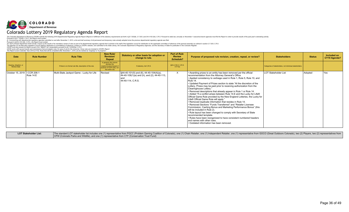

The Colorado Department of Revenue (CDCP) submits the following 2019 Departmental Regulatory Agenda Report (Report) in fulfillment of the statutory requirements set forth in §2-7-202(6), 2-7-203, and 2-4-103.3(4), C.R.S. P

| <b>Date</b>                          | <b>Rule Number</b> | <b>Rule Title</b>                                          | <b>New Rule/</b><br><b>Revision/</b><br>Repeal                                                                          | Statutory or other basis for adoption or<br>change to rule.                                                                                            | <b>Part of Rule</b><br><b>Review</b><br>Schedule? | Purpose of proposed rule revision, creation, repeal, or review?                                                                                                                                                                                                                                                                                                                                                                                                                                                                                                                                                                                                                                                                                                                                                                                                                                                                                                                                                                                                                                                                                    | <b>Stakeholders</b>                                      | <b>Status</b> | Included on<br>CY19 Agenda? |
|--------------------------------------|--------------------|------------------------------------------------------------|-------------------------------------------------------------------------------------------------------------------------|--------------------------------------------------------------------------------------------------------------------------------------------------------|---------------------------------------------------|----------------------------------------------------------------------------------------------------------------------------------------------------------------------------------------------------------------------------------------------------------------------------------------------------------------------------------------------------------------------------------------------------------------------------------------------------------------------------------------------------------------------------------------------------------------------------------------------------------------------------------------------------------------------------------------------------------------------------------------------------------------------------------------------------------------------------------------------------------------------------------------------------------------------------------------------------------------------------------------------------------------------------------------------------------------------------------------------------------------------------------------------------|----------------------------------------------------------|---------------|-----------------------------|
| Hearing, Adoption, or<br>Review Date |                    | If there is no formal rule title, description of the rule. | In general, this column<br>denotes the<br>creation/revision/repeal of<br>sections of CCR rules, not<br>the entire rule. | If statutory, list C.R.S.                                                                                                                              | §24-4-103.3, C.R.S.<br>X if Yes                   |                                                                                                                                                                                                                                                                                                                                                                                                                                                                                                                                                                                                                                                                                                                                                                                                                                                                                                                                                                                                                                                                                                                                                    | Categories of stakeholders, not individual stakeholders. |               |                             |
| October 15, 2019   CCR 206-1         | Rule 14.E          | Multi-State Jackpot Game - Lucky for Life                  | Revised                                                                                                                 | $\left[\frac{644-40-101(5)}{3} \text{ and } (6), \frac{44-40-104(4)}{3}\right]$<br>$44-40-109(1)(a)$ and (h), and (2), 44-40-113,<br>44-40-114. C.R.S. | X.                                                | • Awarding prizes to an entity has been removed per the official<br>recommendation from the Attorney General's Office.<br>• Applied consistency to verbiage used in Rule 1, Rule 5, Rule 10, and<br><b>Rule 14.</b><br>• Updated Payment of Prizes section to state "At the discretion of the<br>Lottery, Prizes may be paid prior to receiving authorization from the<br>Clearinghouse Lottery."<br>• Removed descriptions that already appear in Rule 1 or Rule 14.<br>• Added "If a conflict arises between Rule 14.E and the Lucky for Life®<br>Official Game Rule provided by the New England Lotteries, the Lucky for<br>Life® Official Game Rule will apply."<br>. Removed duplicate information that resides in Rule 14.<br>• Removed Sections "Funds Transferred" and "Retailer Licensee<br>Commission, Cashing Bonus and Marketing Performance Bonus" (this<br>will be included in Rule 2).<br>• Rule layout has been changed to comply with Secretary of State<br>recommended template.<br>• Rules have been reorganized to have consistent numbered headers<br>and names with other rules.<br>. Outdated information has been removed. | <b>LOT Stakeholder List</b>                              | Adopted       | Yes                         |

LOT Stakeholder List: The standard LOT stakeholder list includes one (1) representative from PGCC (Problem Gaming Coalition of Colorado), one (1) Chain Retailer, one (1) Independent Retailer, one (1) representative from GO CPW (Colorado Parks and Wildlife), and one (1) representative from CTF (Conservation Trust Fund)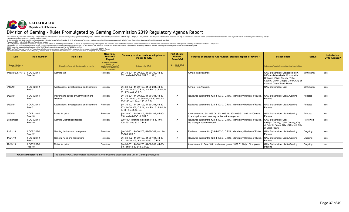

#### Division of Gaming - Rules Promulgated by Gaming Commission 2019 Regulatory Agenda Report

The Colorado Department of Revenue (CDCP) submits the following 2019 Departmental Regulatory Agenda Report (Report) in fulfillment of the statutory requirements set forth in §2-7-202(6), 2-7-203, and 2-4-103.3(4), C.R.S. P

| <b>Date</b>                          | <b>Rule Number</b>     | <b>Rule Title</b>                                          | <b>New Rule/</b><br><b>Revision/</b><br>Repeal                                                                          | Statutory or other basis for adoption or<br>change to rule.                                                               | <b>Part of Rule</b><br><b>Review</b><br><b>Schedule?</b> | Purpose of proposed rule revision, creation, repeal, or review?                                                        | <b>Stakeholders</b>                                                                                                                                                             | <b>Status</b> | Included on<br>CY19 Agenda? |
|--------------------------------------|------------------------|------------------------------------------------------------|-------------------------------------------------------------------------------------------------------------------------|---------------------------------------------------------------------------------------------------------------------------|----------------------------------------------------------|------------------------------------------------------------------------------------------------------------------------|---------------------------------------------------------------------------------------------------------------------------------------------------------------------------------|---------------|-----------------------------|
| Hearing, Adoption, or<br>Review Date |                        | If there is no formal rule title, description of the rule. | In general, this column<br>denotes the<br>creation/revision/repeal of<br>sections of CCR rules, not<br>the entire rule. | If statutory, list C.R.S.                                                                                                 | §24-4-103.3, C.R.S.<br>X if Yes                          |                                                                                                                        | Categories of stakeholders, not individual stakeholders.                                                                                                                        |               |                             |
| 4/18/19 & 5/16/19                    | 1 CCR 207-1<br>Rule 14 | Gaming tax                                                 | Revision                                                                                                                | \$44-30-201, 44-30-203, 44-30-302, 44-30-<br>602, and 44-30-604, C.R.S. (1991).                                           |                                                          | Annual Tax Hearings                                                                                                    | GAM Stakeholder List (see below)<br>& Financial Analysts, Community<br>Colleges, Gilpin County, Teller<br>County, City of Cripple Creek, City of<br>Central, City of Black Hawk | Withdrawn     | Yes                         |
| 5/16/19                              | 1 CCR 207-1<br>Rule 3  | Applications, investigations, and licensure                | Revision                                                                                                                | \$44-30-102, 44-30-103, 44-30-201, 44-30-<br>203, 44-30-302, C.R.S., and Part 5 of Article<br>30 of Title 44. C.R.S.      |                                                          | Annual Fee Analysis.                                                                                                   | GAM Stakeholder List                                                                                                                                                            | Withdrawn     | Yes                         |
| 6/20/19                              | 1 CCR 207-1<br>Rule 2  | Powers and duties of Commission and<br>Director            | Revision                                                                                                                | \$44-30-201, 44-30-203, 44-30-301, 44-30-<br>  302. 44-30-501. 44-30-502. 44-30-507. 44-<br>30-1103. and 24-4-105. C.R.S. | X.                                                       | Reviewed pursuant to §24-4-103.3, C.R.S., Mandatory Review of Rules.                                                   | <b>GAM Stakeholder List &amp; Gaming</b><br>Patrons                                                                                                                             | Adopted       | Yes                         |
| 6/20/19                              | 1 CCR 207-1<br>Rule 3  | Applications, investigations, and licensure                | Revision                                                                                                                | \$44-30-102, 44-30-103, 44-30-201, 44-30-<br>203, 44-30-302, C.R.S., and Part 5 of Article<br>30 of Title 44. C.R.S.      | X.                                                       | Reviewed pursuant to §24-4-103.3, C.R.S., Mandatory Review of Rules.                                                   | <b>GAM Stakeholder List &amp; Gaming</b><br>Patrons                                                                                                                             | Adopted       | Yes                         |
| 6/20/19                              | 1 CCR 207-1<br>Rule 10 | Rules for poker                                            | Revision                                                                                                                | §44-30-201, 44-30-203, 44-30-302, 44-30-<br>816, and 44-30-818, C.R.S.                                                    |                                                          | Amendments to 30-1099.06, 30-1099.18, 30-1099-37, and 30-1099.49,<br>to add options and new pay tables to these games. | GAM Stakeholder List & Gaming<br>Patrons                                                                                                                                        | Adopted       | <b>No</b>                   |
| September                            | 1 CCR 207-1<br>Rule 19 | <b>Gaming District Boundaries</b>                          | Revision                                                                                                                | \$30-1901 is found in sections 44-30-104.<br>105, 201 and 302, C.R.S.                                                     | $\times$                                                 | Reviewed pursuant to §24-4-103.3, C.R.S., Mandatory Review of Rules.<br>No changes recommended.                        | <b>GAM Stakeholder List</b><br>& Gilpin County, Teller County, City<br>of Cripple Creek, City of Central, City<br>of Black Hawk                                                 | Reviewed      | Yes                         |
| 11/21/19                             | 1 CCR 207-1<br>Rule 12 | Gaming devices and equipment                               | Revision                                                                                                                | §44-30-201, 44-30-203, 44-30-302, and 44-<br>30-806, C.R.S.                                                               | X.                                                       | Reviewed pursuant to §24-4-103.3, C.R.S., Mandatory Review of Rules.                                                   | GAM Stakeholder List & Gaming<br><b>Patrons</b>                                                                                                                                 | Ongoing       | Yes                         |
| 11/21/19                             | 1 CCR 207-1<br>Rule 1  | General rules and regulations                              | Revision                                                                                                                | \$44-30-102, 44-30-103, 44-30-104, 44-30-<br>201, 44-30-203, and 44-30-302, C.R.S.                                        | X.                                                       | Reviewed pursuant to §24-4-103.3, C.R.S., Mandatory Review of Rules.                                                   | <b>GAM Stakeholder List &amp; Gaming</b><br>Patrons                                                                                                                             | Ongoing       | Yes                         |
| 12/19/19                             | 1 CCR 207-1<br>Rule 10 | Rules for poker                                            | Revision                                                                                                                | \$44-30-201, 44-30-203, 44-30-302, 44-30-<br>816, and 44-30-818, C.R.S.                                                   |                                                          | Amendment to Rule 10 to add a new game, 1099.51 Cajun Stud poker                                                       | <b>GAM Stakeholder List &amp; Gaming</b><br>Patrons                                                                                                                             | Ongoing       | <b>No</b>                   |

**GAM Stakeholder List:** The standard GAM stakeholder list includes Limited Gaming Licensees and Div. of Gaming Employees.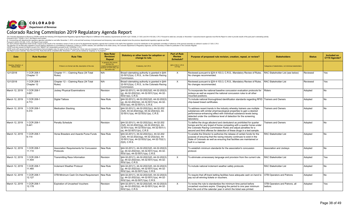

#### Colorado Racing Commission 2019 Regulatory Agenda Report

| Date                                        | <b>Rule Number</b>        | <b>Rule Title</b>                                           | <b>New Rule/</b><br><b>Revision</b> /<br>Repeal                                                                         | Statutory or other basis for adoption or<br>change to rule.                                                                                                                            | <b>Part of Rule</b><br><b>Review</b><br><b>Schedule?</b> | Purpose of proposed rule revision, creation, repeal, or review?                                                                                                                                                                                                                                            | <b>Stakeholders</b>                                      | <b>Status</b> | <b>Included on</b><br>CY19 Agenda? |
|---------------------------------------------|---------------------------|-------------------------------------------------------------|-------------------------------------------------------------------------------------------------------------------------|----------------------------------------------------------------------------------------------------------------------------------------------------------------------------------------|----------------------------------------------------------|------------------------------------------------------------------------------------------------------------------------------------------------------------------------------------------------------------------------------------------------------------------------------------------------------------|----------------------------------------------------------|---------------|------------------------------------|
| Hearing, Adoption, or<br><b>Review Date</b> |                           | If there is no formal rule title, description of the rule.  | In general, this column<br>denotes the<br>creation/revision/repeal of<br>sections of CCR rules, not<br>the entire rule. | If statutory, list C.R.S.                                                                                                                                                              | §24-4-103.3, C.R.S.<br>X if Yes                          |                                                                                                                                                                                                                                                                                                            | Categories of stakeholders, not individual stakeholders. |               |                                    |
| 12/1/2018                                   | 1 CCR 208-1<br>Chapter 11 | Chapter 11 -- Claiming Race (34 Total<br>Rules)             | IN/A                                                                                                                    | Broad rulemaking authority is granted in §44-<br>32-501(2)(a), C.R.S., to the Colorado Racing<br>Commission.                                                                           | $\times$                                                 | Reviewed pursuant to §24-4-103.3, C.R.S., Mandatory Review of Rules.<br>No changes recommended.                                                                                                                                                                                                            | RAC Stakeholder List (see below)                         | Reviewed      | Yes                                |
| 12/1/2018                                   | 1 CCR 208-1<br>Chapter 12 | Chapter 12 -- Claiming Race (34 Total<br>Rules)             | N/A                                                                                                                     | Broad rulemaking authority is granted in §44-<br>32-501(2)(a), C.R.S., to the Colorado Racing<br>Commission.                                                                           | $\times$                                                 | Reviewed pursuant to §24-4-103.3, C.R.S., Mandatory Review of Rules.<br>No changes recommended.                                                                                                                                                                                                            | RAC Stakeholder List                                     | Reviewed      | Yes                                |
| March 12, 2019                              | CCR 208-1<br>3.601        | <b>Jockey Physical Examinations</b>                         | Revision                                                                                                                | §44-32-201(1), 44-32-202(3)(f), 44-32-202(3)<br>$(g)$ , 44-32-202(3)(i), 44-32-501(1)(a), 44-32-<br>$503(1)(a)$ , C.R.S.                                                               |                                                          | To incorporate the national baseline concussion evaluation protocols for<br>jockeys as well as expand the national concussion rules to all other<br>mounted positions.                                                                                                                                     | Riders                                                   | Adopted       | No                                 |
| March 12, 2019                              | 1 CCR 208-1<br>4.713      | <b>Digital Tattoos</b>                                      | New Rule                                                                                                                | §44-32-201(1), 44-32-202(3)(f), 44-32-202(3)<br>(g), 44-32-202(3)(i), 44-32-501(1)(a), 44-32-<br>503(1)(a), 44-32-507(1), C.R.S.                                                       |                                                          | To include national thoroughbred identification standards regarding RFID Trainers and Owners<br>chip-based breed certificates.                                                                                                                                                                             |                                                          | Adopted       | N <sub>o</sub>                     |
| March 12, 2019                              | 1 CCR 208-1<br>5.314      | <b>Medication Stacking</b>                                  | New Rule                                                                                                                | §44-32-201(1), 44-32-202(3)(c), 44-32-202<br>$(3)(f)$ , 44-32-202 $(3)(g)$ , 44-32-202 $(3)(i)$ , 44-<br>32-501(1)(a), 44-32-503(1)(a), C.R.S.                                         |                                                          | To address recent trends in the industry whereby trainers use multiple<br>substances with similar pharmacological properties to gain a desired<br>performance-enhancing effect with individual substance levels being<br>detected under the confidence level of detection for the screening<br>laboratory. | <b>Trainers and Owners</b>                               | Adopted       | No.                                |
| March 12, 2019                              | 1 CCR 208-1<br>5.441      | <b>Penalty Schedule</b>                                     | Revision                                                                                                                | §44-32-201(1), 44-32-202(3)(c), 44-32-202<br>$(3)(f)$ , 44-32-202 $(3)(g)$ , 44-32-202 $(3)(i)$ , 44-<br>32-501(1)(a), 44-32-503(1)(a), 44-32-507(1)<br>(a), $44-32-507(1)(n)$ , C.R.S |                                                          | To define the drugs albuterol and clenbuterol as prohibited for quarter<br>horses and for any breed of horse competing with a quarter horse under<br>the Colorado Racing Commission Rules and adjust penalties for a<br>second and third offense for detection of these drugs in a test sample.            | <b>Trainers and Owners</b>                               | Adopted       | N <sub>o</sub>                     |
| March 12, 2019                              | <b>CCR 208-1</b><br>6.114 | Horse Breeders and Awards Purse Funds                       | New Rule                                                                                                                | §44-32-201(1), 44-32-202(3)(c), 44-32-202<br>$(3)(f)$ , 44-32-202 $(3)(q)$ , 44-32-202 $(3)(i)$ , 44-<br>$32-501(1)(a)$ , 44-32-503(1)(a), 44-32-702(1)<br>$(f)(II)$ , C.R.S.          |                                                          | To enable the Director to authorize the release of certain funds for the<br>purpose of ensuring that the racing industry continues to exist in the<br>State of Colorado as well as ensuring that facilities are maintained or<br>built in a manner                                                         | <b>RAC Stakeholder List</b>                              | Adopted       | <b>No</b>                          |
| March 12, 2019                              | 1 CCR 208-1<br>11.110     | Association Requirements for Concussion<br><b>Protocols</b> | New Rule                                                                                                                | §44-32-201(1), 44-32-202(3)(f), 44-32-202(3)<br>(g), 44-32-202(3)(i), 44-32-501(1)(a), 44-32-<br>503(1)(a), 44-32-507(1)(a), C.R.S.                                                    |                                                          | To establish minimum standards for the association's concussion<br>protocol.                                                                                                                                                                                                                               | Association and Jockeys                                  | Adopted       | N <sub>o</sub>                     |
| March 12, 2019                              | 1 CCR 208-1<br>11.404     | <b>Transmitting Race Information</b>                        | Revision                                                                                                                | §44-32-201(1), 44-32-202(3)(f), 44-32-202(3)<br>$(g)$ , 44-32-202(3)(i), 44-32-501(1)(a), 44-32-<br>$503(1)(a)$ , C.R.S.                                                               | $\times$                                                 | To eliminate unnecessary language and provision from the current rule.                                                                                                                                                                                                                                     | <b>RAC Stakeholder List</b>                              | Adopted       | Yes                                |
| March 12, 2019                              | 1 CCR 208-1<br>11.465     | <b>Inclement Weather Protocol</b>                           | New Rule                                                                                                                | §44-32-201(1), 44-32-202(3)(f), 44-32-202(3)<br>$(g)$ , 44-32-202(3)(i), 44-32-501(1)(a), 44-32-<br>503(1)(a), 44-32-507(1)(a), C.R.S.                                                 |                                                          | To include national inclement weather safety protocols.                                                                                                                                                                                                                                                    | <b>RAC Stakeholder List</b>                              | Adopted       | No.                                |
| March 12, 2019                              | 1 CCR 208-1<br>12.127     | OTB Minimum Cash On-Hand Requirement New Rule               |                                                                                                                         | §44-32-201(1), 44-32-202(3)(f), 44-32-202(3)<br>(g), 44-32-202(3)(i), 44-32-501(1)(a), 44-32-<br>$503(1)(a)$ , 44-32-507(1)(a), C.R.S.                                                 |                                                          | To require that off-track betting facilities have adequate cash on-hand to<br>pay out all winning tickets or vouchers.                                                                                                                                                                                     | <b>OTB Operators and Patrons</b>                         | Adopted       | No.                                |
| March 12, 2019                              | 1 CCR 208-1<br>12.178     | <b>Expiration of Uncashed Vouchers</b>                      | Revision                                                                                                                | §44-32-201(1), 44-32-202(3)(f), 44-32-202(3)<br>$(g)$ , 44-32-202(3)(i), 44-32-501(1)(a), 44-32-<br>503(1)(a), C.R.S.                                                                  | $\times$                                                 | To revise the rule to standardize the minimum time period before<br>uncashed vouchers expire. Changing the period to one year minimum<br>from the end of the calendar year in which the ticket was printed.                                                                                                | <b>OTB Operators and Patrons, all</b><br>bettors.        | Adopted       | Yes                                |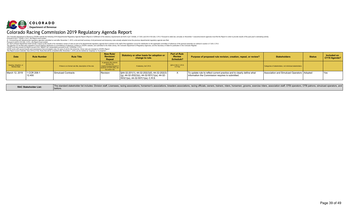

#### Colorado Racing Commission 2019 Regulatory Agenda Report

| <b>Date</b>                          | <b>Rule Number</b>     | <b>Rule Title</b>                                          | <b>New Rule/</b><br><b>Revision/</b><br>Repeal                                                                          | Statutory or other basis for adoption or<br>change to rule.                                                                                                      | Part of Rule<br><b>Review</b><br>Schedule? | Purpose of proposed rule revision, creation, repeal, or review?                                                            | <b>Stakeholders</b>                                      | <b>Status</b> | Included on<br>CY19 Agenda? |
|--------------------------------------|------------------------|------------------------------------------------------------|-------------------------------------------------------------------------------------------------------------------------|------------------------------------------------------------------------------------------------------------------------------------------------------------------|--------------------------------------------|----------------------------------------------------------------------------------------------------------------------------|----------------------------------------------------------|---------------|-----------------------------|
| Hearing, Adoption, or<br>Review Date |                        | If there is no formal rule title, description of the rule. | In general, this column<br>denotes the<br>creation/revision/repeal of<br>sections of CCR rules, not<br>the entire rule. | If statutory, list C.R.S.                                                                                                                                        | §24-4-103.3, C.R.S.<br>X if Yes            |                                                                                                                            | Categories of stakeholders, not individual stakeholders. |               |                             |
| March 12, 2019                       | 11 CCR 208-1<br>12.400 | Simulcast Contracts                                        | Revision                                                                                                                | $\left  \frac{644-32-201(1)}{44-32-202(3)} \right $ , 44-32-202(3)<br>$ (q)$ , 44-32-202(3)(i), 44-32-501(1)(a), 44-32-<br>$ 503(1)(a), 44-32-507(1)(a), C.R.S.$ |                                            | To update rule to reflect current practice and to clearly define what<br>Information the Commission requires is submitted. | Association and Simulcast Operators   Adopted            |               | Yes                         |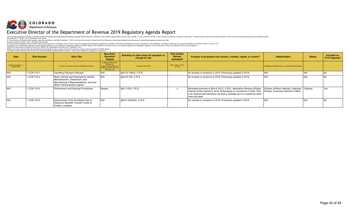

#### Executive Director of the Department of Revenue 2019 Regulatory Agenda Report

|                                      | The Colorado Department of Revenue (CDOR) submits the following 2019 Departmental Requiatory Agenda Report (Report) in fulfillment of the statutory requirements set forth in §2-7-202(6), 2-7-203, and 24-4-103.3(4), C.R.S.<br>Pursuant to §2-7-202(6), C.R.S., the Report must contain:<br>(f) Commencing with departmental regulatory agendas submitted on and after November 1, 2013, a list and brief summary of all permanent and temporary rules actually adopted since the previous departmental regulatory agenda<br>Pursuant to §24-4-103.3(4), C.R.S., the Report must contain:<br>(4) Each principal department shall include a report on the results of its mandatory review of rules as part of its departmental regulatory agenda that it submits to the staff of the legislative council for distribution to<br>CDOR must also present its Report as part of its "SMART Act" presentation pursuant to §2-7-203(2)(a), C.R.S.<br>CDOR works with several boards and commissions that promulgate rules: for ease of use for the consumer, those rules are included in CDOR's Report.<br>The Report covers Calendar Year 2019 (CY19). Rules that will be completed after November 1, 2019, are be marked as "ongoing" or "in progress". |                                                                                                                                                      |                                                                                                                         |                                                             |                                                   |                                                                                                                                                                                                                                                   |                                                                                          |               |                             |  |  |  |  |
|--------------------------------------|-------------------------------------------------------------------------------------------------------------------------------------------------------------------------------------------------------------------------------------------------------------------------------------------------------------------------------------------------------------------------------------------------------------------------------------------------------------------------------------------------------------------------------------------------------------------------------------------------------------------------------------------------------------------------------------------------------------------------------------------------------------------------------------------------------------------------------------------------------------------------------------------------------------------------------------------------------------------------------------------------------------------------------------------------------------------------------------------------------------------------------------------------------------------------------------------------------------------------------------------------------|------------------------------------------------------------------------------------------------------------------------------------------------------|-------------------------------------------------------------------------------------------------------------------------|-------------------------------------------------------------|---------------------------------------------------|---------------------------------------------------------------------------------------------------------------------------------------------------------------------------------------------------------------------------------------------------|------------------------------------------------------------------------------------------|---------------|-----------------------------|--|--|--|--|
| <b>Date</b>                          | <b>Rule Number</b>                                                                                                                                                                                                                                                                                                                                                                                                                                                                                                                                                                                                                                                                                                                                                                                                                                                                                                                                                                                                                                                                                                                                                                                                                                    | <b>Rule Title</b>                                                                                                                                    | <b>New Rule/</b><br>Revision/<br>Repeal                                                                                 | Statutory or other basis for adoption or<br>change to rule. | <b>Part of Rule</b><br><b>Review</b><br>Schedule? | Purpose of proposed rule revision, creation, repeal, or review?                                                                                                                                                                                   | <b>Stakeholders</b>                                                                      | <b>Status</b> | Included on<br>CY19 Agenda? |  |  |  |  |
| Hearing, Adoption, or<br>Review Date |                                                                                                                                                                                                                                                                                                                                                                                                                                                                                                                                                                                                                                                                                                                                                                                                                                                                                                                                                                                                                                                                                                                                                                                                                                                       | If there is no formal rule title, description of the rule.                                                                                           | In general, this column<br>denotes the<br>creation/revision/repeal of<br>sections of CCR rules, not<br>the entire rule. | If statutory, list C.R.S.                                   | §24-4-103.3, C.R.S.<br>X if Yes                   |                                                                                                                                                                                                                                                   | Categories of stakeholders, not individual stakeholders.                                 |               |                             |  |  |  |  |
| N/A                                  | 1 CCR 210-1                                                                                                                                                                                                                                                                                                                                                                                                                                                                                                                                                                                                                                                                                                                                                                                                                                                                                                                                                                                                                                                                                                                                                                                                                                           | <b>Gambling Payment Intercept</b>                                                                                                                    | I N/A                                                                                                                   | §44-33-108(3), C.R.S.                                       |                                                   | No reviews or revisions in 2019. Previously updated in 2018.                                                                                                                                                                                      | N/A                                                                                      | N/A           |                             |  |  |  |  |
| N/A                                  | 1 CCR 210-2                                                                                                                                                                                                                                                                                                                                                                                                                                                                                                                                                                                                                                                                                                                                                                                                                                                                                                                                                                                                                                                                                                                                                                                                                                           | Motor Vehicle and Powersports Vehicle<br>Manufacturers, Distributors, and<br>Manufacturer's Representatives, and also<br>Motor Vehicle Buyers Agents | N/A                                                                                                                     | §44-20-105, C.R.S.                                          |                                                   | No reviews or revisions in 2019. Previously updated in 2018.                                                                                                                                                                                      | IN/A                                                                                     | N/A           |                             |  |  |  |  |
| N/A                                  | 1 CCR 210-3                                                                                                                                                                                                                                                                                                                                                                                                                                                                                                                                                                                                                                                                                                                                                                                                                                                                                                                                                                                                                                                                                                                                                                                                                                           | <b>Enforcement and Hearing Procedures</b>                                                                                                            | Repeal                                                                                                                  | §42-1-204, C.R.S.                                           | $\times$                                          | Reviewed pursuant to §24-4-103.3, C.R.S., Mandatory Review of Rules.<br>Internal review started in 2019. Rulemaking to commence in 2020. This<br>is an internal administrative rule that is obsolete as it is covered by other<br>rules and laws. | Division of Motor Vehicles, Hearings   Ongoing<br>Division. Executive Director's Office. |               | Yes                         |  |  |  |  |
| N/A                                  | 1 CCR 210-4                                                                                                                                                                                                                                                                                                                                                                                                                                                                                                                                                                                                                                                                                                                                                                                                                                                                                                                                                                                                                                                                                                                                                                                                                                           | Enforcement of the Prohibited Use of<br>Electronic Benefits Transfer Cards at<br><b>Certain Locations</b>                                            | I N/A                                                                                                                   | §26-2-104(2)(h), C.R.S.                                     |                                                   | No reviews or revisions in 2019. Previously updated in 2018.                                                                                                                                                                                      | IN/A                                                                                     | N/A           | No                          |  |  |  |  |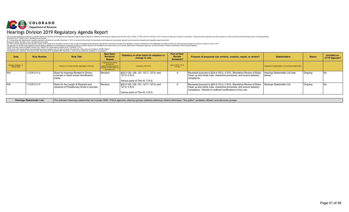

#### Hearings Division 2019 Regulatory Agenda Report

The Colorado Department of Revenue (CDCP) submits the following 2019 Departmental Regulatory Agenda Report (Report) in fulfillment of the statutory requirements set forth in §2-7-202(6), 2-7-203, and 2-4-103.3(4), C.R.S. P

| <b>Date</b>                          | <b>Rule Number</b> | <b>Rule Title</b>                                                                           | <b>New Rule/</b><br>Revision/<br>Repeal                                                                                 | Statutory or other basis for adoption or<br>change to rule.                                  | Part of Rule<br><b>Review</b><br><b>Schedule?</b> | Purpose of proposed rule revision, creation, repeal, or review?                                                                                                                                              | <b>Stakeholders</b>                                      | <b>Status</b> | Included on<br>CY19 Agenda? |
|--------------------------------------|--------------------|---------------------------------------------------------------------------------------------|-------------------------------------------------------------------------------------------------------------------------|----------------------------------------------------------------------------------------------|---------------------------------------------------|--------------------------------------------------------------------------------------------------------------------------------------------------------------------------------------------------------------|----------------------------------------------------------|---------------|-----------------------------|
| Hearing, Adoption, or<br>Review Date |                    | If there is no formal rule title, description of the rule.                                  | In general, this column<br>denotes the<br>creation/revision/repeal of<br>sections of CCR rules, not<br>the entire rule. | If statutory, list C.R.S.                                                                    | §24-4-103.3, C.R.S.<br>X if Yes                   |                                                                                                                                                                                                              | Categories of stakeholders, not individual stakeholders. |               |                             |
| IN/A                                 | 1 CCR 211-2        | Rules for Hearings Related to Drivers<br>Licenses or State Issued Identification<br>l Cards | Revision                                                                                                                | S42-2-125, 126, 127, 127.7, 127.6, and<br>127.9. C.R.S.<br>Various parts of Title 42, C.R.S. | $\sim$                                            | Reviewed pursuant to §24-4-103.3, C.R.S., Mandatory Review of Rules.<br>Clean up and clarify rules, streamline processes, and ensure statutory<br>compliance.                                                | Hearings Stakeholder List (see<br>below)                 | Ongoing       |                             |
| N/A                                  | 1 CCR 211-3        | Rules for the Length of Restraint and<br><b>Issuance of Probationary Driver's Licenses</b>  | Revision                                                                                                                | §42-2-125, 126, 127, 127.7, 127.6, and<br>127.9. C.R.S.<br>Various parts of Title 42, C.R.S. | $\times$                                          | Reviewed pursuant to §24-4-103.3, C.R.S., Mandatory Review of Rules.<br>Clean up and clarify rules, streamline processes, and ensure statutory<br>compliance. Worked on redlined modifications to this rule. | Hearings Stakeholder List                                | Ongoing       |                             |

Hearings Stakeholder List: The standard Hearings stakeholder list includes DMV, Police agencies, attorney groups (defense attorneys /district attorneys), "the public", probation officers, and advocacy groups.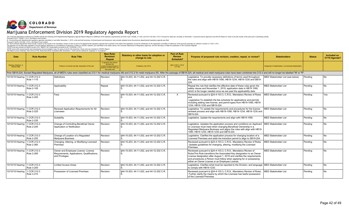

| Date                                        | <b>Rule Number</b>        | <b>Rule Title</b>                                                                                    | <b>New Rule</b><br><b>Revision/</b><br>Repeal                                                                         | Statutory or other basis for adoption or<br>change to rule. | <b>Part of Rule</b><br><b>Review</b><br>Schedule? | Purpose of proposed rule revision, creation, repeal, or review?                                                                                                                                                                                                                                                                             | <b>Stakeholders</b>                                      | <b>Status</b> | Included on<br>CY19 Agenda? |
|---------------------------------------------|---------------------------|------------------------------------------------------------------------------------------------------|-----------------------------------------------------------------------------------------------------------------------|-------------------------------------------------------------|---------------------------------------------------|---------------------------------------------------------------------------------------------------------------------------------------------------------------------------------------------------------------------------------------------------------------------------------------------------------------------------------------------|----------------------------------------------------------|---------------|-----------------------------|
| Hearing, Adoption, or<br><b>Review Date</b> |                           | If there is no formal rule title, description of the rule                                            | In general, this column<br>denotes the<br>reation/revision/repeal o<br>sections of CCR rules, not<br>the entire rule. | If statutory, list C.R.S.                                   | §24-4-103.3, C.R.S.<br>X if Yes                   |                                                                                                                                                                                                                                                                                                                                             | Categories of stakeholders, not individual stakeholders. |               |                             |
|                                             |                           |                                                                                                      |                                                                                                                       |                                                             |                                                   | Prior SB19-224, Sunset Regulated Marijuana, all of MED's rules were classified as 212-1 for medical marijuana (M) and 212-2 for retail marijuana (R). After the passage of SB19-224, all medical and retail marijuana rules ha                                                                                                              |                                                          |               |                             |
| 10/15/19 Hearing                            | 1 CCR 212-3<br>Rule 1-115 | Definitions                                                                                          | Revision                                                                                                              | \$44-10-203, 44-11-202, and 44-12-202 C.R.                  |                                                   | Legislative. To provide necessary definitions of terms used throughout<br>the rules and align with HB19-1090, HB19-1234, HB19-1230 and SB19-<br>224.                                                                                                                                                                                        | MED Stakeholder List (see below)                         | Pendina       | No.                         |
| 10/15/19 Hearing                            | 1 CCR 212-3<br>Rule 2-105 | Applicability                                                                                        | Repeal                                                                                                                | §44-10-203, 44-11-202, and 44-12-202 C.R.                   |                                                   | Repeal the rule that clarifies the effective date of these rules given the<br>safety clause and November 1, 2019, application date in HB19 1090,<br>which is No longer needed once we are past the applicability date.                                                                                                                      | <b>MED Stakeholder List</b>                              | Pending       | No.                         |
| 10/15/19 Hearing                            | 1 CCR 212-3<br>Rule 2-205 | Fees                                                                                                 | Revision                                                                                                              | \$44-10-203, 44-11-202, and 44-12-202 C.R.                  | $\times$                                          | Reviewed pursuant to §24-4-103.3, C.R.S., Mandatory Review of Rules<br>and<br>Legislative. To establish the fee schedule for applications and permits<br>including adding new license, and permit types from HB19-1090, HB19-<br>1234. HB19-1230 and SB19-224.                                                                              | <b>MED Stakeholder List</b>                              | Pendina       | Yes                         |
| 10/15/19 Hearing                            | 1 CCR 212-3<br>Rule 2-225 | Renewal Application Requirements for All<br>Licensees                                                | Revision                                                                                                              | \$44-10-203, 44-11-202, and 44-12-202 C.R.                  |                                                   | Legislative. To update the requirements and procedures for the license<br>renewal process and align with HB19-1090, HB19-1234, HB19-1230 and<br>SB19-224.                                                                                                                                                                                   | <b>MED Stakeholder List</b>                              | Pendina       | No.                         |
| 10/15/19 Hearing                            | 1 CCR 212-3<br>Rule 2-235 | Suitability                                                                                          | Revision                                                                                                              | §44-10-203, 44-11-202, and 44-12-202 C.R.                   |                                                   | Legislative. Update the requirements and align with HB19-1090.                                                                                                                                                                                                                                                                              | <b>MED Stakeholder List</b>                              | Pending       | <b>No</b>                   |
| 10/15/19 Hearing                            | 1 CCR 212-3<br>Rule 2-245 | Change of Controlling Beneficial Owner<br>Application or Notification                                | Revision                                                                                                              | §44-10-203, 44-11-202, and 44-12-202 C.R.                   |                                                   | Legislative. Updates the application process and conditions an Applicant<br>or Licensee must meet when changing Beneficial Ownership in a<br>Regulated Marijuana Business and aligns the rules with align with HB19-<br>1090, HB19-1234, HB19-1230 and SB19-224.                                                                            | MED Stakeholder List                                     | Pending       | N <sub>o</sub>              |
| 10/15/19 Hearing                            | 1 CCR 212-3<br>Rule 2-255 | Change of Location of a Regulated<br>Marijuana Business                                              | Revision                                                                                                              | \$44-10-203, 44-11-202, and 44-12-202 C.R.                  |                                                   | Legislative. Clarifies the application process for changing location of a<br>Licensed Premises and adds the transition permit to align to SB19-224.                                                                                                                                                                                         | <b>MED Stakeholder List</b>                              | Pendina       | <b>No</b>                   |
| 10/15/19 Hearing                            | 1 CCR 212-3<br>Rule 2-260 | Changing, Altering, or Modifying Licensed<br>Premises                                                | Revision                                                                                                              | §44-10-203, 44-11-202, and 44-12-202 C.R.                   |                                                   | Reviewed pursuant to §24-4-103.3, C.R.S., Mandatory Review of Rules<br>Updates quidelines for changing, altering, modifying the Licensed<br>Premises.                                                                                                                                                                                       | <b>MED Stakeholder List</b>                              | Pending       | No.                         |
| 10/15/19 Hearing                            | 1 CCR 212-3<br>Rule 2-265 | Owner and Employee License: License<br>Requirements, Applications, Qualifications,<br>and Privileges | Revision                                                                                                              | §44-10-203, 44-11-202, and 44-12-202 C.R.                   |                                                   | Reviewed pursuant to §24-4-103.3, C.R.S., Mandatory Review of<br>RulesThis Rule transitions the Associated Key designation to an Owner<br>License designation after August 1, 2019 and clarifies the requirements<br>and procedures a Person must follow when applying for or possessing<br>either an Owner License or an Employee License. | <b>MED Stakeholder List</b>                              | Pending       | No                          |
| 10/15/19 Hearing                            | 1 CCR 212-3<br>Rule 3-205 | <b>Limited Access Areas</b>                                                                          | Revision                                                                                                              | \$44-10-203, 44-11-202, and 44-12-202 C.R.                  |                                                   | Legislative. Clarifies what must be reported to the Division, and language<br>to comply with HB19-1230.                                                                                                                                                                                                                                     | <b>MED Stakeholder List</b>                              | Pendina       | No                          |
| 10/15/19 Hearing                            | 1 CCR 212-3<br>Rule 3-210 | Possession of Licensed Premises                                                                      | Revision                                                                                                              | §44-10-203, 44-11-202, and 44-12-202 C.R.                   |                                                   | Reviewed pursuant to §24-4-103.3, C.R.S., Mandatory Review of Rules.<br>Further clarify the means by which the Licensee has lawful possession<br>of the Licensed Premises.                                                                                                                                                                  | <b>MED Stakeholder List</b>                              | Pending       | N <sub>0</sub>              |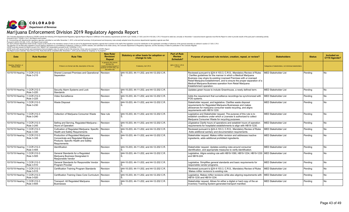

| Date                                        | <b>Rule Number</b>               | <b>Rule Title</b>                                                                                                                | <b>New Rule/</b><br><b>Revision</b> /<br>Repeal                                                                         | Statutory or other basis for adoption or<br>change to rule. | <b>Part of Rule</b><br><b>Review</b><br>Schedule? | Purpose of proposed rule revision, creation, repeal, or review?                                                                                                                                                                                                                                                                                                                    | <b>Stakeholders</b>                                      | <b>Status</b> | <b>Included on</b><br>CY19 Agenda? |
|---------------------------------------------|----------------------------------|----------------------------------------------------------------------------------------------------------------------------------|-------------------------------------------------------------------------------------------------------------------------|-------------------------------------------------------------|---------------------------------------------------|------------------------------------------------------------------------------------------------------------------------------------------------------------------------------------------------------------------------------------------------------------------------------------------------------------------------------------------------------------------------------------|----------------------------------------------------------|---------------|------------------------------------|
| Hearing, Adoption, or<br><b>Review Date</b> |                                  | If there is no formal rule title, description of the rule.                                                                       | In general, this column<br>denotes the<br>creation/revision/repeal of<br>sections of CCR rules, not<br>the entire rule. | If statutory, list C.R.S.                                   | §24-4-103.3, C.R.S.<br>X if Yes                   |                                                                                                                                                                                                                                                                                                                                                                                    | Categories of stakeholders, not individual stakeholders. |               |                                    |
| 10/15/19 Hearing                            | 1 CCR 212-3<br>Rule 3-215        | Shared Licensed Premises and Operational<br>Separation                                                                           | Revision                                                                                                                | \$44-10-203, 44-11-202, and 44-12-202 C.R.                  |                                                   | Reviewed pursuant to §24-4-103.3, C.R.S., Mandatory Review of Rules<br>Clarifies quidelines for the manner in which a Medical Marijuana<br>Business may share its existing Licensed Premises with a Licensed<br>Retail Marijuana Establishment, and to ensure the proper separation of a<br>Medical Marijuana Business operation from Retail Marijuana<br>Establishment operation. | <b>MED Stakeholder List</b>                              | Pendina       | No.                                |
| 10/15/19 Hearing                            | 1 CCR 212-3<br><b>Rule 3-220</b> | Security Alarm Systems and Lock<br><b>Standards</b>                                                                              | Revision                                                                                                                | §44-10-203, 44-11-202, and 44-12-202 C.R.                   |                                                   | Updates green house to include Greenhouse, a newly defined term.                                                                                                                                                                                                                                                                                                                   | <b>MED Stakeholder List</b>                              | Pending       | No                                 |
| 10/15/19 Hearing                            | 1 CCR 212-3<br>Rule 3-225        | Video Surveillance                                                                                                               | Revision                                                                                                                | §44-10-203, 44-11-202, and 44-12-202 C.R.                   |                                                   | Adds the requirement that surveillance recordings be synchronized with<br>POS systems.                                                                                                                                                                                                                                                                                             | <b>MED Stakeholder List</b>                              | Pending       | No                                 |
| 10/15/19 Hearing                            | 1 CCR 212-3<br><b>Rule 3-230</b> | <b>Waste Disposal</b>                                                                                                            | Revision                                                                                                                | §44-10-203, 44-11-202, and 44-12-202 C.R.                   |                                                   | Stakeholder request, and legislative. Clarifies waste disposal<br>requirements for Requlated Marijuana Businesses and makes<br>allowances for marijuana consumer waste recycling, and aligns<br>requirements with HB19-1230.                                                                                                                                                       | MED Stakeholder List                                     | Pending       | No                                 |
| 10/15/19 Hearing                            | 1 CCR 212-3<br>Rule 3-240        | Collection of Marijuana Consumer Waste                                                                                           | New rule                                                                                                                | \$44-10-203, 44-11-202, and 44-12-202 C.R.                  |                                                   | Legislative and Stakeholder request. The purpose of this rule is to<br>establish conditions under which a Licensee is authorized to collect<br>Marijuana Consumer Waste for recycling purposes.                                                                                                                                                                                    | <b>MED Stakeholder List</b>                              | Pendina       | N <sub>o</sub>                     |
| 10/15/19 Hearing                            | 1 CCR 212-3<br>Rule 3-245        | Selling and Serving, Regulated Marijuana<br>Hours of Operation                                                                   | Revision                                                                                                                | \$44-10-203, 44-11-202, and 44-12-202 C.R.                  |                                                   | LEgislative Clarify hours of operations and establish hours of operation<br>requirements for hospitalist establishments to align with HB19-1230.                                                                                                                                                                                                                                   | <b>MED Stakeholder List</b>                              | Pendina       | N <sub>o</sub>                     |
| 10/15/19 Hearing                            | 1 CCR 212-3<br>Rule 3-330        | Cultivation of Regulated Marijuana: Specific Revision<br><b>Health and Safety Requirements</b>                                   |                                                                                                                         | §44-10-203, 44-11-202, and 44-12-202 C.R.                   |                                                   | Reviewed pursuant to §24-4-103.3, C.R.S., Mandatory Review of Rules<br>Adds additional sanitary and documentation requirements.                                                                                                                                                                                                                                                    | <b>MED Stakeholder List</b>                              | Pendina       | No                                 |
| 10/15/19 Hearing                            | 1 CCR 212-3<br>Rule 3-335        | Production of Regulated Marijuana<br>Concentrate and Regulated Marijuana<br>Products: Specific Health and Safety<br>Requirements | Revision                                                                                                                | \$44-10-203, 44-11-202, and 44-12-202 C.R.                  |                                                   | Stakeholder request. Makes miNor revision and addresses inactive<br>ingredients, adds additional prohibited ingredients.                                                                                                                                                                                                                                                           | <b>MED Stakeholder List</b>                              | Pendina       | N <sub>o</sub>                     |
| 10/15/19 Hearing                            | 1 CCR 212-3<br>Rule 3-405        | Identification                                                                                                                   | Revision                                                                                                                | §44-10-203, 44-11-202, and 44-12-202 C.R.                   |                                                   | Stakeholder request. Updates existing rules around consumer<br>identification, and appropriate measures to verify identification.                                                                                                                                                                                                                                                  | <b>MED Stakeholder List</b>                              | Pending       | No                                 |
| 10/15/19 Hearing                            | 1 CCR 212-3<br>Rule 3-505        | General Standards for a Regulated<br>Marijuana Business Designated A<br>Responsible Vendor                                       | Revision                                                                                                                | §44-10-203, 44-11-202, and 44-12-202 C.R.                   |                                                   | Legislative. Aligns existing rule with HB19-1090, HB19-1234, HB19-1230 MED Stakeholder List<br>and SB19-224.                                                                                                                                                                                                                                                                       |                                                          | Pending       | N <sub>o</sub>                     |
| 10/15/19 Hearing                            | 1 CCR 212-3<br>Rule 3-510        | General Standards for Responsible Vendor<br>Program Provider                                                                     | Revision                                                                                                                | \$44-10-203, 44-11-202, and 44-12-202 C.R.                  |                                                   | Legislative. Simplifies general standards and basic requirements for<br>responsible vendor programs                                                                                                                                                                                                                                                                                | <b>MED Stakeholder List</b>                              | Pending       | N <sub>o</sub>                     |
| 10/15/19 Hearing                            | 1 CCR 212-3<br>Rule 3-515        | <b>Certification Training Program Standards</b>                                                                                  | Revision                                                                                                                | §44-10-203, 44-11-202, and 44-12-202 C.R.                   |                                                   | Reviewed pursuant to §24-4-103.3, C.R.S., Mandatory Review of Rules<br>Makes miNor revisions to existing rule.                                                                                                                                                                                                                                                                     | <b>MED Stakeholder List</b>                              | Pending       | N <sub>o</sub>                     |
| 10/15/19 Hearing                            | 1 CCR 212-3<br>Rule 3-520        | Certification Training Class Core Curriculum   Revision                                                                          |                                                                                                                         | §44-10-203, 44-11-202, and 44-12-202 C.R.                   |                                                   | Legislative. Makes miNor revisions while also aligning requirements with<br>HB19-1230 and HB19-1234.                                                                                                                                                                                                                                                                               | MED Stakeholder List                                     | Pending       | N <sub>o</sub>                     |
| 10/15/19 Hearing                            | 1 CCR 212-3<br>Rule 3-605        | Transport: All Regulated Marijuana<br><b>Businesses</b>                                                                          | Revision                                                                                                                | §44-10-203, 44-11-202, and 44-12-202 C.R.                   |                                                   | Stakeholder request. Allows for either a digital or hard copy of the an<br>Inventory Tracking System-generated transport manifest.                                                                                                                                                                                                                                                 | <b>MED Stakeholder List</b>                              | Pending       | N <sub>o</sub>                     |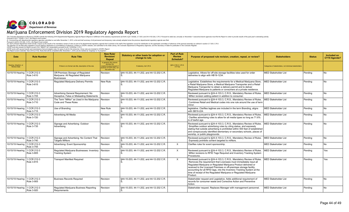

| Date                                        | <b>Rule Number</b>        | <b>Rule Title</b>                                                                            | <b>New Rule/</b><br><b>Revision/</b><br>Repeal                                                                          | Statutory or other basis for adoption or<br>change to rule. | <b>Part of Rule</b><br><b>Review</b><br><b>Schedule?</b> | Purpose of proposed rule revision, creation, repeal, or review?                                                                                                                                                                                                                                                                                                                                                                                 | <b>Stakeholders</b>                                      | <b>Status</b> | <b>Included on</b><br>CY19 Agenda? |
|---------------------------------------------|---------------------------|----------------------------------------------------------------------------------------------|-------------------------------------------------------------------------------------------------------------------------|-------------------------------------------------------------|----------------------------------------------------------|-------------------------------------------------------------------------------------------------------------------------------------------------------------------------------------------------------------------------------------------------------------------------------------------------------------------------------------------------------------------------------------------------------------------------------------------------|----------------------------------------------------------|---------------|------------------------------------|
| Hearing, Adoption, or<br><b>Review Date</b> |                           | If there is no formal rule title, description of the rule.                                   | In general, this column<br>denotes the<br>creation/revision/repeal of<br>sections of CCR rules, not<br>the entire rule. | If statutory, list C.R.S.                                   | §24-4-103.3, C.R.S.<br>X if Yes                          |                                                                                                                                                                                                                                                                                                                                                                                                                                                 | Categories of stakeholders, not individual stakeholders. |               |                                    |
| 10/15/19 Hearing                            | 1 CCR 212-3<br>Rule 3-610 | Off-Premises Storage of Regulated<br>Marijuana: All Regulated Marijuana<br><b>Businesses</b> | Revision                                                                                                                | §44-10-203, 44-11-202, and 44-12-202 C.R.                   |                                                          | Legislative. Allows for off-site storage facilities tobe used for order<br>deliveries to align with HB19-1234.                                                                                                                                                                                                                                                                                                                                  | <b>MED Stakeholder List</b>                              | Pendina       | No.                                |
| 10/15/19 Hearing                            | 1 CCR 212-3<br>Rule 3-615 | Regulated Marijuana Delivery Permits                                                         | New Rule                                                                                                                | §44-10-203, 44-11-202, and 44-12-202 C.R.                   |                                                          | Legislative. Establishes the reguirements for a Medical Marijuana Store,<br>a Retail Marijuana Store, a Medical Marijuana Transporter and a Retail<br>Marijuana Transporter to obtain a delivery permit and to deliver<br>Regulated Marijuana to patients or consumers at a private residence.                                                                                                                                                  | <b>MED Stakeholder List</b>                              | Pending       | N <sub>o</sub>                     |
| 10/15/19 Hearing                            | 1 CCR 212-3<br>Rule 3-705 | Advertising General Requirement: No<br>Deceptive, False or Misleading Statements             | Revision                                                                                                                | §44-10-203, 44-11-202, and 44-12-202 C.R.                   |                                                          | Reviewed pursuant to §24-4-103.3, C.R.S., Mandatory Review of Rules.<br>MiNor revision adding patient in addition to consumer                                                                                                                                                                                                                                                                                                                   | <b>MED Stakeholder List</b>                              | Pendina       | N <sub>o</sub>                     |
| 10/15/19 Hearing                            | 1 CCR 212-3<br>Rule 3-710 | The Term "MiNor" as Used in the Marijuana Revision<br>Code and These Rules                   |                                                                                                                         | §44-10-203, 44-11-202, and 44-12-202 C.R.                   |                                                          | Reviewed pursuant to §24-4-103.3, C.R.S., Mandatory Review of Rules.<br>Combines Retail and Medical codes into one rule around the use of term<br>minor.                                                                                                                                                                                                                                                                                        | <b>MED Stakeholder List</b>                              | Pendina       | No                                 |
| 10/15/19 Hearing                            | 1 CCR 212-3<br>Rule 3-715 | Use of Branding                                                                              | New Rule                                                                                                                | §44-10-203, 44-11-202, and 44-12-202 C.R.                   |                                                          | legislative. Clarifies taglines are included in the term Branding, aligns<br>with SB19-224.                                                                                                                                                                                                                                                                                                                                                     | <b>MED Stakeholder List</b>                              | Pendina       | No.                                |
| 10/15/19 Hearing                            | 1 CCR 212-3<br>Rule 3-720 | Advertising All Media                                                                        | Revision                                                                                                                | §44-10-203, 44-11-202, and 44-12-202 C.R.                   |                                                          | Reviewed pursuant to §24-4-103.3, C.R.S., Mandatory Review of Rules.<br>Clarifies advertising rules to allow for all media types so long as 71.6%<br>is of lawful age.                                                                                                                                                                                                                                                                          | <b>MED Stakeholder List</b>                              | Pending       | N <sub>o</sub>                     |
| 10/15/19 Hearing                            | 1 CCR 212-3<br>Rule 3-735 | Signage and Advertising: Outdoor<br>Advertising                                              | Revision                                                                                                                | §44-10-203, 44-11-202, and 44-12-202 C.R.                   |                                                          | Reviewed pursuant to §24-4-103.3, C.R.S., Mandatory Review of Rules.<br>Simplifies outdoor advertising rules by citing statue, and expressly<br>stating that outside advertising is prohibited within 500 feet of established<br>and conspicuously identified elementary or secondary schools, places of<br>worship, or public playgrounds.                                                                                                     | <b>MED Stakeholder List</b>                              | Pendina       | No.                                |
| 10/15/19 Hearing                            | 1 CCR 212-3<br>Rule 3-740 | Signage and Advertising: No Content That<br><b>Targets MiNors</b>                            | Revision                                                                                                                | S44-10-203. 44-11-202. and 44-12-202 C.R.                   |                                                          | Reviewed pursuant to §24-4-103.3, C.R.S., Mandatory Review of Rules.<br>Expressly prohibits content targeted to miNors.                                                                                                                                                                                                                                                                                                                         | <b>MED Stakeholder List</b>                              | Pendina       | N <sub>o</sub>                     |
| 10/15/19 Hearing                            | 1 CCR 212-3<br>Rule 3-755 | Advertising: Event Sponsorship                                                               | Revision                                                                                                                | §44-10-203, 44-11-202, and 44-12-202 C.R.                   | $\times$                                                 | Clarifies rules for event sponsorship.                                                                                                                                                                                                                                                                                                                                                                                                          | <b>MED Stakeholder List</b>                              | Pendina       | No                                 |
| 10/15/19 Hearing                            | 1 CCR 212-3<br>Rule 3-805 | Regulated Marijuana Businesses: Inventory Revision<br><b>Tracking System</b>                 |                                                                                                                         | §44-10-203, 44-11-202, and 44-12-202 C.R.                   | $\times$                                                 | Reviewed pursuant to §24-4-103.3, C.R.S., Mandatory Review of Rules.<br>MiNor revisions to RFID Tags Required and Inventory Tracking System<br>Procedures.                                                                                                                                                                                                                                                                                      | <b>MED Stakeholder List</b>                              | Pending       | Yes                                |
| 10/15/19 Hearing                            | 1 CCR 212-3<br>Rule 3-815 | <b>Transport Manifest Required</b>                                                           | Revision                                                                                                                | \$44-10-203, 44-11-202, and 44-12-202 C.R.                  | $\times$                                                 | Reviewed pursuant to §24-4-103.3, C.R.S., Mandatory Review of Rules.<br>Removes the requirement that Licensees must immediately input all<br>Regulated Marijuana or Regulated Marijuana Product delivered or<br>received to the Licensed Premises or off-premises storage facility,<br>accounting for all RFID tags, into the Inventory Tracking System at the<br>time of receipt of the Regulated Marijuana or Regulated Marijuana<br>Product. | <b>MED Stakeholder List</b>                              | Pendina       | Yes                                |
| 10/15/19 Hearing                            | 1 CCR 212-3<br>Rule 3-905 | Business Records Required                                                                    | Revision                                                                                                                | §44-10-203, 44-11-202, and 44-12-202 C.R.                   |                                                          | Stakeholder request and Legislative. Adds additional requirement of<br>records for consumer waste and Corrective Action and Preventive<br>Action.                                                                                                                                                                                                                                                                                               | MED Stakeholder List                                     | Pending       | No                                 |
| 10/15/19 Hearing                            | 1 CCR 212-3<br>Rule 3-920 | Regulated Marijuana Business Reporting<br>Requirements                                       | Revision                                                                                                                | §44-10-203, 44-11-202, and 44-12-202 C.R.                   |                                                          | Stakeholder request. Replaces Manager with management personnel                                                                                                                                                                                                                                                                                                                                                                                 | <b>MED Stakeholder List</b>                              | Pending       | No                                 |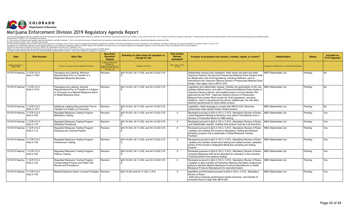

| Date                                        | <b>Rule Number</b>               | <b>Rule Title</b>                                                                                                                                       | <b>New Rule/</b><br><b>Revision/</b><br>Repeal                                                                          | Statutory or other basis for adoption or<br>change to rule. | <b>Part of Rule</b><br><b>Review</b><br><b>Schedule?</b> | Purpose of proposed rule revision, creation, repeal, or review?                                                                                                                                                                                                                                                                                                                                                                                                                                       | <b>Stakeholders</b>                                      | <b>Status</b> | Included on<br>CY19 Agenda? |
|---------------------------------------------|----------------------------------|---------------------------------------------------------------------------------------------------------------------------------------------------------|-------------------------------------------------------------------------------------------------------------------------|-------------------------------------------------------------|----------------------------------------------------------|-------------------------------------------------------------------------------------------------------------------------------------------------------------------------------------------------------------------------------------------------------------------------------------------------------------------------------------------------------------------------------------------------------------------------------------------------------------------------------------------------------|----------------------------------------------------------|---------------|-----------------------------|
| Hearing, Adoption, or<br><b>Review Date</b> |                                  | If there is no formal rule title, description of the rule.                                                                                              | In general, this column<br>denotes the<br>creation/revision/repeal of<br>sections of CCR rules, not<br>the entire rule. | If statutory, list C.R.S.                                   | §24-4-103.3, C.R.S.<br>X if Yes                          |                                                                                                                                                                                                                                                                                                                                                                                                                                                                                                       | Categories of stakeholders, not individual stakeholders. |               |                             |
| 10/15/19 Hearing                            | 1 CCR 212-3<br>Rule 3-1005       | Packaging and Labeling: Minimum<br>Requirements Prior to Transfer to a<br>Regulated Marijuana Business                                                  | Revision                                                                                                                | \$44-10-203, 44-11-202, and 44-12-202 C.R.                  |                                                          | Stakeholder request and Legislative. Adds whole wet plant and adds<br>Vaporizer Delivery Devices and Pressurized Metered Dose Inhalers shall<br>be affixed with a list of all Ingredients, including Additives, used to<br>manufacture the Vaporizer Delivery Device or Pressurized Metered Dose<br>Inhaler. Also aligns rule to HB19-1230.                                                                                                                                                           | <b>MED Stakeholder List</b>                              | Pending       | No.                         |
| 10/15/19 Hearing                            | 1 CCR 212-3<br>Rule 3-1010       | Packaging and Labeling: General<br>Requirements Prior to Transfer to a Patient<br>or Consumer at a Medical Marijuana Store<br>or Retail Marijuana Store | Revision                                                                                                                | \$44-10-203, 44-11-202, and 44-12-202 C.R.                  |                                                          | Legislative and stakeholder request. Clarifies the applicability of the rule,<br>updates defined terms, and adds A Pressurized Metered Dose Inhaler or<br>Vaporizer Delivery Device, and audited product must be labeled "Not<br>approved by the FDA". Vaporizer Delivery Device or Pressurized<br>Metered Dose Inhaler Must include list of all Ingredients, including<br>Additives, used to manufacture the device. Additionally, the rule adds<br>labeling requirements for liquid edible product. | <b>MED Stakeholder List</b>                              | Pendina       | <b>No</b>                   |
| 10/15/19 Hearing                            | 1 CCR 212-3<br>Rule 3-1015       | Additional Labeling Requirements Prior to<br>Transfer to a Patient or Consumer                                                                          | Revision                                                                                                                | \$44-10-203, 44-11-202, and 44-12-202 C.R.                  |                                                          | Legislative. Adds language to comply with HB19-1230. Removes<br>pressurized meter dosed inhaler inhaled product                                                                                                                                                                                                                                                                                                                                                                                       | MED Stakeholder List                                     | Pendina       | <b>No</b>                   |
| 10/15/19 Hearing                            | 1 CCR 212-3<br>Rule 4-105        | Regulated Marijuana Testing Program:<br><b>Mandatory Testing</b>                                                                                        | Revision                                                                                                                | §44-10-203, 44-11-202, and 44-12-202 C.R.                   | $\times$                                                 | Reviewed pursuant to §24-4-103.3, C.R.S., Mandatory Review of Rules.<br>Adds Regulated Marijuana Business may submit Test Batches from a<br>Harvest or Production Batch for R&D testing.                                                                                                                                                                                                                                                                                                              | <b>MED Stakeholder List</b>                              | Pending       | Yes                         |
| 10/15/19 Hearing                            | 1 CCR 212-3<br>Rule 4-110        | Regulated Marijuana Testing Program:<br>Sampling Procedures                                                                                             | Revision                                                                                                                | \$44-10-203, 44-11-202, and 44-12-202 C.R.                  | $\times$                                                 | Reviewed pursuant to §24-4-103.3, C.R.S., Mandatory Review of Rules.<br>and Stakeholder request. Clarifies that product must be in its final form.                                                                                                                                                                                                                                                                                                                                                    | <b>MED Stakeholder List</b>                              | Pendina       | l Yes                       |
| 10/15/19 Hearing                            | 1 CCR 212-3<br>Rule 4-115        | Regulated Marijuana Testing Program:<br>Sampling and Testing Program                                                                                    | Revision                                                                                                                | §44-10-203, 44-11-202, and 44-12-202 C.R.                   | $\times$                                                 | Reviewed pursuant to §24-4-103.3, C.R.S., Mandatory Review of Rules.<br>Updates and clarifies the Division's Mandatory Testing and Random<br>Sampling program that is applicable to Retail Marijuana Testing<br>Facilities.                                                                                                                                                                                                                                                                           | <b>MED Stakeholder List</b>                              | Pending       | Yes                         |
| 10/15/19 Hearing                            | 1 CCR 212-3<br>Rule 4-120        | Regulated Marijuana Testing Program:<br>Contaminant Testing                                                                                             | Revision                                                                                                                | \$44-10-203, 44-11-202, and 44-12-202 C.R.                  | $\times$                                                 | Reviewed pursuant to §24-4-103.3, C.R.S., Mandatory Review of Rules.<br>updates and clarifies contaminant testing and related process validation<br>portion of the Division's Regulated Marijuana sampling and testing<br>program.                                                                                                                                                                                                                                                                    | <b>MED Stakeholder List</b>                              | Pendina       | Yes                         |
| 10/15/19 Hearing                            | 1 CCR 212-3<br>Rule 4-125        | Regulated Marijuana Testing Program:<br>Potency Testing                                                                                                 | Revision                                                                                                                | \$44-10-203, 44-11-202, and 44-12-202 C.R.                  | $\times$                                                 | Reviewed pursuant to §24-4-103.3, C.R.S., Mandatory Review of Rules.<br>Exempts Marijuana that will be allocated for extraction in the Inventory<br>Tracking System from potency testing.                                                                                                                                                                                                                                                                                                             | <b>MED Stakeholder List</b>                              | Pendina       | Yes                         |
| 10/15/19 Hearing                            | 1 CCR 212-3<br><b>Rule 4-135</b> | Regulated Marijuana Testing Program:<br>Contaminated Product and Failed Test<br><b>Results and Procedures</b>                                           | Revision                                                                                                                | \$44-10-203, 44-11-202, and 44-12-202 C.R.                  | $\times$                                                 | Reviewed pursuant to §24-4-103.3, C.R.S., Mandatory Review of Rules.<br>Updates to allow transfer of Production Batches that failed contaminant<br>testing to aNother Medical Marijuana Products Manufacturer or Retail<br>Marijuana Products Manufacturer for decontamination.                                                                                                                                                                                                                       | <b>MED Stakeholder List</b>                              | Pending       | l Yes                       |
| 10/15/19 Hearing                            | 1 CCR 212-3<br>Rule 5-105        | Medical Marijuana Store: License Privileges   Revision                                                                                                  |                                                                                                                         | \$44-10-203 and 44-11-202. C.R.S.                           | $\times$                                                 | legislative and Reviewed pursuant to §24-4-103.3, C.R.S., Mandatory<br>Review of Rules.<br>Adds store employee performance based incentives, and transfer of<br>industrial Hemp to align with SB19-224.                                                                                                                                                                                                                                                                                               | MED Stakeholder List                                     | Pending       | l Yes                       |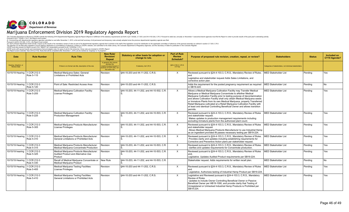

| Date                                        | <b>Rule Number</b>               | <b>Rule Title</b>                                                                                 | <b>New Rule/</b><br><b>Revision/</b><br>Repeal                                                                         | Statutory or other basis for adoption or<br>change to rule. | <b>Part of Rule</b><br><b>Review</b><br><b>Schedule?</b> | Purpose of proposed rule revision, creation, repeal, or review?                                                                                                                                                                                                                                                                                                                                                                                                                                                                                     | <b>Stakeholders</b>                                     | <b>Status</b> | Included on<br>CY19 Agenda? |
|---------------------------------------------|----------------------------------|---------------------------------------------------------------------------------------------------|------------------------------------------------------------------------------------------------------------------------|-------------------------------------------------------------|----------------------------------------------------------|-----------------------------------------------------------------------------------------------------------------------------------------------------------------------------------------------------------------------------------------------------------------------------------------------------------------------------------------------------------------------------------------------------------------------------------------------------------------------------------------------------------------------------------------------------|---------------------------------------------------------|---------------|-----------------------------|
| Hearing, Adoption, or<br><b>Review Date</b> |                                  | If there is no formal rule title, description of the rule.                                        | In general, this column<br>denotes the<br>creation/revision/repeal o<br>sections of CCR rules, not<br>the entire rule. | If statutory, list C.R.S.                                   | §24-4-103.3, C.R.S.<br>X if Yes                          |                                                                                                                                                                                                                                                                                                                                                                                                                                                                                                                                                     | Categories of stakeholders, not individual stakeholders |               |                             |
| 10/15/19 Hearing                            | 1 CCR 212-3<br>Rule 5-115        | Medical Marijuana Sales: General<br><b>Limitations or Prohibited Acts</b>                         | Revision                                                                                                               | \$44-10-203 and 44-11-202, C.R.S.                           | X                                                        | Reviewed pursuant to §24-4-103.3, C.R.S., Mandatory Review of Rules.<br>and<br>Legislative and stakeholder request Adds Sales Limitations, and<br>corrective action plan.                                                                                                                                                                                                                                                                                                                                                                           | MED Stakeholder List                                    | Pendina       | Yes                         |
| 10/15/19 Hearing                            | 1 CCR 212-3<br>Rule 5-120        | Point of Sale: Restricted Access Area                                                             | Revision                                                                                                               | \$44-10-203 and 44-11-202, C.R.S.                           |                                                          | Adds the requirement for the posted pregnancy requirement as required<br>in SB19-224.                                                                                                                                                                                                                                                                                                                                                                                                                                                               | <b>MED Stakeholder List</b>                             | Pendina       | No                          |
| 10/15/19 Hearing                            | 1 CCR 212-3<br><b>Rule 5-205</b> | Medical Marijuana Cultivation Facility:<br>License Privileges                                     | Revision                                                                                                               | \$44-10-203, 44-11-202, and 44-10-502, C.R.                 | $\times$                                                 | Allows a Medical Marijuana Cultivation Facility may Transfer Medical<br>Mariiuana or Medical Mariiuana Concentrate to aNother Medical<br>Marijuana Cultivation Facility prior to testing purpose of decontamination<br>and allows Cultivation Facility shall only obtain Medical Marijuana seeds<br>or Immature Plants from its own Medical Marijuana, properly Transferred<br>Retail Marijuana cultivated at a Retail Marijuana Cultivation Facility with<br>at least one identical Controlling Beneficial Owner and allows transition<br>permits. | <b>MED Stakeholder List</b>                             | Pendina       | Yes                         |
| 10/15/19 Hearing                            | 1 CCR 212-3<br>Rule 5-225        | Medical Marijuana Cultivation Facility:<br><b>Production Management</b>                           | Revision                                                                                                               | §44-10-203, 44-11-202, and 44-10-503, C.R.                  | X                                                        | Reviewed pursuant to §24-4-103.3, C.R.S., Mandatory Review of Rules<br>and stakeholder request.<br>Makes updates to production management requirements including<br>excluding immature plants from the authorized plant count.                                                                                                                                                                                                                                                                                                                      | <b>MED Stakeholder List</b>                             | Pendina       | Yes                         |
| 10/15/19 Hearing                            | 1 CCR 212-3<br>Rule 5-305        | Medical Marijuana Products Manufacturer:<br>License Privileges                                    | Revision                                                                                                               | §44-10-203, 44-11-202, and 44-10-503, C.R.                  | X                                                        | Reviewed pursuant to §24-4-103.3, C.R.S., Mandatory Review of Rules<br>and stakeholder request<br>Allows Medical Marijuana Products Manufacturer to use Industrial Hemp<br>as an ingredient provided if t passes necessary testing per SB19-224.                                                                                                                                                                                                                                                                                                    | <b>MED Stakeholder List</b>                             | Pending       | Yes                         |
| 10/15/19 Hearing                            | 1 CCR 212-3<br>Rule 5-310        | Medical Marijuana Products Manufacturer:<br>General Limitations or Prohibited Acts                | Revision                                                                                                               | \$44-10-203, 44-11-202, and 44-10-503, C.R.                 | $\times$                                                 | Reviewed pursuant to §24-4-103.3, C.R.S., Mandatory Review of Rules.<br>Provides clarity and updates including establishing requirements for<br>Corrective and Preventive Action plans per stakeholder request.                                                                                                                                                                                                                                                                                                                                     | <b>MED Stakeholder List</b>                             | Pendina       | Yes                         |
| 10/15/19 Hearing                            | 1 CCR 212-3<br>Rule 5-315        | Medical Marijuana Products Manufacturer:<br>Medical Mariiuana Concentrate Production              | Revision                                                                                                               | §44-10-203, 44-11-202, and 44-10-503, C.R.                  | X                                                        | Reviewed pursuant to §24-4-103.3, C.R.S., Mandatory Review of Rules.<br>clarifies and updates requirements for Concentrate production.                                                                                                                                                                                                                                                                                                                                                                                                              | <b>MED Stakeholder List</b>                             | Pending       | Yes                         |
| 10/15/19 hearing                            | 1 CCR 212-3<br>Rule 5-325        | Medical Marijuana Products Manufacturer:<br><b>Audited Product and Alternative Use</b><br>Product | Revision                                                                                                               | §44-10-203, 44-11-202, and 44-10-503, C.R.                  | $\times$                                                 | Reviewed pursuant to §24-4-103.3, C.R.S., Mandatory Review of Rules<br>and.<br>Legislative. Updates Audited Product requirements per SB19-224.                                                                                                                                                                                                                                                                                                                                                                                                      | <b>MED Stakeholder List</b>                             | Pending       | Yes                         |
| 10/15/19 Hearing                            | 1 CCR 212-3<br>Rule 5-330        | Recall of Medical Marijuana Concentrate or<br>Medical Mariiuana Product                           | New Rule                                                                                                               | §44-10-203, 44-11-202, and 44-10-503, C.R.                  |                                                          | Stakeholder request. Adds requirements for written recall plan.                                                                                                                                                                                                                                                                                                                                                                                                                                                                                     | <b>MED Stakeholder List</b>                             | Pendina       | <b>No</b>                   |
| 10/15/19 Hearing                            | 1 CCR 212-3<br>Rule 5-405        | Medical Mariiuana Testing Facilities:<br>License Privileges                                       | Revision                                                                                                               | \$44-10-203 and 44-11-202, C.R.S.                           | $\times$                                                 | Reviewed pursuant to §24-4-103.3, C.R.S., Mandatory Review of Rules<br>Legislative. Authorizes testing of Industrial Hemp Product per SB19-224.                                                                                                                                                                                                                                                                                                                                                                                                     | MED Stakeholder List                                    | Pendina       | Yes                         |
| 10/15/19 Hearing                            | 1 CCR 212-3<br>Rule 5-410        | Medical Marijuana Testing Facilities:<br>General Limitations or Prohibited Acts                   | Revision                                                                                                               | \$44-10-203 and 44-11-202, C.R.S.                           | X                                                        | Legislative and Reviewed pursuant to §24-4-103.3, C.R.S., Mandatory<br>Review of Rules.<br>Updates to include Owner Controlling Beneficial Owner or Passive<br>Beneficial Owner per HB19-1090, and provide clarity that Testing of<br>Unregistered or Untracked Industrial Hemp Products is Prohibited per<br>SB19-224.                                                                                                                                                                                                                             | <b>MED Stakeholder List</b>                             | Pending       | Yes                         |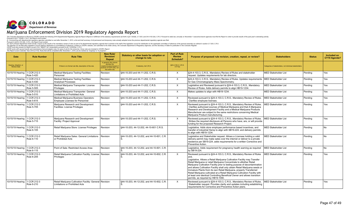

| <b>Date</b>                          | <b>Rule Number</b>        | <b>Rule Title</b>                                                                                | <b>New Rule/</b><br><b>Revision/</b><br>Repeal                                                                        | Statutory or other basis for adoption or<br>change to rule. | <b>Part of Rule</b><br><b>Review</b><br>Schedule? | Purpose of proposed rule revision, creation, repeal, or review?                                                                                                                                                                                                                                                                                                                                                                                                                                                                                                                                                                                             | <b>Stakeholders</b>                                      | <b>Status</b> | Included on<br>CY19 Agenda? |
|--------------------------------------|---------------------------|--------------------------------------------------------------------------------------------------|-----------------------------------------------------------------------------------------------------------------------|-------------------------------------------------------------|---------------------------------------------------|-------------------------------------------------------------------------------------------------------------------------------------------------------------------------------------------------------------------------------------------------------------------------------------------------------------------------------------------------------------------------------------------------------------------------------------------------------------------------------------------------------------------------------------------------------------------------------------------------------------------------------------------------------------|----------------------------------------------------------|---------------|-----------------------------|
| Hearing, Adoption, or<br>Review Date |                           | If there is no formal rule title, description of the rule.                                       | In general, this column<br>denotes the<br>eation/revision/repeal of<br>sections of CCR rules, not<br>the entire rule. | If statutory, list C.R.S.                                   | §24-4-103.3, C.R.S.<br>X if Yes                   |                                                                                                                                                                                                                                                                                                                                                                                                                                                                                                                                                                                                                                                             | Categories of stakeholders, not individual stakeholders. |               |                             |
| 10/15/19 Hearing                     | 1 CCR 212-3<br>Rule 5-420 | Medical Marijuana Testing Facilities:<br>Personnel                                               | Revision                                                                                                              | \$44-10-203 and 44-11-202, C.R.S.                           | X                                                 | §24-4-103.3, C.R.S., Mandatory Review of Rules and stakeholder<br>request. Updates requirements for lab directors.                                                                                                                                                                                                                                                                                                                                                                                                                                                                                                                                          | <b>MED Stakeholder List</b>                              | Pending       | Yes                         |
| 10/15/19 Hearing                     | 1 CCR 212-3<br>Rule 5-430 | Medical Marijuana Testing Facilities:<br><b>Analytical Processes</b>                             | Revision                                                                                                              | §44-10-203 and 44-11-202, C.R.S.                            | $\times$                                          | §24-4-103.3, C.R.S., Mandatory Review of Rules. Updates requirements<br>for Gas Chromatography Mass Spectrometry.                                                                                                                                                                                                                                                                                                                                                                                                                                                                                                                                           | MED Stakeholder List                                     | Pending       | Yes                         |
| 10/15/19 Hearing                     | 1 CCR 212-3<br>Rule 5-505 | Medical Marijuana Transporter: License<br>Privileges                                             | Revision                                                                                                              | \$44-10-203 and 44-11-202. C.R.S.                           | $\times$                                          | Legislative and Reviewed pursuant to §24-4-103.3, C.R.S., Mandatory<br>Review of Rules. Adds delivery permits to align HB19-1234.                                                                                                                                                                                                                                                                                                                                                                                                                                                                                                                           | <b>MED Stakeholder List</b>                              | Pending       | Yes                         |
| 10/15/19 Hearing                     | 1 CCR 212-3<br>Rule 5-510 | Medical Marijuana Transporter: General<br>Limitations or Prohibited Acts                         | Revision                                                                                                              | \$44-10-203 and 44-11-202. C.R.S.                           | $\times$                                          | Makes updates to align with HB19-1234.                                                                                                                                                                                                                                                                                                                                                                                                                                                                                                                                                                                                                      | <b>MED Stakeholder List</b>                              | Pending       | l Yes                       |
| 10/15/19 Hearing                     | 1 CCR 212-3<br>Rule 5-615 | Medical Marijuana Business Operators:<br><b>Employee Licenses for Personnel</b>                  | Revision                                                                                                              | \$44-10-203 and 44-11-202. C.R.S.                           | $\times$                                          | Reviewed pursuant to §24-4-103.3, C.R.S., Mandatory Review of Rules.<br>Clarifies employee licenses.                                                                                                                                                                                                                                                                                                                                                                                                                                                                                                                                                        | <b>MED Stakeholder List</b>                              | Pending       | l Yes                       |
| 10/15/19 Hearing                     | 1 CCR 212-3<br>Rule 5-705 | Marijuana Research and Development<br><b>Facilities: License Privileges</b>                      | Revision                                                                                                              | \$44-10-203 and 44-11-202. C.R.S.                           | $\times$                                          | Reviewed pursuant to §24-4-103.3, C.R.S., Mandatory Review of Rules.<br>Clarifies authorized sources of Medical Marijuana and that A Marijuana<br>Research and Development Facility and a Medical Marijuana Products<br>Manufacturer are subject to the same restrictions concerning Medical<br>Marijuana Product manufacturing.                                                                                                                                                                                                                                                                                                                            | <b>MED Stakeholder List</b>                              | Pending       | Yes                         |
| 10/15/19 Hearing                     | I CCR 212-3<br>Rule 5-715 | Marijuana Research and Development<br>Facility: Project Approval                                 | Revision                                                                                                              | \$44-10-203 and 44-11-202. C.R.S.                           | $\times$                                          | Reviewed pursuant to §24-4-103.3, C.R.S., Mandatory Review of Rules.<br>Strikes the required disclosure all Persons who have, are, or will provide<br>funding for the proposed Research Project.                                                                                                                                                                                                                                                                                                                                                                                                                                                            | <b>MED Stakeholder List</b>                              | Pendina       | Yes                         |
| 10/15/19 Hearing                     | 1 CCR 212-3<br>Rule 6-105 | Retail Marijuana Store: License Privileges                                                       | Revision                                                                                                              | \$44-10-203, 44-12-202, 44-10-601 C.R.S.                    |                                                   | Legislative. Adds store employee performance based incentives, and<br>transfer of industrial Hemp to align with SB19-224, and delivery permits<br>to alian with HB19-1234.                                                                                                                                                                                                                                                                                                                                                                                                                                                                                  | <b>MED Stakeholder List</b>                              | Pending       | <b>No</b>                   |
| 10/15/19 Hearing                     | I CCR 212-3<br>Rule 6-110 | Retail Mariiuana Sales: General Limitations<br>or Prohibited Acts                                | Revision                                                                                                              | \$44-10-203, 44-12-202, and 44-10-601, C.R.                 |                                                   | Legislative and Stakeholder request. Allows a Licensee holding a valid<br>delivery permit may make sales over the internet or deliver to a private<br>residence per SB19-224, adds requirements for a written Corrective and<br>Preventive Action.                                                                                                                                                                                                                                                                                                                                                                                                          | <b>MED Stakeholder List</b>                              | Pendina       | <b>No</b>                   |
| 10/15/19 Hearing                     | 1 CCR 212-3<br>Rule 6-115 | Point of Sale: Restricted Access Area                                                            | Revision                                                                                                              | §44-10-203, 44-12-202, and 44-10-601, C.R.                  |                                                   | Legislative. Adds requirement for pregnancy health warning as required<br>by SB19-224.                                                                                                                                                                                                                                                                                                                                                                                                                                                                                                                                                                      | <b>MED Stakeholder List</b>                              | Pending       | l No                        |
| 10/15/19 Hearing                     | 1 CCR 212-3<br>Rule 6-205 | Retail Marijuana Cultivation Facility: License Revision<br><b>Privileges</b>                     |                                                                                                                       | §44-10-203, 44-12-202, and 44-10-602, C.R.                  | $\times$                                          | Reviewed pursuant to §24-4-103.3, C.R.S., Mandatory Review of Rules<br>Legislative. Allows a Retail Marijuana Cultivation Facility may Transfer<br>Retail Marijuana or retail Marijuana Concentrate to aNother Retail<br>Marijuana Cultivation Facility prior to testing purpose of decontamination<br>and allows Cultivation Facility shall only obtain Retail Marijuana seeds or<br>Immature Plants from its own Retail Marijuana, properly Transferred<br>Retail Marijuana cultivated at a Retail Marijuana Cultivation Facility with<br>at least one identical Controlling Beneficial Owner and allows transition<br>permits, as required by HB19-1090. | <b>MED Stakeholder List</b>                              | Pending       | Yes                         |
| 10/15/19 Hearing                     | 1 CCR 212-3<br>Rule 6-210 | Retail Marijuana Cultivation Facility: General Revision<br><b>Limitations or Prohibited Acts</b> |                                                                                                                       | §44-10-203, 44-12-202, and 44-10-602, C.R.                  | $\times$                                          | Reviewed pursuant to §24-4-103.3, C.R.S., Mandatory Review of Rules.<br>Stakeholder request. Provides clarity and updates including establishing<br>requirements for Corrective and Preventive Action plans.                                                                                                                                                                                                                                                                                                                                                                                                                                                | <b>MED Stakeholder List</b>                              | Pending       | Yes                         |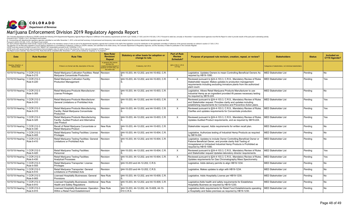

| <b>Date</b>                                 | <b>Rule Number</b>        | <b>Rule Title</b>                                                                                          | <b>New Rule/</b><br><b>Revision/</b><br>Repeal                                                                         | Statutory or other basis for adoption or<br>change to rule. | <b>Part of Rule</b><br><b>Review</b><br>Schedule? | Purpose of proposed rule revision, creation, repeal, or review?                                                                                                                                                                         | <b>Stakeholders</b>                                      | <b>Status</b> | Included on<br>CY19 Agenda? |
|---------------------------------------------|---------------------------|------------------------------------------------------------------------------------------------------------|------------------------------------------------------------------------------------------------------------------------|-------------------------------------------------------------|---------------------------------------------------|-----------------------------------------------------------------------------------------------------------------------------------------------------------------------------------------------------------------------------------------|----------------------------------------------------------|---------------|-----------------------------|
| Hearing, Adoption, or<br><b>Review Date</b> |                           | If there is no formal rule title, description of the rule.                                                 | In general, this column<br>denotes the<br>creation/revision/repeal o<br>sections of CCR rules, not<br>the entire rule. | If statutory, list C.R.S.                                   | §24-4-103.3, C.R.S.<br>X if Yes                   |                                                                                                                                                                                                                                         | Categories of stakeholders, not individual stakeholders. |               |                             |
| 10/15/19 Hearing                            | 1 CCR 212-3<br>Rule 6-215 | Retail Mariiuana Cultivation Facilities: Retail<br>Mariiuana Concentrate Production                        | Revision                                                                                                               | §44-10-203, 44-12-202, and 44-10-602, C.R.                  |                                                   | Legislative. Updates Owners to mean Controlling Beneficial Owners As<br>reauired by HB19-1090.                                                                                                                                          | <b>MED Stakeholder List</b>                              | Pendina       | No.                         |
| 10/15/19 Hearing                            | 1 CCR 212-3<br>Rule 6-220 | Retail Marijuana Cultivation Facility:<br><b>Production Management</b>                                     | Revision                                                                                                               | §44-10-203, 44-12-202, and 44-10-603, C.R.                  | $\times$                                          | Reviewed pursuant to §24-4-103.3, C.R.S., Mandatory Review of Rules<br>Stakeholder request. Makes updates to production management<br>requirements including excluding immature plants from the authorized<br>plant count.              | <b>MED Stakeholder List</b>                              | Pending       | Yes                         |
| 10/15/19 Hearing                            | I CCR 212-3<br>Rule 6-305 | Retail Marijuana Products Manufacturer:<br>License Privileges                                              | Revision                                                                                                               | \$44-10-203, 44-12-202, and 44-10-603, C.R.                 |                                                   | Legislative. Allows Retail Marijuana Products Manufacturer to use<br>Industrial Hemp as an ingredient provided if t passes necessary testing<br>As required by SB19-224.                                                                | <b>MED Stakeholder List</b>                              | Pendina       | No.                         |
| 10/15/19 Hearing                            | 1 CCR 212-3<br>Rule 6-310 | Retail Marijuana Products Manufacturer:<br>General Limitations or Prohibited Acts                          | Revision                                                                                                               | §44-10-203, 44-12-202, and 44-10-603, C.R.                  | $\times$                                          | Reviewed pursuant to §24-4-103.3, C.R.S., Mandatory Review of Rules<br>and Stakeholder request. Provides clarity and updates including<br>establishing requirements for Corrective and Preventive Action plans.                         | <b>MED Stakeholder List</b>                              | Pendina       | Yes                         |
| 10/15/19 Hearing                            | CCR 212-3<br>Rule 6-315   | Retail Marijuana Products Manufacturing<br>Facility: Retail Marijuana Concentrate<br>Production            | Revision                                                                                                               | \$44-10-203, 44-12-202, and 44-10-603, C.R.                 | $\times$                                          | Reviewed pursuant to §24-4-103.3, C.R.S., Mandatory Review of Rules.<br>Clarifies and updates requirements for Concentrate production.                                                                                                  | <b>MED Stakeholder List</b>                              | Pendina       | Yes                         |
| 10/15/19 Hearing                            | CCR 212-3<br>Rule 6-325   | Retail Marijuana Products Manufacturing<br>Facility: Audited Product and Alternative<br><b>Use Product</b> | Revision                                                                                                               | §44-10-203, 44-12-202, and 44-10-603, C.R.                  | $\times$                                          | Reviewed pursuant to §24-4-103.3, C.R.S., Mandatory Review of Rules.<br>Updates Audited Product requirements, and as required by SB19-224.                                                                                              | <b>MED Stakeholder List</b>                              | Pending       | l Yes                       |
| 10/15/19 Hearing                            | 1 CCR 212-3<br>Rule 6-330 | Recall of Retail Marijuana Concentrate or<br>Retail Marijuana Product                                      | New Rule                                                                                                               | §44-10-203, 44-12-202, and 44-10-603, C.R.                  |                                                   | Stakeholder request. Adds requirements for written recall plan.                                                                                                                                                                         | <b>MED Stakeholder List</b>                              | Pending       | <b>No</b>                   |
| 10/15/19 Hearing                            | 1 CCR 212-3<br>Rule 6-405 | Retail Marijuana Testing Facilities: License<br>Privileges                                                 | Revision                                                                                                               | §44-10-203, 44-12-202, and 44-10-604, C.R.                  |                                                   | Legislative. Authorizes testing of Industrial Hemp Products as required<br>by SB19-224.                                                                                                                                                 | <b>MED Stakeholder List</b>                              | Pending       | <b>No</b>                   |
| 10/15/19 Hearing                            | I CCR 212-3<br>Rule 6-410 | Retail Marijuana Testing Facilities: General<br>Limitations or Prohibited Acts                             | Revision                                                                                                               | §44-10-203, 44-12-202, and 44-10-604, C.R.                  |                                                   | Legislative. Updates to include Owner Controlling Beneficial Owner or<br>Passive Beneficial Owner, and provide clarity that Testing of<br>Unregistered or Untracked Industrial Hemp Products is Prohibited as<br>required by HB19-1090. | <b>MED Stakeholder List</b>                              | Pendina       | No.                         |
| 10/15/19 Hearing                            | 1 CCR 212-3<br>Rule 6-420 | Retail Mariiuana Testing Facilities:<br>Personnel                                                          | Revision                                                                                                               | §44-10-203, 44-12-202, and 44-10-604, C.R.                  | $\times$                                          | Reviewed pursuant to §24-4-103.3, C.R.S., Mandatory Review of Rules<br>and Stakeholder request Updates laboratory director requirements.                                                                                                | <b>MED Stakeholder List</b>                              | Pending       | Yes                         |
| 10/15/19 Hearing                            | 1 CCR 212-3<br>Rule 6-430 | Retail Marijuana Testing Facilities:<br><b>Analytical Processes</b>                                        | Revision                                                                                                               | \$44-10-203, 44-12-202, and 44-10-604, C.R.                 | $\times$                                          | Reviewed pursuant to §24-4-103.3, C.R.S., Mandatory Review of Rules.<br>Updates requirements for Gas Chromatography Mass Spectrometry.                                                                                                  | <b>MED Stakeholder List</b>                              | Pendina       | Yes                         |
| 10/15/19 Hearing                            | 1 CCR 212-3<br>Rule 6-505 | Retail Marijuana Transporter: License<br>Privileges                                                        | Revision                                                                                                               | \$44-10-203 and 44-12-202. C.R.S.                           |                                                   | Legislative. Adds delivery permits to align HB19-1234.                                                                                                                                                                                  | <b>MED Stakeholder List</b>                              | Pending       | <b>No</b>                   |
| 10/15/19 Hearing                            | 1 CCR 212-3<br>Rule 6-510 | Retail Marijuana Transporter: General<br>Limitations or Prohibited Acts                                    | Revision                                                                                                               | \$44-10-203 and 44-12-202. C.R.S.                           |                                                   | Legislative. Makes updates to align with HB19-1234.                                                                                                                                                                                     | <b>MED Stakeholder List</b>                              | Pending       | l No                        |
| 10/15/19 Hearing                            | 1 CCR 212-3<br>Rule 6-905 | Licensed Hospitality Businesses: General<br>Provisions                                                     | New Rule                                                                                                               | §44-10-203, 44-12-202, and 44-10-609, C.R.                  |                                                   | Legislative. Adds Hospitality License per HB19-1230.                                                                                                                                                                                    | <b>MED Stakeholder List</b>                              | Pending       | <b>No</b>                   |
| 10/15/19 Hearing                            | 1 CCR 212-3<br>Rule 6-910 | Licensed Hospitality Businesses: Additional<br><b>Health and Safety Regulations</b>                        | New Rule                                                                                                               | \$44-10-203, 44-12-202, and 44-10-609, C.R.                 |                                                   | Legislative: Adds health and safety requirements for Establishes<br>Hospitality Business as required by HB19-1230.                                                                                                                      | <b>MED Stakeholder List</b>                              | Pendina       | <b>No</b>                   |
| 10/15/19 Hearing                            | 1 CCR 212-3<br>Rule 6-915 | Licensed Hospitality Businesses: Operation<br>Within a Retail Food Establishment                           | New Rule                                                                                                               | §44-10-203, 44-12-202, 44-10-609, 44-10-<br>610 C.R.S.      |                                                   | Legislative. Adds requirements for Retail Food Establishments operating<br>a Hospitality and Sales premises as required by HB19-1230.                                                                                                   | <b>MED Stakeholder List</b>                              | Pending       | <b>No</b>                   |